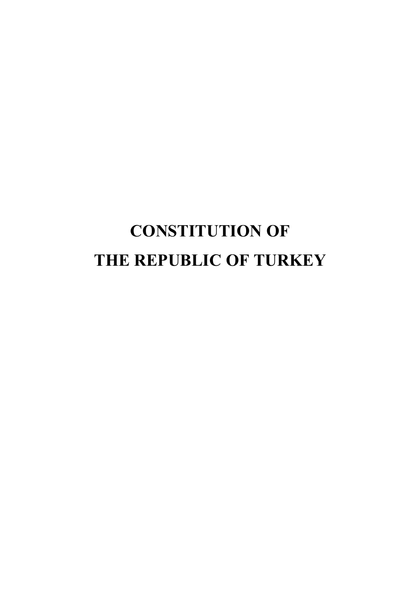# **CONSTITUTION OF THE REPUBLIC OF TURKEY**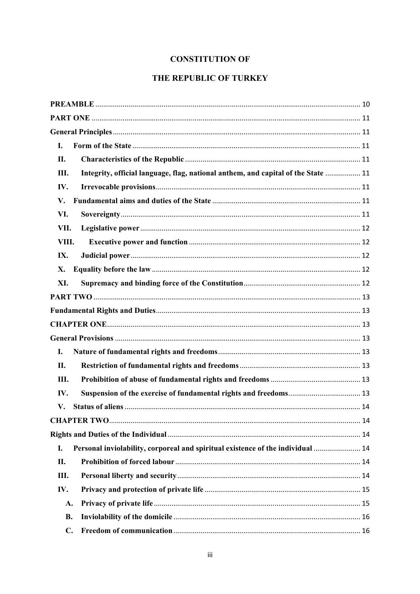## **CONSTITUTION OF**

## THE REPUBLIC OF TURKEY

| I.        |                                                                                   |
|-----------|-----------------------------------------------------------------------------------|
| П.        |                                                                                   |
| Ш.        | Integrity, official language, flag, national anthem, and capital of the State  11 |
| IV.       |                                                                                   |
| V.        |                                                                                   |
| VI.       |                                                                                   |
| VII.      |                                                                                   |
| VIII.     |                                                                                   |
| IX.       |                                                                                   |
| X.        |                                                                                   |
| XI.       |                                                                                   |
|           |                                                                                   |
|           |                                                                                   |
|           |                                                                                   |
|           |                                                                                   |
| I.        |                                                                                   |
| II.       |                                                                                   |
| Ш.        |                                                                                   |
| IV.       |                                                                                   |
| V.        |                                                                                   |
|           |                                                                                   |
|           |                                                                                   |
| I.        | Personal inviolability, corporeal and spiritual existence of the individual  14   |
| II.       |                                                                                   |
| Ш.        |                                                                                   |
| IV.       |                                                                                   |
| A.        |                                                                                   |
| <b>B.</b> |                                                                                   |
| C.        |                                                                                   |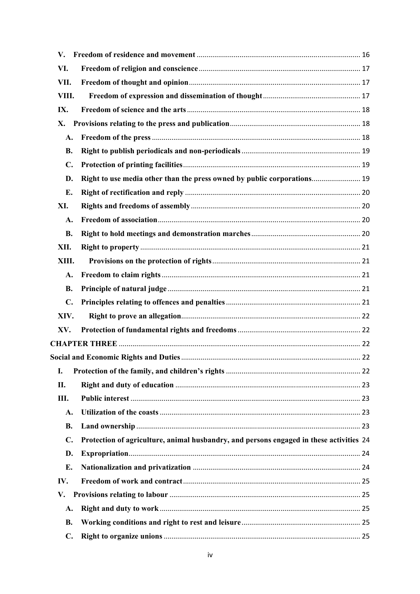| $\mathbf{V}_{\cdot}$ |                                                                                         |  |
|----------------------|-----------------------------------------------------------------------------------------|--|
| VI.                  |                                                                                         |  |
| VII.                 |                                                                                         |  |
| VIII.                |                                                                                         |  |
| IX.                  |                                                                                         |  |
| X.                   |                                                                                         |  |
| A.                   |                                                                                         |  |
| <b>B.</b>            |                                                                                         |  |
| $\mathbf{C}$ .       |                                                                                         |  |
| D.                   | Right to use media other than the press owned by public corporations 19                 |  |
| E.                   |                                                                                         |  |
| XI.                  |                                                                                         |  |
| A.                   |                                                                                         |  |
| <b>B.</b>            |                                                                                         |  |
| XII.                 |                                                                                         |  |
| XIII.                |                                                                                         |  |
| A.                   |                                                                                         |  |
| <b>B.</b>            |                                                                                         |  |
| $C_{\bullet}$        |                                                                                         |  |
| XIV.                 |                                                                                         |  |
| XV.                  |                                                                                         |  |
|                      |                                                                                         |  |
|                      |                                                                                         |  |
| I.                   |                                                                                         |  |
| П.                   |                                                                                         |  |
| Ш.                   |                                                                                         |  |
| A.                   |                                                                                         |  |
| <b>B.</b>            |                                                                                         |  |
| $\mathbf{C}$ .       | Protection of agriculture, animal husbandry, and persons engaged in these activities 24 |  |
| D.                   |                                                                                         |  |
| E.                   |                                                                                         |  |
| IV.                  |                                                                                         |  |
| V.                   |                                                                                         |  |
| A.                   |                                                                                         |  |
| <b>B.</b>            |                                                                                         |  |
| $\mathbf{C}$ .       |                                                                                         |  |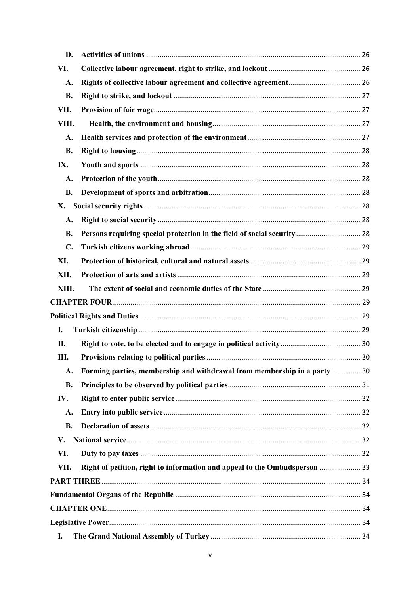| D.             |                                                                            |  |
|----------------|----------------------------------------------------------------------------|--|
| VI.            |                                                                            |  |
| A.             |                                                                            |  |
| <b>B.</b>      |                                                                            |  |
| VII.           |                                                                            |  |
| VIII.          |                                                                            |  |
| A.             |                                                                            |  |
| <b>B.</b>      |                                                                            |  |
| IX.            |                                                                            |  |
| A.             |                                                                            |  |
| <b>B.</b>      |                                                                            |  |
| Х.             |                                                                            |  |
| A.             |                                                                            |  |
| <b>B.</b>      | Persons requiring special protection in the field of social security 28    |  |
| $\mathbf{C}$ . |                                                                            |  |
| XI.            |                                                                            |  |
| XII.           |                                                                            |  |
| XIII.          |                                                                            |  |
|                |                                                                            |  |
|                |                                                                            |  |
| I.             |                                                                            |  |
| П.             |                                                                            |  |
| Ш.             |                                                                            |  |
| A.             | Forming parties, membership and withdrawal from membership in a party 30   |  |
| <b>B.</b>      |                                                                            |  |
| IV.            |                                                                            |  |
| A.             |                                                                            |  |
| <b>B.</b>      |                                                                            |  |
| V.             |                                                                            |  |
| VI.            |                                                                            |  |
| VII.           | Right of petition, right to information and appeal to the Ombudsperson  33 |  |
|                |                                                                            |  |
|                |                                                                            |  |
|                |                                                                            |  |
|                |                                                                            |  |
| I.             |                                                                            |  |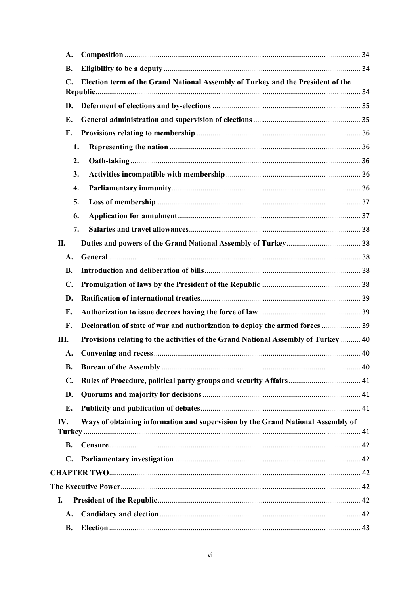| A.             |                                                                                    |  |
|----------------|------------------------------------------------------------------------------------|--|
| <b>B.</b>      |                                                                                    |  |
| C.             | Election term of the Grand National Assembly of Turkey and the President of the    |  |
| D.             |                                                                                    |  |
| E.             |                                                                                    |  |
| F.             |                                                                                    |  |
| 1.             |                                                                                    |  |
| 2.             |                                                                                    |  |
| 3.             |                                                                                    |  |
| 4.             |                                                                                    |  |
| 5.             |                                                                                    |  |
| 6.             |                                                                                    |  |
| 7.             |                                                                                    |  |
| II.            |                                                                                    |  |
| A.             |                                                                                    |  |
| <b>B.</b>      |                                                                                    |  |
| $\mathbf{C}$ . |                                                                                    |  |
| D.             |                                                                                    |  |
| E.             |                                                                                    |  |
| F.             | Declaration of state of war and authorization to deploy the armed forces  39       |  |
| Ш.             | Provisions relating to the activities of the Grand National Assembly of Turkey  40 |  |
| A.             |                                                                                    |  |
| <b>B.</b>      |                                                                                    |  |
| $\mathbf{C}$ . |                                                                                    |  |
| D.             |                                                                                    |  |
| Е.             |                                                                                    |  |
| IV.            | Ways of obtaining information and supervision by the Grand National Assembly of    |  |
|                |                                                                                    |  |
| <b>B.</b>      |                                                                                    |  |
| $\mathbf{C}$ . |                                                                                    |  |
|                |                                                                                    |  |
|                |                                                                                    |  |
| I.             |                                                                                    |  |
| A.             |                                                                                    |  |
| <b>B.</b>      |                                                                                    |  |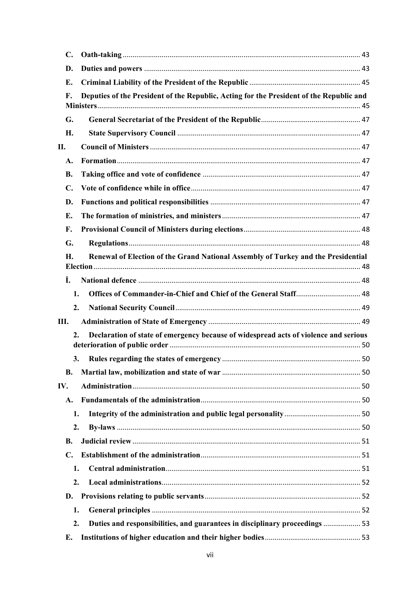| $\mathbf{C}$ .   |                                                                                         |  |
|------------------|-----------------------------------------------------------------------------------------|--|
| D.               |                                                                                         |  |
| Е.               |                                                                                         |  |
| F.               | Deputies of the President of the Republic, Acting for the President of the Republic and |  |
| G.               |                                                                                         |  |
| Н.               |                                                                                         |  |
| II.              |                                                                                         |  |
| A.               |                                                                                         |  |
| <b>B.</b>        |                                                                                         |  |
| $\mathbf{C}$ .   |                                                                                         |  |
| D.               |                                                                                         |  |
| Е.               |                                                                                         |  |
| F.               |                                                                                         |  |
| G.               |                                                                                         |  |
| Н.               | Renewal of Election of the Grand National Assembly of Turkey and the Presidential       |  |
| Ĩ.               |                                                                                         |  |
| 1.               |                                                                                         |  |
| 2.               |                                                                                         |  |
| Ш.               |                                                                                         |  |
| $\overline{2}$ . | Declaration of state of emergency because of widespread acts of violence and serious    |  |
| 3.               |                                                                                         |  |
| <b>B.</b>        |                                                                                         |  |
| IV.              |                                                                                         |  |
| A.               |                                                                                         |  |
| 1.               |                                                                                         |  |
| 2.               |                                                                                         |  |
| В.               |                                                                                         |  |
| C.               |                                                                                         |  |
| 1.               |                                                                                         |  |
| 2.               |                                                                                         |  |
| D.               |                                                                                         |  |
| 1.               |                                                                                         |  |
| 2.               | Duties and responsibilities, and guarantees in disciplinary proceedings  53             |  |
| Е.               |                                                                                         |  |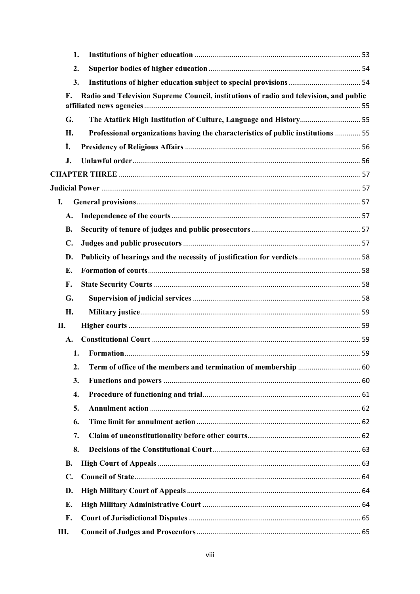| 1.                                                                                                               |  |
|------------------------------------------------------------------------------------------------------------------|--|
| 2.                                                                                                               |  |
| 3.                                                                                                               |  |
| Radio and Television Supreme Council, institutions of radio and television, and public<br>$\mathbf{F}_{\bullet}$ |  |
| The Atatürk High Institution of Culture, Language and History 55<br>G.                                           |  |
| Professional organizations having the characteristics of public institutions  55<br>H.                           |  |
| İ.                                                                                                               |  |
| J.                                                                                                               |  |
|                                                                                                                  |  |
|                                                                                                                  |  |
| I.                                                                                                               |  |
| A.                                                                                                               |  |
| <b>B.</b>                                                                                                        |  |
| $\mathbf{C}$ .                                                                                                   |  |
| Publicity of hearings and the necessity of justification for verdicts 58<br>D.                                   |  |
| E.                                                                                                               |  |
| F.                                                                                                               |  |
| G.                                                                                                               |  |
| H.                                                                                                               |  |
| П.                                                                                                               |  |
| A.                                                                                                               |  |
| 1.                                                                                                               |  |
| 2.                                                                                                               |  |
| 3.                                                                                                               |  |
| 4.                                                                                                               |  |
| 5.                                                                                                               |  |
| 6.                                                                                                               |  |
| 7.                                                                                                               |  |
| 8.                                                                                                               |  |
| <b>B.</b>                                                                                                        |  |
| $\mathbf{C}$ .                                                                                                   |  |
| D.                                                                                                               |  |
| E.                                                                                                               |  |
| F.                                                                                                               |  |
| Ш.                                                                                                               |  |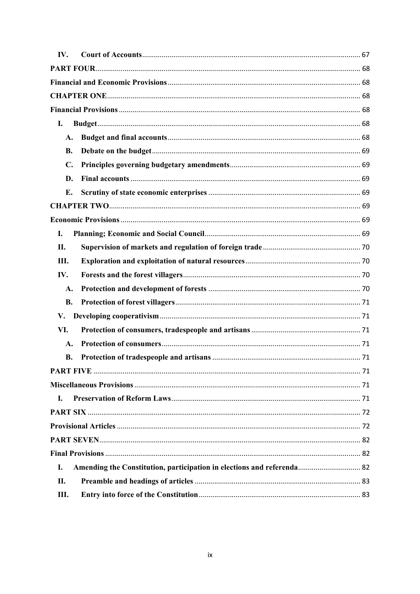| IV.            |                                                                        |  |
|----------------|------------------------------------------------------------------------|--|
|                |                                                                        |  |
|                |                                                                        |  |
|                |                                                                        |  |
|                |                                                                        |  |
| I.             |                                                                        |  |
| A.             |                                                                        |  |
| <b>B.</b>      |                                                                        |  |
| $\mathbf{C}$ . |                                                                        |  |
| D.             |                                                                        |  |
| E.             |                                                                        |  |
|                |                                                                        |  |
|                |                                                                        |  |
| I.             |                                                                        |  |
| П.             |                                                                        |  |
| Ш.             |                                                                        |  |
| IV.            |                                                                        |  |
| A.             |                                                                        |  |
| <b>B.</b>      |                                                                        |  |
| V.             |                                                                        |  |
| VI.            |                                                                        |  |
| $\mathbf{A}$ . |                                                                        |  |
| В.             |                                                                        |  |
|                |                                                                        |  |
|                |                                                                        |  |
| I.             |                                                                        |  |
|                |                                                                        |  |
|                |                                                                        |  |
|                |                                                                        |  |
|                |                                                                        |  |
| I.             | Amending the Constitution, participation in elections and referenda 82 |  |
| П.             |                                                                        |  |
| III.           |                                                                        |  |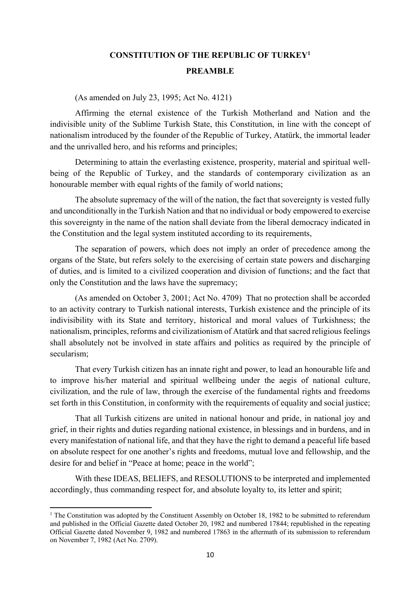## **CONSTITUTION OF THE REPUBLIC OF TURKEY1 PREAMBLE**

(As amended on July 23, 1995; Act No. 4121)

Affirming the eternal existence of the Turkish Motherland and Nation and the indivisible unity of the Sublime Turkish State, this Constitution, in line with the concept of nationalism introduced by the founder of the Republic of Turkey, Atatürk, the immortal leader and the unrivalled hero, and his reforms and principles;

Determining to attain the everlasting existence, prosperity, material and spiritual wellbeing of the Republic of Turkey, and the standards of contemporary civilization as an honourable member with equal rights of the family of world nations;

The absolute supremacy of the will of the nation, the fact that sovereignty is vested fully and unconditionally in the Turkish Nation and that no individual or body empowered to exercise this sovereignty in the name of the nation shall deviate from the liberal democracy indicated in the Constitution and the legal system instituted according to its requirements,

The separation of powers, which does not imply an order of precedence among the organs of the State, but refers solely to the exercising of certain state powers and discharging of duties, and is limited to a civilized cooperation and division of functions; and the fact that only the Constitution and the laws have the supremacy;

(As amended on October 3, 2001; Act No. 4709) That no protection shall be accorded to an activity contrary to Turkish national interests, Turkish existence and the principle of its indivisibility with its State and territory, historical and moral values of Turkishness; the nationalism, principles, reforms and civilizationism of Atatürk and that sacred religious feelings shall absolutely not be involved in state affairs and politics as required by the principle of secularism;

That every Turkish citizen has an innate right and power, to lead an honourable life and to improve his/her material and spiritual wellbeing under the aegis of national culture, civilization, and the rule of law, through the exercise of the fundamental rights and freedoms set forth in this Constitution, in conformity with the requirements of equality and social justice;

That all Turkish citizens are united in national honour and pride, in national joy and grief, in their rights and duties regarding national existence, in blessings and in burdens, and in every manifestation of national life, and that they have the right to demand a peaceful life based on absolute respect for one another's rights and freedoms, mutual love and fellowship, and the desire for and belief in "Peace at home; peace in the world";

With these IDEAS, BELIEFS, and RESOLUTIONS to be interpreted and implemented accordingly, thus commanding respect for, and absolute loyalty to, its letter and spirit;

<sup>&</sup>lt;sup>1</sup> The Constitution was adopted by the Constituent Assembly on October 18, 1982 to be submitted to referendum and published in the Official Gazette dated October 20, 1982 and numbered 17844; republished in the repeating Official Gazette dated November 9, 1982 and numbered 17863 in the aftermath of its submission to referendum on November 7, 1982 (Act No. 2709).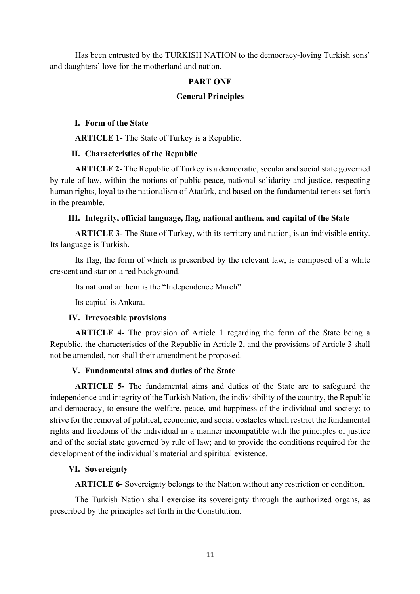Has been entrusted by the TURKISH NATION to the democracy-loving Turkish sons' and daughters' love for the motherland and nation.

#### **PART ONE**

#### **General Principles**

#### **I. Form of the State**

**ARTICLE 1-** The State of Turkey is a Republic.

#### **II. Characteristics of the Republic**

**ARTICLE 2-** The Republic of Turkey is a democratic, secular and social state governed by rule of law, within the notions of public peace, national solidarity and justice, respecting human rights, loyal to the nationalism of Atatürk, and based on the fundamental tenets set forth in the preamble.

#### **III. Integrity, official language, flag, national anthem, and capital of the State**

**ARTICLE 3-** The State of Turkey, with its territory and nation, is an indivisible entity. Its language is Turkish.

Its flag, the form of which is prescribed by the relevant law, is composed of a white crescent and star on a red background.

Its national anthem is the "Independence March".

Its capital is Ankara.

#### **IV. Irrevocable provisions**

**ARTICLE 4-** The provision of Article 1 regarding the form of the State being a Republic, the characteristics of the Republic in Article 2, and the provisions of Article 3 shall not be amended, nor shall their amendment be proposed.

#### **V. Fundamental aims and duties of the State**

**ARTICLE 5-** The fundamental aims and duties of the State are to safeguard the independence and integrity of the Turkish Nation, the indivisibility of the country, the Republic and democracy, to ensure the welfare, peace, and happiness of the individual and society; to strive for the removal of political, economic, and social obstacles which restrict the fundamental rights and freedoms of the individual in a manner incompatible with the principles of justice and of the social state governed by rule of law; and to provide the conditions required for the development of the individual's material and spiritual existence.

#### **VI. Sovereignty**

**ARTICLE 6-** Sovereignty belongs to the Nation without any restriction or condition.

The Turkish Nation shall exercise its sovereignty through the authorized organs, as prescribed by the principles set forth in the Constitution.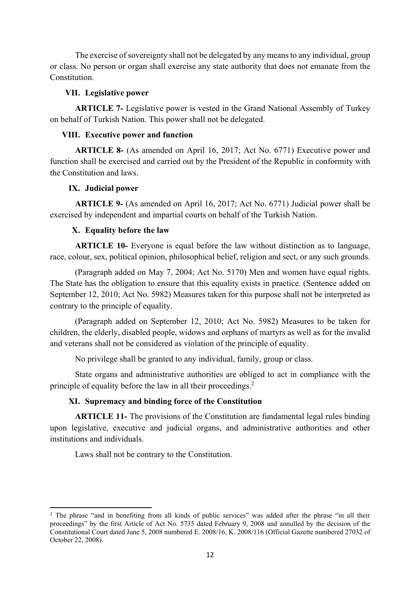The exercise of sovereignty shall not be delegated by any means to any individual, group or class. No person or organ shall exercise any state authority that does not emanate from the Constitution.

#### **VII. Legislative power**

**ARTICLE 7-** Legislative power is vested in the Grand National Assembly of Turkey on behalf of Turkish Nation. This power shall not be delegated.

#### **VIII. Executive power and function**

**ARTICLE 8-** (As amended on April 16, 2017; Act No. 6771) Executive power and function shall be exercised and carried out by the President of the Republic in conformity with the Constitution and laws.

#### **IX. Judicial power**

**ARTICLE 9-** (As amended on April 16, 2017; Act No. 6771) Judicial power shall be exercised by independent and impartial courts on behalf of the Turkish Nation.

#### **X. Equality before the law**

**ARTICLE 10-** Everyone is equal before the law without distinction as to language, race, colour, sex, political opinion, philosophical belief, religion and sect, or any such grounds.

(Paragraph added on May 7, 2004; Act No. 5170) Men and women have equal rights. The State has the obligation to ensure that this equality exists in practice. (Sentence added on September 12, 2010; Act No. 5982) Measures taken for this purpose shall not be interpreted as contrary to the principle of equality.

(Paragraph added on September 12, 2010; Act No. 5982) Measures to be taken for children, the elderly, disabled people, widows and orphans of martyrs as well as for the invalid and veterans shall not be considered as violation of the principle of equality.

No privilege shall be granted to any individual, family, group or class.

State organs and administrative authorities are obliged to act in compliance with the principle of equality before the law in all their proceedings.<sup>2</sup>

#### **XI. Supremacy and binding force of the Constitution**

**ARTICLE 11-** The provisions of the Constitution are fundamental legal rules binding upon legislative, executive and judicial organs, and administrative authorities and other institutions and individuals.

Laws shall not be contrary to the Constitution.

<sup>&</sup>lt;sup>2</sup> The phrase "and in benefiting from all kinds of public services" was added after the phrase "in all their proceedings" by the first Article of Act No. 5735 dated February 9, 2008 and annulled by the decision of the Constitutional Court dated June 5, 2008 numbered E. 2008/16, K. 2008/116 (Official Gazette numbered 27032 of October 22, 2008).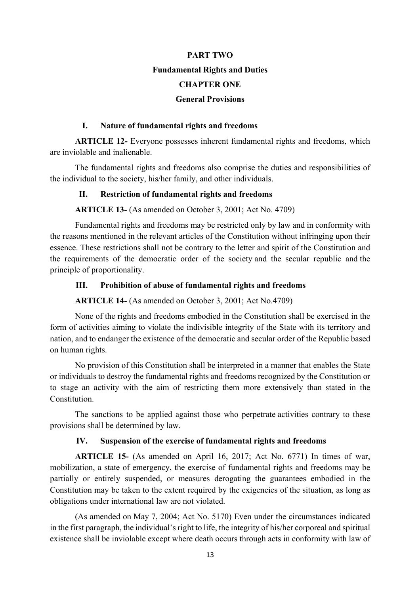# **PART TWO Fundamental Rights and Duties CHAPTER ONE General Provisions**

#### **I. Nature of fundamental rights and freedoms**

**ARTICLE 12-** Everyone possesses inherent fundamental rights and freedoms, which are inviolable and inalienable.

The fundamental rights and freedoms also comprise the duties and responsibilities of the individual to the society, his/her family, and other individuals.

#### **II. Restriction of fundamental rights and freedoms**

**ARTICLE 13-** (As amended on October 3, 2001; Act No. 4709)

Fundamental rights and freedoms may be restricted only by law and in conformity with the reasons mentioned in the relevant articles of the Constitution without infringing upon their essence. These restrictions shall not be contrary to the letter and spirit of the Constitution and the requirements of the democratic order of the society and the secular republic and the principle of proportionality.

#### **III. Prohibition of abuse of fundamental rights and freedoms**

**ARTICLE 14-** (As amended on October 3, 2001; Act No.4709)

None of the rights and freedoms embodied in the Constitution shall be exercised in the form of activities aiming to violate the indivisible integrity of the State with its territory and nation, and to endanger the existence of the democratic and secular order of the Republic based on human rights.

No provision of this Constitution shall be interpreted in a manner that enables the State or individuals to destroy the fundamental rights and freedoms recognized by the Constitution or to stage an activity with the aim of restricting them more extensively than stated in the Constitution.

The sanctions to be applied against those who perpetrate activities contrary to these provisions shall be determined by law.

#### **IV. Suspension of the exercise of fundamental rights and freedoms**

**ARTICLE 15-** (As amended on April 16, 2017; Act No. 6771) In times of war, mobilization, a state of emergency, the exercise of fundamental rights and freedoms may be partially or entirely suspended, or measures derogating the guarantees embodied in the Constitution may be taken to the extent required by the exigencies of the situation, as long as obligations under international law are not violated.

(As amended on May 7, 2004; Act No. 5170) Even under the circumstances indicated in the first paragraph, the individual's right to life, the integrity of his/her corporeal and spiritual existence shall be inviolable except where death occurs through acts in conformity with law of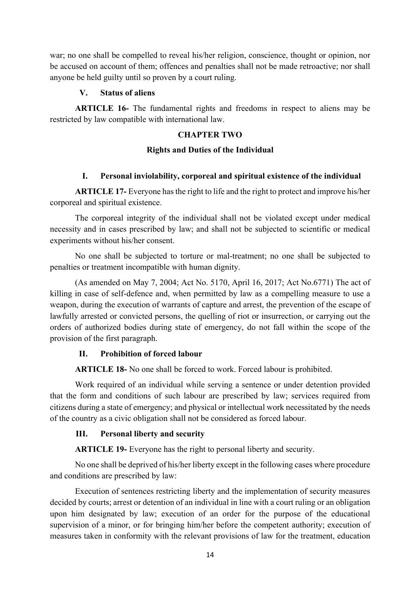war; no one shall be compelled to reveal his/her religion, conscience, thought or opinion, nor be accused on account of them; offences and penalties shall not be made retroactive; nor shall anyone be held guilty until so proven by a court ruling.

#### **V. Status of aliens**

**ARTICLE 16-** The fundamental rights and freedoms in respect to aliens may be restricted by law compatible with international law.

#### **CHAPTER TWO**

#### **Rights and Duties of the Individual**

#### **I. Personal inviolability, corporeal and spiritual existence of the individual**

**ARTICLE 17-** Everyone has the right to life and the right to protect and improve his/her corporeal and spiritual existence.

The corporeal integrity of the individual shall not be violated except under medical necessity and in cases prescribed by law; and shall not be subjected to scientific or medical experiments without his/her consent.

No one shall be subjected to torture or mal-treatment; no one shall be subjected to penalties or treatment incompatible with human dignity.

 (As amended on May 7, 2004; Act No. 5170, April 16, 2017; Act No.6771) The act of killing in case of self-defence and, when permitted by law as a compelling measure to use a weapon, during the execution of warrants of capture and arrest, the prevention of the escape of lawfully arrested or convicted persons, the quelling of riot or insurrection, or carrying out the orders of authorized bodies during state of emergency, do not fall within the scope of the provision of the first paragraph.

#### **II. Prohibition of forced labour**

**ARTICLE 18-** No one shall be forced to work. Forced labour is prohibited.

Work required of an individual while serving a sentence or under detention provided that the form and conditions of such labour are prescribed by law; services required from citizens during a state of emergency; and physical or intellectual work necessitated by the needs of the country as a civic obligation shall not be considered as forced labour.

#### **III. Personal liberty and security**

**ARTICLE 19-** Everyone has the right to personal liberty and security.

No one shall be deprived of his/her liberty except in the following cases where procedure and conditions are prescribed by law:

Execution of sentences restricting liberty and the implementation of security measures decided by courts; arrest or detention of an individual in line with a court ruling or an obligation upon him designated by law; execution of an order for the purpose of the educational supervision of a minor, or for bringing him/her before the competent authority; execution of measures taken in conformity with the relevant provisions of law for the treatment, education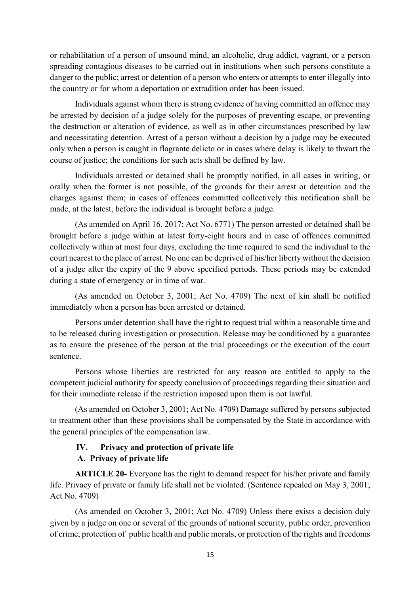or rehabilitation of a person of unsound mind, an alcoholic, drug addict, vagrant, or a person spreading contagious diseases to be carried out in institutions when such persons constitute a danger to the public; arrest or detention of a person who enters or attempts to enter illegally into the country or for whom a deportation or extradition order has been issued.

Individuals against whom there is strong evidence of having committed an offence may be arrested by decision of a judge solely for the purposes of preventing escape, or preventing the destruction or alteration of evidence, as well as in other circumstances prescribed by law and necessitating detention. Arrest of a person without a decision by a judge may be executed only when a person is caught in flagrante delicto or in cases where delay is likely to thwart the course of justice; the conditions for such acts shall be defined by law.

Individuals arrested or detained shall be promptly notified, in all cases in writing, or orally when the former is not possible, of the grounds for their arrest or detention and the charges against them; in cases of offences committed collectively this notification shall be made, at the latest, before the individual is brought before a judge.

(As amended on April 16, 2017; Act No. 6771) The person arrested or detained shall be brought before a judge within at latest forty-eight hours and in case of offences committed collectively within at most four days, excluding the time required to send the individual to the court nearest to the place of arrest. No one can be deprived of his/her liberty without the decision of a judge after the expiry of the 9 above specified periods. These periods may be extended during a state of emergency or in time of war.

(As amended on October 3, 2001; Act No. 4709) The next of kin shall be notified immediately when a person has been arrested or detained.

Persons under detention shall have the right to request trial within a reasonable time and to be released during investigation or prosecution. Release may be conditioned by a guarantee as to ensure the presence of the person at the trial proceedings or the execution of the court sentence.

Persons whose liberties are restricted for any reason are entitled to apply to the competent judicial authority for speedy conclusion of proceedings regarding their situation and for their immediate release if the restriction imposed upon them is not lawful.

(As amended on October 3, 2001; Act No. 4709) Damage suffered by persons subjected to treatment other than these provisions shall be compensated by the State in accordance with the general principles of the compensation law.

## **IV. Privacy and protection of private life A. Privacy of private life**

**ARTICLE 20-** Everyone has the right to demand respect for his/her private and family life. Privacy of private or family life shall not be violated. (Sentence repealed on May 3, 2001; Act No. 4709)

(As amended on October 3, 2001; Act No. 4709) Unless there exists a decision duly given by a judge on one or several of the grounds of national security, public order, prevention of crime, protection of public health and public morals, or protection of the rights and freedoms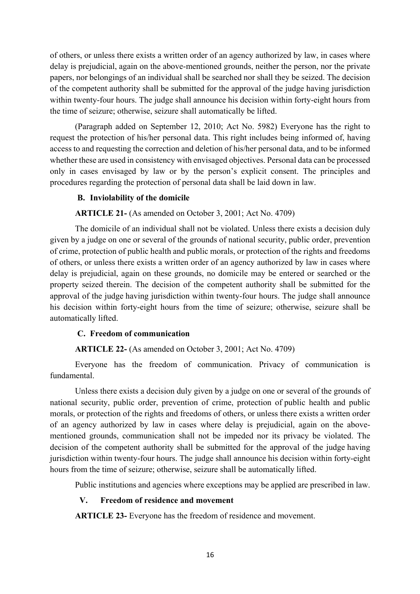of others, or unless there exists a written order of an agency authorized by law, in cases where delay is prejudicial, again on the above-mentioned grounds, neither the person, nor the private papers, nor belongings of an individual shall be searched nor shall they be seized. The decision of the competent authority shall be submitted for the approval of the judge having jurisdiction within twenty-four hours. The judge shall announce his decision within forty-eight hours from the time of seizure; otherwise, seizure shall automatically be lifted.

(Paragraph added on September 12, 2010; Act No. 5982) Everyone has the right to request the protection of his/her personal data. This right includes being informed of, having access to and requesting the correction and deletion of his/her personal data, and to be informed whether these are used in consistency with envisaged objectives. Personal data can be processed only in cases envisaged by law or by the person's explicit consent. The principles and procedures regarding the protection of personal data shall be laid down in law.

#### **B. Inviolability of the domicile**

**ARTICLE 21-** (As amended on October 3, 2001; Act No. 4709)

The domicile of an individual shall not be violated. Unless there exists a decision duly given by a judge on one or several of the grounds of national security, public order, prevention of crime, protection of public health and public morals, or protection of the rights and freedoms of others, or unless there exists a written order of an agency authorized by law in cases where delay is prejudicial, again on these grounds, no domicile may be entered or searched or the property seized therein. The decision of the competent authority shall be submitted for the approval of the judge having jurisdiction within twenty-four hours. The judge shall announce his decision within forty-eight hours from the time of seizure; otherwise, seizure shall be automatically lifted.

#### **C. Freedom of communication**

#### **ARTICLE 22-** (As amended on October 3, 2001; Act No. 4709)

Everyone has the freedom of communication. Privacy of communication is fundamental.

Unless there exists a decision duly given by a judge on one or several of the grounds of national security, public order, prevention of crime, protection of public health and public morals, or protection of the rights and freedoms of others, or unless there exists a written order of an agency authorized by law in cases where delay is prejudicial, again on the abovementioned grounds, communication shall not be impeded nor its privacy be violated. The decision of the competent authority shall be submitted for the approval of the judge having jurisdiction within twenty-four hours. The judge shall announce his decision within forty-eight hours from the time of seizure; otherwise, seizure shall be automatically lifted.

Public institutions and agencies where exceptions may be applied are prescribed in law.

#### **V. Freedom of residence and movement**

**ARTICLE 23-** Everyone has the freedom of residence and movement.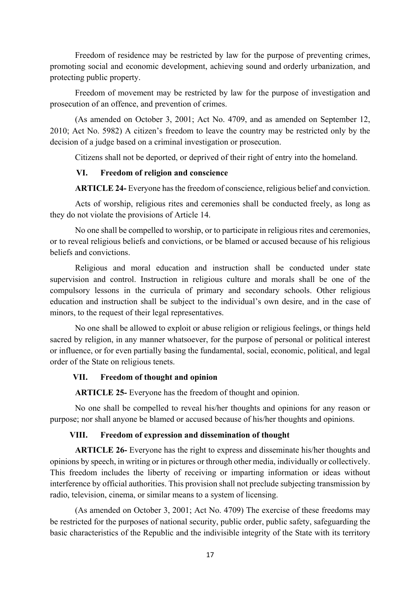Freedom of residence may be restricted by law for the purpose of preventing crimes, promoting social and economic development, achieving sound and orderly urbanization, and protecting public property.

Freedom of movement may be restricted by law for the purpose of investigation and prosecution of an offence, and prevention of crimes.

(As amended on October 3, 2001; Act No. 4709, and as amended on September 12, 2010; Act No. 5982) A citizen's freedom to leave the country may be restricted only by the decision of a judge based on a criminal investigation or prosecution.

Citizens shall not be deported, or deprived of their right of entry into the homeland.

#### **VI. Freedom of religion and conscience**

**ARTICLE 24-** Everyone has the freedom of conscience, religious belief and conviction.

Acts of worship, religious rites and ceremonies shall be conducted freely, as long as they do not violate the provisions of Article 14.

No one shall be compelled to worship, or to participate in religious rites and ceremonies, or to reveal religious beliefs and convictions, or be blamed or accused because of his religious beliefs and convictions.

Religious and moral education and instruction shall be conducted under state supervision and control. Instruction in religious culture and morals shall be one of the compulsory lessons in the curricula of primary and secondary schools. Other religious education and instruction shall be subject to the individual's own desire, and in the case of minors, to the request of their legal representatives.

No one shall be allowed to exploit or abuse religion or religious feelings, or things held sacred by religion, in any manner whatsoever, for the purpose of personal or political interest or influence, or for even partially basing the fundamental, social, economic, political, and legal order of the State on religious tenets.

#### **VII. Freedom of thought and opinion**

**ARTICLE 25-** Everyone has the freedom of thought and opinion.

No one shall be compelled to reveal his/her thoughts and opinions for any reason or purpose; nor shall anyone be blamed or accused because of his/her thoughts and opinions.

#### **VIII. Freedom of expression and dissemination of thought**

**ARTICLE 26-** Everyone has the right to express and disseminate his/her thoughts and opinions by speech, in writing or in pictures or through other media, individually or collectively. This freedom includes the liberty of receiving or imparting information or ideas without interference by official authorities. This provision shall not preclude subjecting transmission by radio, television, cinema, or similar means to a system of licensing.

(As amended on October 3, 2001; Act No. 4709) The exercise of these freedoms may be restricted for the purposes of national security, public order, public safety, safeguarding the basic characteristics of the Republic and the indivisible integrity of the State with its territory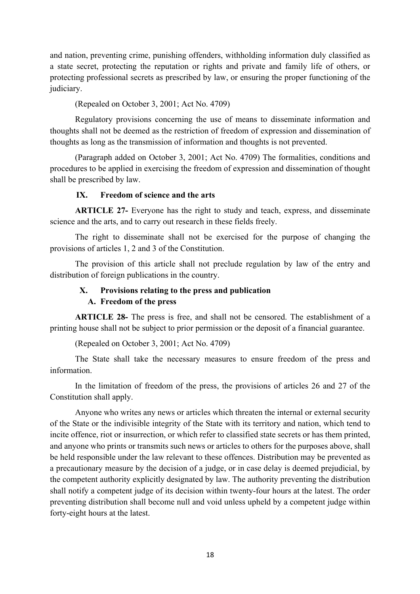and nation, preventing crime, punishing offenders, withholding information duly classified as a state secret, protecting the reputation or rights and private and family life of others, or protecting professional secrets as prescribed by law, or ensuring the proper functioning of the judiciary.

(Repealed on October 3, 2001; Act No. 4709)

Regulatory provisions concerning the use of means to disseminate information and thoughts shall not be deemed as the restriction of freedom of expression and dissemination of thoughts as long as the transmission of information and thoughts is not prevented.

(Paragraph added on October 3, 2001; Act No. 4709) The formalities, conditions and procedures to be applied in exercising the freedom of expression and dissemination of thought shall be prescribed by law.

#### **IX. Freedom of science and the arts**

**ARTICLE 27-** Everyone has the right to study and teach, express, and disseminate science and the arts, and to carry out research in these fields freely.

The right to disseminate shall not be exercised for the purpose of changing the provisions of articles 1, 2 and 3 of the Constitution.

The provision of this article shall not preclude regulation by law of the entry and distribution of foreign publications in the country.

## **X. Provisions relating to the press and publication**

#### **A. Freedom of the press**

**ARTICLE 28-** The press is free, and shall not be censored. The establishment of a printing house shall not be subject to prior permission or the deposit of a financial guarantee.

(Repealed on October 3, 2001; Act No. 4709)

The State shall take the necessary measures to ensure freedom of the press and information.

In the limitation of freedom of the press, the provisions of articles 26 and 27 of the Constitution shall apply.

Anyone who writes any news or articles which threaten the internal or external security of the State or the indivisible integrity of the State with its territory and nation, which tend to incite offence, riot or insurrection, or which refer to classified state secrets or has them printed, and anyone who prints or transmits such news or articles to others for the purposes above, shall be held responsible under the law relevant to these offences. Distribution may be prevented as a precautionary measure by the decision of a judge, or in case delay is deemed prejudicial, by the competent authority explicitly designated by law. The authority preventing the distribution shall notify a competent judge of its decision within twenty-four hours at the latest. The order preventing distribution shall become null and void unless upheld by a competent judge within forty-eight hours at the latest.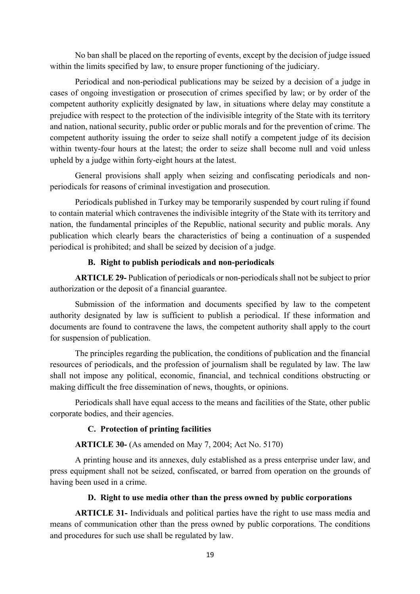No ban shall be placed on the reporting of events, except by the decision of judge issued within the limits specified by law, to ensure proper functioning of the judiciary.

Periodical and non-periodical publications may be seized by a decision of a judge in cases of ongoing investigation or prosecution of crimes specified by law; or by order of the competent authority explicitly designated by law, in situations where delay may constitute a prejudice with respect to the protection of the indivisible integrity of the State with its territory and nation, national security, public order or public morals and for the prevention of crime. The competent authority issuing the order to seize shall notify a competent judge of its decision within twenty-four hours at the latest; the order to seize shall become null and void unless upheld by a judge within forty-eight hours at the latest.

General provisions shall apply when seizing and confiscating periodicals and nonperiodicals for reasons of criminal investigation and prosecution.

Periodicals published in Turkey may be temporarily suspended by court ruling if found to contain material which contravenes the indivisible integrity of the State with its territory and nation, the fundamental principles of the Republic, national security and public morals. Any publication which clearly bears the characteristics of being a continuation of a suspended periodical is prohibited; and shall be seized by decision of a judge.

#### **B. Right to publish periodicals and non-periodicals**

**ARTICLE 29-** Publication of periodicals or non-periodicals shall not be subject to prior authorization or the deposit of a financial guarantee.

Submission of the information and documents specified by law to the competent authority designated by law is sufficient to publish a periodical. If these information and documents are found to contravene the laws, the competent authority shall apply to the court for suspension of publication.

The principles regarding the publication, the conditions of publication and the financial resources of periodicals, and the profession of journalism shall be regulated by law. The law shall not impose any political, economic, financial, and technical conditions obstructing or making difficult the free dissemination of news, thoughts, or opinions.

Periodicals shall have equal access to the means and facilities of the State, other public corporate bodies, and their agencies.

#### **C. Protection of printing facilities**

#### **ARTICLE 30-** (As amended on May 7, 2004; Act No. 5170)

A printing house and its annexes, duly established as a press enterprise under law, and press equipment shall not be seized, confiscated, or barred from operation on the grounds of having been used in a crime.

## **D. Right to use media other than the press owned by public corporations**

**ARTICLE 31-** Individuals and political parties have the right to use mass media and means of communication other than the press owned by public corporations. The conditions and procedures for such use shall be regulated by law.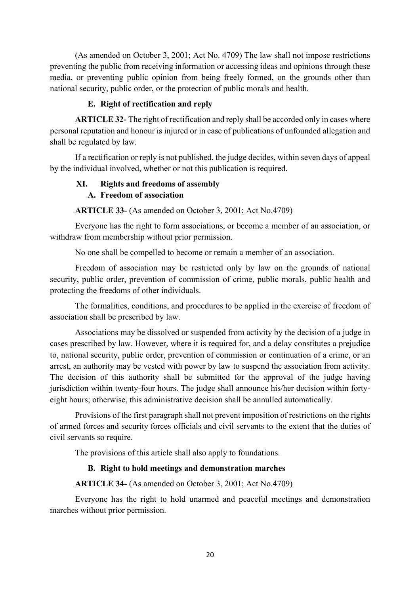(As amended on October 3, 2001; Act No. 4709) The law shall not impose restrictions preventing the public from receiving information or accessing ideas and opinions through these media, or preventing public opinion from being freely formed, on the grounds other than national security, public order, or the protection of public morals and health.

#### **E. Right of rectification and reply**

**ARTICLE 32-** The right of rectification and reply shall be accorded only in cases where personal reputation and honour is injured or in case of publications of unfounded allegation and shall be regulated by law.

If a rectification or reply is not published, the judge decides, within seven days of appeal by the individual involved, whether or not this publication is required.

## **XI. Rights and freedoms of assembly A. Freedom of association**

**ARTICLE 33-** (As amended on October 3, 2001; Act No.4709)

Everyone has the right to form associations, or become a member of an association, or withdraw from membership without prior permission.

No one shall be compelled to become or remain a member of an association.

Freedom of association may be restricted only by law on the grounds of national security, public order, prevention of commission of crime, public morals, public health and protecting the freedoms of other individuals.

The formalities, conditions, and procedures to be applied in the exercise of freedom of association shall be prescribed by law.

Associations may be dissolved or suspended from activity by the decision of a judge in cases prescribed by law. However, where it is required for, and a delay constitutes a prejudice to, national security, public order, prevention of commission or continuation of a crime, or an arrest, an authority may be vested with power by law to suspend the association from activity. The decision of this authority shall be submitted for the approval of the judge having jurisdiction within twenty-four hours. The judge shall announce his/her decision within fortyeight hours; otherwise, this administrative decision shall be annulled automatically.

Provisions of the first paragraph shall not prevent imposition of restrictions on the rights of armed forces and security forces officials and civil servants to the extent that the duties of civil servants so require.

The provisions of this article shall also apply to foundations.

## **B. Right to hold meetings and demonstration marches**

**ARTICLE 34-** (As amended on October 3, 2001; Act No.4709)

Everyone has the right to hold unarmed and peaceful meetings and demonstration marches without prior permission.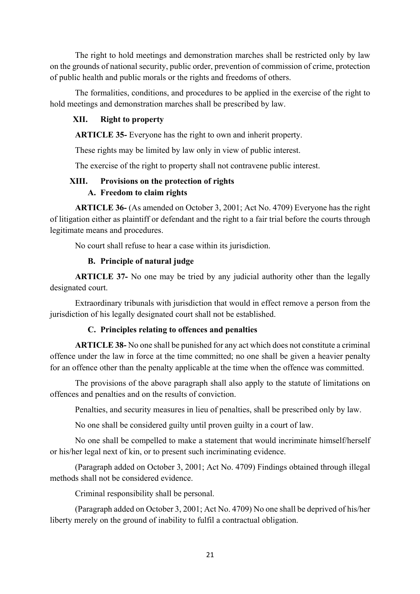The right to hold meetings and demonstration marches shall be restricted only by law on the grounds of national security, public order, prevention of commission of crime, protection of public health and public morals or the rights and freedoms of others.

The formalities, conditions, and procedures to be applied in the exercise of the right to hold meetings and demonstration marches shall be prescribed by law.

## **XII. Right to property**

**ARTICLE 35-** Everyone has the right to own and inherit property.

These rights may be limited by law only in view of public interest.

The exercise of the right to property shall not contravene public interest.

## **XIII. Provisions on the protection of rights A. Freedom to claim rights**

**ARTICLE 36-** (As amended on October 3, 2001; Act No. 4709) Everyone has the right of litigation either as plaintiff or defendant and the right to a fair trial before the courts through legitimate means and procedures.

No court shall refuse to hear a case within its jurisdiction.

## **B. Principle of natural judge**

**ARTICLE 37-** No one may be tried by any judicial authority other than the legally designated court.

Extraordinary tribunals with jurisdiction that would in effect remove a person from the jurisdiction of his legally designated court shall not be established.

#### **C. Principles relating to offences and penalties**

**ARTICLE 38-** No one shall be punished for any act which does not constitute a criminal offence under the law in force at the time committed; no one shall be given a heavier penalty for an offence other than the penalty applicable at the time when the offence was committed.

The provisions of the above paragraph shall also apply to the statute of limitations on offences and penalties and on the results of conviction.

Penalties, and security measures in lieu of penalties, shall be prescribed only by law.

No one shall be considered guilty until proven guilty in a court of law.

No one shall be compelled to make a statement that would incriminate himself/herself or his/her legal next of kin, or to present such incriminating evidence.

(Paragraph added on October 3, 2001; Act No. 4709) Findings obtained through illegal methods shall not be considered evidence.

Criminal responsibility shall be personal.

(Paragraph added on October 3, 2001; Act No. 4709) No one shall be deprived of his/her liberty merely on the ground of inability to fulfil a contractual obligation.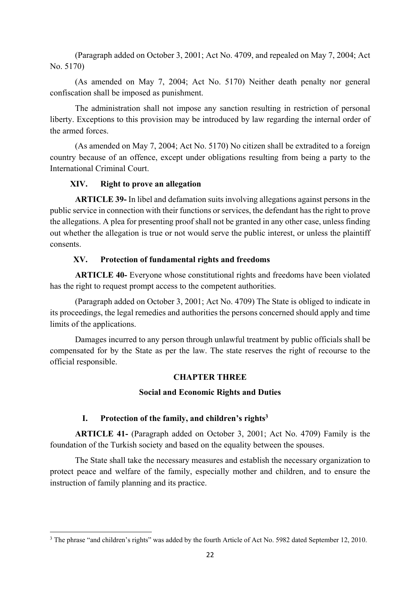(Paragraph added on October 3, 2001; Act No. 4709, and repealed on May 7, 2004; Act No. 5170)

(As amended on May 7, 2004; Act No. 5170) Neither death penalty nor general confiscation shall be imposed as punishment.

The administration shall not impose any sanction resulting in restriction of personal liberty. Exceptions to this provision may be introduced by law regarding the internal order of the armed forces.

(As amended on May 7, 2004; Act No. 5170) No citizen shall be extradited to a foreign country because of an offence, except under obligations resulting from being a party to the International Criminal Court.

#### **XIV. Right to prove an allegation**

**ARTICLE 39-** In libel and defamation suits involving allegations against persons in the public service in connection with their functions or services, the defendant has the right to prove the allegations. A plea for presenting proof shall not be granted in any other case, unless finding out whether the allegation is true or not would serve the public interest, or unless the plaintiff consents.

## **XV. Protection of fundamental rights and freedoms**

**ARTICLE 40-** Everyone whose constitutional rights and freedoms have been violated has the right to request prompt access to the competent authorities.

(Paragraph added on October 3, 2001; Act No. 4709) The State is obliged to indicate in its proceedings, the legal remedies and authorities the persons concerned should apply and time limits of the applications.

Damages incurred to any person through unlawful treatment by public officials shall be compensated for by the State as per the law. The state reserves the right of recourse to the official responsible.

## **CHAPTER THREE**

#### **Social and Economic Rights and Duties**

#### **I. Protection of the family, and children's rights3**

**ARTICLE 41-** (Paragraph added on October 3, 2001; Act No. 4709) Family is the foundation of the Turkish society and based on the equality between the spouses.

The State shall take the necessary measures and establish the necessary organization to protect peace and welfare of the family, especially mother and children, and to ensure the instruction of family planning and its practice.

<sup>&</sup>lt;sup>3</sup> The phrase "and children's rights" was added by the fourth Article of Act No. 5982 dated September 12, 2010.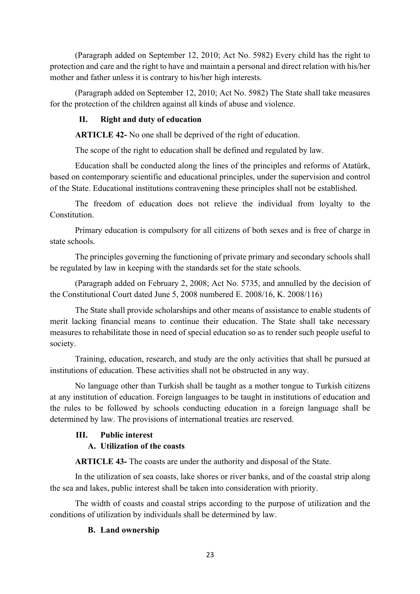(Paragraph added on September 12, 2010; Act No. 5982) Every child has the right to protection and care and the right to have and maintain a personal and direct relation with his/her mother and father unless it is contrary to his/her high interests.

(Paragraph added on September 12, 2010; Act No. 5982) The State shall take measures for the protection of the children against all kinds of abuse and violence.

## **II. Right and duty of education**

**ARTICLE 42-** No one shall be deprived of the right of education.

The scope of the right to education shall be defined and regulated by law.

Education shall be conducted along the lines of the principles and reforms of Atatürk, based on contemporary scientific and educational principles, under the supervision and control of the State. Educational institutions contravening these principles shall not be established.

The freedom of education does not relieve the individual from loyalty to the Constitution.

Primary education is compulsory for all citizens of both sexes and is free of charge in state schools.

The principles governing the functioning of private primary and secondary schools shall be regulated by law in keeping with the standards set for the state schools.

(Paragraph added on February 2, 2008; Act No. 5735, and annulled by the decision of the Constitutional Court dated June 5, 2008 numbered E. 2008/16, K. 2008/116)

The State shall provide scholarships and other means of assistance to enable students of merit lacking financial means to continue their education. The State shall take necessary measures to rehabilitate those in need of special education so as to render such people useful to society.

Training, education, research, and study are the only activities that shall be pursued at institutions of education. These activities shall not be obstructed in any way.

No language other than Turkish shall be taught as a mother tongue to Turkish citizens at any institution of education. Foreign languages to be taught in institutions of education and the rules to be followed by schools conducting education in a foreign language shall be determined by law. The provisions of international treaties are reserved.

#### **III. Public interest**

## **A. Utilization of the coasts**

**ARTICLE 43-** The coasts are under the authority and disposal of the State.

In the utilization of sea coasts, lake shores or river banks, and of the coastal strip along the sea and lakes, public interest shall be taken into consideration with priority.

The width of coasts and coastal strips according to the purpose of utilization and the conditions of utilization by individuals shall be determined by law.

#### **B. Land ownership**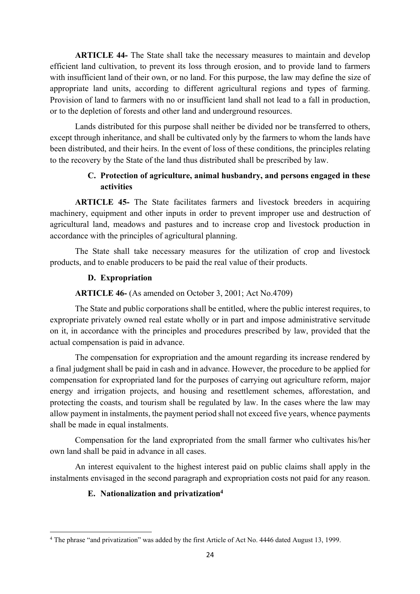**ARTICLE 44-** The State shall take the necessary measures to maintain and develop efficient land cultivation, to prevent its loss through erosion, and to provide land to farmers with insufficient land of their own, or no land. For this purpose, the law may define the size of appropriate land units, according to different agricultural regions and types of farming. Provision of land to farmers with no or insufficient land shall not lead to a fall in production, or to the depletion of forests and other land and underground resources.

Lands distributed for this purpose shall neither be divided nor be transferred to others, except through inheritance, and shall be cultivated only by the farmers to whom the lands have been distributed, and their heirs. In the event of loss of these conditions, the principles relating to the recovery by the State of the land thus distributed shall be prescribed by law.

## **C. Protection of agriculture, animal husbandry, and persons engaged in these activities**

**ARTICLE 45-** The State facilitates farmers and livestock breeders in acquiring machinery, equipment and other inputs in order to prevent improper use and destruction of agricultural land, meadows and pastures and to increase crop and livestock production in accordance with the principles of agricultural planning.

The State shall take necessary measures for the utilization of crop and livestock products, and to enable producers to be paid the real value of their products.

#### **D. Expropriation**

#### **ARTICLE 46-** (As amended on October 3, 2001; Act No.4709)

The State and public corporations shall be entitled, where the public interest requires, to expropriate privately owned real estate wholly or in part and impose administrative servitude on it, in accordance with the principles and procedures prescribed by law, provided that the actual compensation is paid in advance.

The compensation for expropriation and the amount regarding its increase rendered by a final judgment shall be paid in cash and in advance. However, the procedure to be applied for compensation for expropriated land for the purposes of carrying out agriculture reform, major energy and irrigation projects, and housing and resettlement schemes, afforestation, and protecting the coasts, and tourism shall be regulated by law. In the cases where the law may allow payment in instalments, the payment period shall not exceed five years, whence payments shall be made in equal instalments.

Compensation for the land expropriated from the small farmer who cultivates his/her own land shall be paid in advance in all cases.

An interest equivalent to the highest interest paid on public claims shall apply in the instalments envisaged in the second paragraph and expropriation costs not paid for any reason.

#### **E. Nationalization and privatization4**

<sup>4</sup> The phrase "and privatization" was added by the first Article of Act No. 4446 dated August 13, 1999.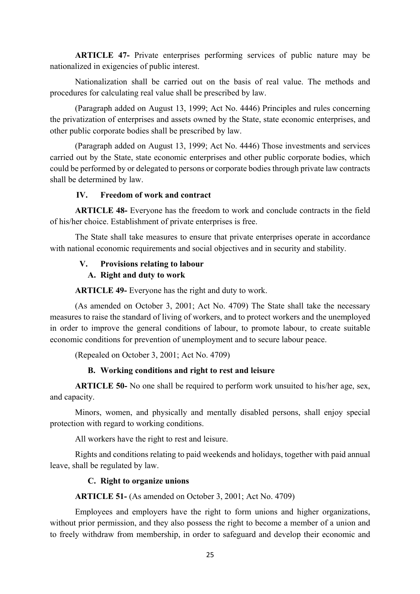**ARTICLE 47-** Private enterprises performing services of public nature may be nationalized in exigencies of public interest.

Nationalization shall be carried out on the basis of real value. The methods and procedures for calculating real value shall be prescribed by law.

(Paragraph added on August 13, 1999; Act No. 4446) Principles and rules concerning the privatization of enterprises and assets owned by the State, state economic enterprises, and other public corporate bodies shall be prescribed by law.

(Paragraph added on August 13, 1999; Act No. 4446) Those investments and services carried out by the State, state economic enterprises and other public corporate bodies, which could be performed by or delegated to persons or corporate bodies through private law contracts shall be determined by law.

#### **IV. Freedom of work and contract**

**ARTICLE 48-** Everyone has the freedom to work and conclude contracts in the field of his/her choice. Establishment of private enterprises is free.

The State shall take measures to ensure that private enterprises operate in accordance with national economic requirements and social objectives and in security and stability.

## **V. Provisions relating to labour**

## **A. Right and duty to work**

**ARTICLE 49-** Everyone has the right and duty to work.

(As amended on October 3, 2001; Act No. 4709) The State shall take the necessary measures to raise the standard of living of workers, and to protect workers and the unemployed in order to improve the general conditions of labour, to promote labour, to create suitable economic conditions for prevention of unemployment and to secure labour peace.

(Repealed on October 3, 2001; Act No. 4709)

#### **B. Working conditions and right to rest and leisure**

**ARTICLE 50-** No one shall be required to perform work unsuited to his/her age, sex, and capacity.

Minors, women, and physically and mentally disabled persons, shall enjoy special protection with regard to working conditions.

All workers have the right to rest and leisure.

Rights and conditions relating to paid weekends and holidays, together with paid annual leave, shall be regulated by law.

#### **C. Right to organize unions**

**ARTICLE 51-** (As amended on October 3, 2001; Act No. 4709)

Employees and employers have the right to form unions and higher organizations, without prior permission, and they also possess the right to become a member of a union and to freely withdraw from membership, in order to safeguard and develop their economic and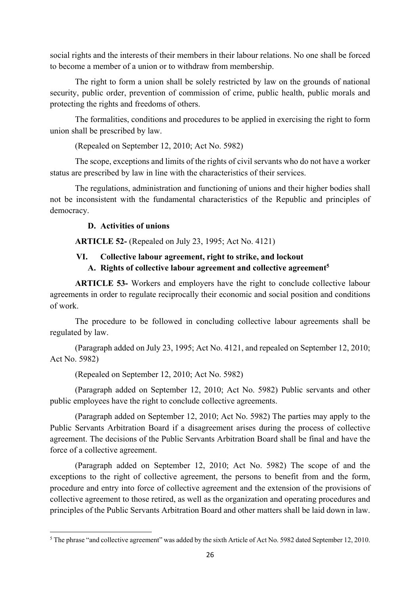social rights and the interests of their members in their labour relations. No one shall be forced to become a member of a union or to withdraw from membership.

The right to form a union shall be solely restricted by law on the grounds of national security, public order, prevention of commission of crime, public health, public morals and protecting the rights and freedoms of others.

The formalities, conditions and procedures to be applied in exercising the right to form union shall be prescribed by law.

(Repealed on September 12, 2010; Act No. 5982)

The scope, exceptions and limits of the rights of civil servants who do not have a worker status are prescribed by law in line with the characteristics of their services.

The regulations, administration and functioning of unions and their higher bodies shall not be inconsistent with the fundamental characteristics of the Republic and principles of democracy.

#### **D. Activities of unions**

**ARTICLE 52-** (Repealed on July 23, 1995; Act No. 4121)

#### **VI. Collective labour agreement, right to strike, and lockout**

#### **A. Rights of collective labour agreement and collective agreement5**

**ARTICLE 53-** Workers and employers have the right to conclude collective labour agreements in order to regulate reciprocally their economic and social position and conditions of work.

The procedure to be followed in concluding collective labour agreements shall be regulated by law.

(Paragraph added on July 23, 1995; Act No. 4121, and repealed on September 12, 2010; Act No. 5982)

(Repealed on September 12, 2010; Act No. 5982)

(Paragraph added on September 12, 2010; Act No. 5982) Public servants and other public employees have the right to conclude collective agreements.

(Paragraph added on September 12, 2010; Act No. 5982) The parties may apply to the Public Servants Arbitration Board if a disagreement arises during the process of collective agreement. The decisions of the Public Servants Arbitration Board shall be final and have the force of a collective agreement.

(Paragraph added on September 12, 2010; Act No. 5982) The scope of and the exceptions to the right of collective agreement, the persons to benefit from and the form, procedure and entry into force of collective agreement and the extension of the provisions of collective agreement to those retired, as well as the organization and operating procedures and principles of the Public Servants Arbitration Board and other matters shall be laid down in law.

<sup>&</sup>lt;sup>5</sup> The phrase "and collective agreement" was added by the sixth Article of Act No. 5982 dated September 12, 2010.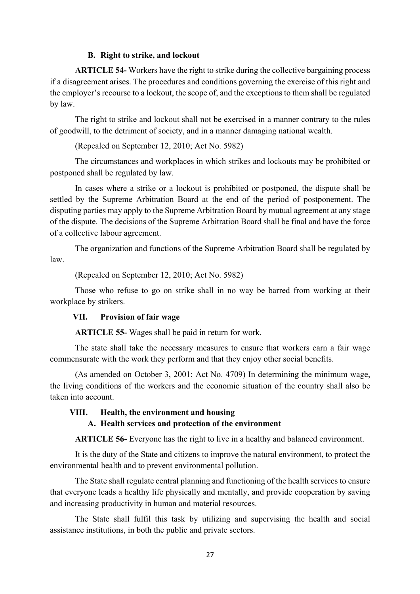#### **B. Right to strike, and lockout**

**ARTICLE 54-** Workers have the right to strike during the collective bargaining process if a disagreement arises. The procedures and conditions governing the exercise of this right and the employer's recourse to a lockout, the scope of, and the exceptions to them shall be regulated by law.

The right to strike and lockout shall not be exercised in a manner contrary to the rules of goodwill, to the detriment of society, and in a manner damaging national wealth.

(Repealed on September 12, 2010; Act No. 5982)

The circumstances and workplaces in which strikes and lockouts may be prohibited or postponed shall be regulated by law.

In cases where a strike or a lockout is prohibited or postponed, the dispute shall be settled by the Supreme Arbitration Board at the end of the period of postponement. The disputing parties may apply to the Supreme Arbitration Board by mutual agreement at any stage of the dispute. The decisions of the Supreme Arbitration Board shall be final and have the force of a collective labour agreement.

The organization and functions of the Supreme Arbitration Board shall be regulated by law.

(Repealed on September 12, 2010; Act No. 5982)

Those who refuse to go on strike shall in no way be barred from working at their workplace by strikers.

#### **VII. Provision of fair wage**

**ARTICLE 55-** Wages shall be paid in return for work.

The state shall take the necessary measures to ensure that workers earn a fair wage commensurate with the work they perform and that they enjoy other social benefits.

(As amended on October 3, 2001; Act No. 4709) In determining the minimum wage, the living conditions of the workers and the economic situation of the country shall also be taken into account.

#### **VIII. Health, the environment and housing**

#### **A. Health services and protection of the environment**

**ARTICLE 56-** Everyone has the right to live in a healthy and balanced environment.

It is the duty of the State and citizens to improve the natural environment, to protect the environmental health and to prevent environmental pollution.

The State shall regulate central planning and functioning of the health services to ensure that everyone leads a healthy life physically and mentally, and provide cooperation by saving and increasing productivity in human and material resources.

The State shall fulfil this task by utilizing and supervising the health and social assistance institutions, in both the public and private sectors.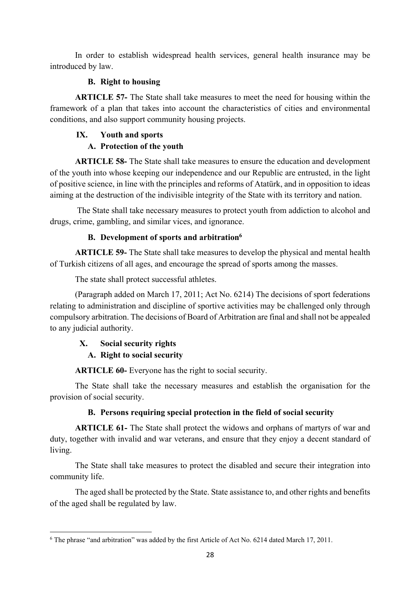In order to establish widespread health services, general health insurance may be introduced by law.

## **B. Right to housing**

**ARTICLE 57-** The State shall take measures to meet the need for housing within the framework of a plan that takes into account the characteristics of cities and environmental conditions, and also support community housing projects.

## **IX. Youth and sports**

## **A. Protection of the youth**

**ARTICLE 58-** The State shall take measures to ensure the education and development of the youth into whose keeping our independence and our Republic are entrusted, in the light of positive science, in line with the principles and reforms of Atatürk, and in opposition to ideas aiming at the destruction of the indivisible integrity of the State with its territory and nation.

 The State shall take necessary measures to protect youth from addiction to alcohol and drugs, crime, gambling, and similar vices, and ignorance.

## **B. Development of sports and arbitration6**

**ARTICLE 59-** The State shall take measures to develop the physical and mental health of Turkish citizens of all ages, and encourage the spread of sports among the masses.

The state shall protect successful athletes.

(Paragraph added on March 17, 2011; Act No. 6214) The decisions of sport federations relating to administration and discipline of sportive activities may be challenged only through compulsory arbitration. The decisions of Board of Arbitration are final and shall not be appealed to any judicial authority.

## **X. Social security rights A. Right to social security**

**ARTICLE 60-** Everyone has the right to social security.

The State shall take the necessary measures and establish the organisation for the provision of social security.

## **B. Persons requiring special protection in the field of social security**

**ARTICLE 61-** The State shall protect the widows and orphans of martyrs of war and duty, together with invalid and war veterans, and ensure that they enjoy a decent standard of living.

The State shall take measures to protect the disabled and secure their integration into community life.

The aged shall be protected by the State. State assistance to, and other rights and benefits of the aged shall be regulated by law.

 <sup>6</sup> The phrase "and arbitration" was added by the first Article of Act No. 6214 dated March 17, 2011.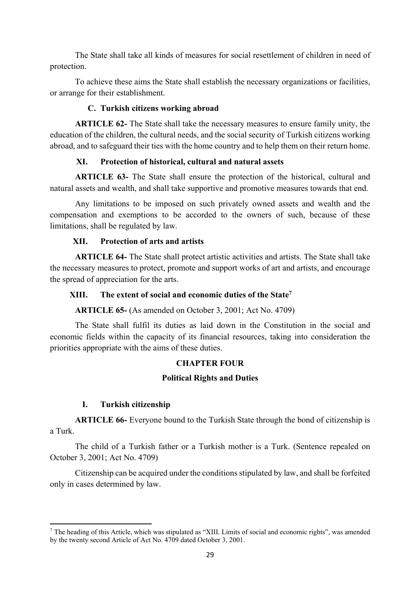The State shall take all kinds of measures for social resettlement of children in need of protection.

To achieve these aims the State shall establish the necessary organizations or facilities, or arrange for their establishment.

#### **C. Turkish citizens working abroad**

**ARTICLE 62-** The State shall take the necessary measures to ensure family unity, the education of the children, the cultural needs, and the social security of Turkish citizens working abroad, and to safeguard their ties with the home country and to help them on their return home.

## **XI. Protection of historical, cultural and natural assets**

**ARTICLE 63-** The State shall ensure the protection of the historical, cultural and natural assets and wealth, and shall take supportive and promotive measures towards that end.

Any limitations to be imposed on such privately owned assets and wealth and the compensation and exemptions to be accorded to the owners of such, because of these limitations, shall be regulated by law.

## **XII. Protection of arts and artists**

**ARTICLE 64-** The State shall protect artistic activities and artists. The State shall take the necessary measures to protect, promote and support works of art and artists, and encourage the spread of appreciation for the arts.

## **XIII. The extent of social and economic duties of the State7**

**ARTICLE 65-** (As amended on October 3, 2001; Act No. 4709)

The State shall fulfil its duties as laid down in the Constitution in the social and economic fields within the capacity of its financial resources, taking into consideration the priorities appropriate with the aims of these duties.

#### **CHAPTER FOUR**

#### **Political Rights and Duties**

#### **I. Turkish citizenship**

**ARTICLE 66-** Everyone bound to the Turkish State through the bond of citizenship is a Turk.

The child of a Turkish father or a Turkish mother is a Turk. (Sentence repealed on October 3, 2001; Act No. 4709)

Citizenship can be acquired under the conditions stipulated by law, and shall be forfeited only in cases determined by law.

<sup>&</sup>lt;sup>7</sup> The heading of this Article, which was stipulated as "XIII. Limits of social and economic rights", was amended by the twenty second Article of Act No. 4709 dated October 3, 2001.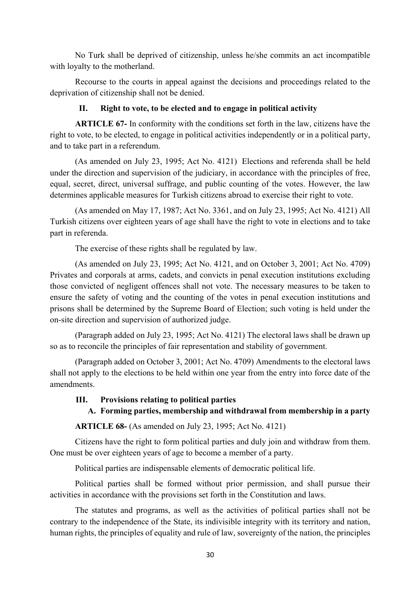No Turk shall be deprived of citizenship, unless he/she commits an act incompatible with loyalty to the motherland.

Recourse to the courts in appeal against the decisions and proceedings related to the deprivation of citizenship shall not be denied.

#### **II. Right to vote, to be elected and to engage in political activity**

**ARTICLE 67-** In conformity with the conditions set forth in the law, citizens have the right to vote, to be elected, to engage in political activities independently or in a political party, and to take part in a referendum.

(As amended on July 23, 1995; Act No. 4121) Elections and referenda shall be held under the direction and supervision of the judiciary, in accordance with the principles of free, equal, secret, direct, universal suffrage, and public counting of the votes. However, the law determines applicable measures for Turkish citizens abroad to exercise their right to vote.

(As amended on May 17, 1987; Act No. 3361, and on July 23, 1995; Act No. 4121) All Turkish citizens over eighteen years of age shall have the right to vote in elections and to take part in referenda.

The exercise of these rights shall be regulated by law.

(As amended on July 23, 1995; Act No. 4121, and on October 3, 2001; Act No. 4709) Privates and corporals at arms, cadets, and convicts in penal execution institutions excluding those convicted of negligent offences shall not vote. The necessary measures to be taken to ensure the safety of voting and the counting of the votes in penal execution institutions and prisons shall be determined by the Supreme Board of Election; such voting is held under the on-site direction and supervision of authorized judge.

(Paragraph added on July 23, 1995; Act No. 4121) The electoral laws shall be drawn up so as to reconcile the principles of fair representation and stability of government.

(Paragraph added on October 3, 2001; Act No. 4709) Amendments to the electoral laws shall not apply to the elections to be held within one year from the entry into force date of the amendments.

#### **III. Provisions relating to political parties**

#### **A. Forming parties, membership and withdrawal from membership in a party**

**ARTICLE 68-** (As amended on July 23, 1995; Act No. 4121)

Citizens have the right to form political parties and duly join and withdraw from them. One must be over eighteen years of age to become a member of a party.

Political parties are indispensable elements of democratic political life.

Political parties shall be formed without prior permission, and shall pursue their activities in accordance with the provisions set forth in the Constitution and laws.

The statutes and programs, as well as the activities of political parties shall not be contrary to the independence of the State, its indivisible integrity with its territory and nation, human rights, the principles of equality and rule of law, sovereignty of the nation, the principles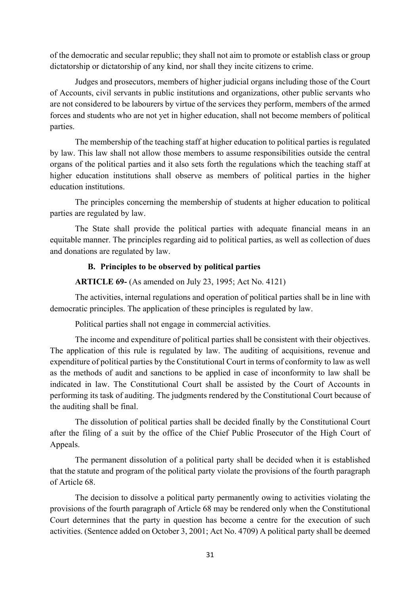of the democratic and secular republic; they shall not aim to promote or establish class or group dictatorship or dictatorship of any kind, nor shall they incite citizens to crime.

Judges and prosecutors, members of higher judicial organs including those of the Court of Accounts, civil servants in public institutions and organizations, other public servants who are not considered to be labourers by virtue of the services they perform, members of the armed forces and students who are not yet in higher education, shall not become members of political parties.

The membership of the teaching staff at higher education to political parties is regulated by law. This law shall not allow those members to assume responsibilities outside the central organs of the political parties and it also sets forth the regulations which the teaching staff at higher education institutions shall observe as members of political parties in the higher education institutions.

The principles concerning the membership of students at higher education to political parties are regulated by law.

The State shall provide the political parties with adequate financial means in an equitable manner. The principles regarding aid to political parties, as well as collection of dues and donations are regulated by law.

#### **B. Principles to be observed by political parties**

**ARTICLE 69-** (As amended on July 23, 1995; Act No. 4121)

The activities, internal regulations and operation of political parties shall be in line with democratic principles. The application of these principles is regulated by law.

Political parties shall not engage in commercial activities.

The income and expenditure of political parties shall be consistent with their objectives. The application of this rule is regulated by law. The auditing of acquisitions, revenue and expenditure of political parties by the Constitutional Court in terms of conformity to law as well as the methods of audit and sanctions to be applied in case of inconformity to law shall be indicated in law. The Constitutional Court shall be assisted by the Court of Accounts in performing its task of auditing. The judgments rendered by the Constitutional Court because of the auditing shall be final.

The dissolution of political parties shall be decided finally by the Constitutional Court after the filing of a suit by the office of the Chief Public Prosecutor of the High Court of Appeals.

The permanent dissolution of a political party shall be decided when it is established that the statute and program of the political party violate the provisions of the fourth paragraph of Article 68.

The decision to dissolve a political party permanently owing to activities violating the provisions of the fourth paragraph of Article 68 may be rendered only when the Constitutional Court determines that the party in question has become a centre for the execution of such activities. (Sentence added on October 3, 2001; Act No. 4709) A political party shall be deemed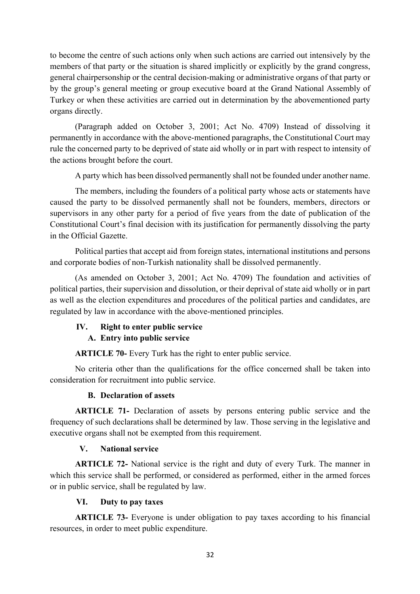to become the centre of such actions only when such actions are carried out intensively by the members of that party or the situation is shared implicitly or explicitly by the grand congress, general chairpersonship or the central decision-making or administrative organs of that party or by the group's general meeting or group executive board at the Grand National Assembly of Turkey or when these activities are carried out in determination by the abovementioned party organs directly.

(Paragraph added on October 3, 2001; Act No. 4709) Instead of dissolving it permanently in accordance with the above-mentioned paragraphs, the Constitutional Court may rule the concerned party to be deprived of state aid wholly or in part with respect to intensity of the actions brought before the court.

A party which has been dissolved permanently shall not be founded under another name.

The members, including the founders of a political party whose acts or statements have caused the party to be dissolved permanently shall not be founders, members, directors or supervisors in any other party for a period of five years from the date of publication of the Constitutional Court's final decision with its justification for permanently dissolving the party in the Official Gazette.

Political parties that accept aid from foreign states, international institutions and persons and corporate bodies of non-Turkish nationality shall be dissolved permanently.

(As amended on October 3, 2001; Act No. 4709) The foundation and activities of political parties, their supervision and dissolution, or their deprival of state aid wholly or in part as well as the election expenditures and procedures of the political parties and candidates, are regulated by law in accordance with the above-mentioned principles.

## **IV. Right to enter public service**

## **A. Entry into public service**

**ARTICLE 70-** Every Turk has the right to enter public service.

No criteria other than the qualifications for the office concerned shall be taken into consideration for recruitment into public service.

#### **B. Declaration of assets**

**ARTICLE 71-** Declaration of assets by persons entering public service and the frequency of such declarations shall be determined by law. Those serving in the legislative and executive organs shall not be exempted from this requirement.

#### **V. National service**

**ARTICLE 72-** National service is the right and duty of every Turk. The manner in which this service shall be performed, or considered as performed, either in the armed forces or in public service, shall be regulated by law.

#### **VI. Duty to pay taxes**

**ARTICLE 73-** Everyone is under obligation to pay taxes according to his financial resources, in order to meet public expenditure.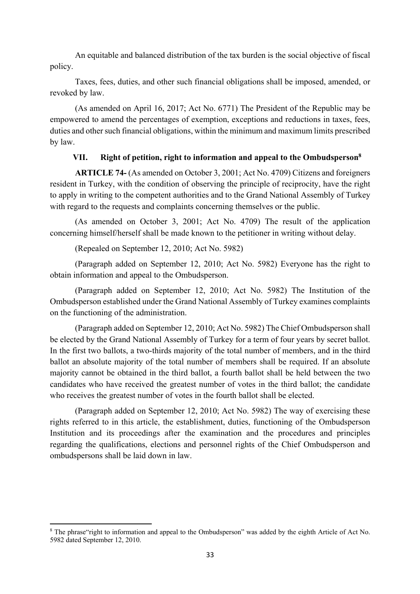An equitable and balanced distribution of the tax burden is the social objective of fiscal policy.

Taxes, fees, duties, and other such financial obligations shall be imposed, amended, or revoked by law.

(As amended on April 16, 2017; Act No. 6771) The President of the Republic may be empowered to amend the percentages of exemption, exceptions and reductions in taxes, fees, duties and other such financial obligations, within the minimum and maximum limits prescribed by law.

#### **VII. Right of petition, right to information and appeal to the Ombudsperson8**

**ARTICLE 74-** (As amended on October 3, 2001; Act No. 4709) Citizens and foreigners resident in Turkey, with the condition of observing the principle of reciprocity, have the right to apply in writing to the competent authorities and to the Grand National Assembly of Turkey with regard to the requests and complaints concerning themselves or the public.

(As amended on October 3, 2001; Act No. 4709) The result of the application concerning himself/herself shall be made known to the petitioner in writing without delay.

(Repealed on September 12, 2010; Act No. 5982)

(Paragraph added on September 12, 2010; Act No. 5982) Everyone has the right to obtain information and appeal to the Ombudsperson.

(Paragraph added on September 12, 2010; Act No. 5982) The Institution of the Ombudsperson established under the Grand National Assembly of Turkey examines complaints on the functioning of the administration.

(Paragraph added on September 12, 2010; Act No. 5982) The Chief Ombudsperson shall be elected by the Grand National Assembly of Turkey for a term of four years by secret ballot. In the first two ballots, a two-thirds majority of the total number of members, and in the third ballot an absolute majority of the total number of members shall be required. If an absolute majority cannot be obtained in the third ballot, a fourth ballot shall be held between the two candidates who have received the greatest number of votes in the third ballot; the candidate who receives the greatest number of votes in the fourth ballot shall be elected.

(Paragraph added on September 12, 2010; Act No. 5982) The way of exercising these rights referred to in this article, the establishment, duties, functioning of the Ombudsperson Institution and its proceedings after the examination and the procedures and principles regarding the qualifications, elections and personnel rights of the Chief Ombudsperson and ombudspersons shall be laid down in law.

 <sup>8</sup> The phrase "right to information and appeal to the Ombudsperson" was added by the eighth Article of Act No. 5982 dated September 12, 2010.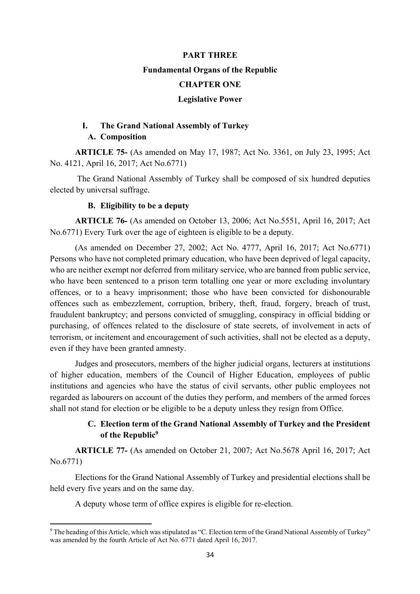# **PART THREE Fundamental Organs of the Republic CHAPTER ONE Legislative Power**

## **I. The Grand National Assembly of Turkey A. Composition**

**ARTICLE 75-** (As amended on May 17, 1987; Act No. 3361, on July 23, 1995; Act No. 4121, April 16, 2017; Act No.6771)

 The Grand National Assembly of Turkey shall be composed of six hundred deputies elected by universal suffrage.

#### **B. Eligibility to be a deputy**

**ARTICLE 76-** (As amended on October 13, 2006; Act No.5551, April 16, 2017; Act No.6771) Every Turk over the age of eighteen is eligible to be a deputy.

(As amended on December 27, 2002; Act No. 4777, April 16, 2017; Act No.6771) Persons who have not completed primary education, who have been deprived of legal capacity, who are neither exempt nor deferred from military service, who are banned from public service, who have been sentenced to a prison term totalling one year or more excluding involuntary offences, or to a heavy imprisonment; those who have been convicted for dishonourable offences such as embezzlement, corruption, bribery, theft, fraud, forgery, breach of trust, fraudulent bankruptcy; and persons convicted of smuggling, conspiracy in official bidding or purchasing, of offences related to the disclosure of state secrets, of involvement in acts of terrorism, or incitement and encouragement of such activities, shall not be elected as a deputy, even if they have been granted amnesty.

Judges and prosecutors, members of the higher judicial organs, lecturers at institutions of higher education, members of the Council of Higher Education, employees of public institutions and agencies who have the status of civil servants, other public employees not regarded as labourers on account of the duties they perform, and members of the armed forces shall not stand for election or be eligible to be a deputy unless they resign from Office.

## **C. Election term of the Grand National Assembly of Turkey and the President of the Republic9**

**ARTICLE 77-** (As amended on October 21, 2007; Act No.5678 April 16, 2017; Act No.6771)

Elections for the Grand National Assembly of Turkey and presidential elections shall be held every five years and on the same day.

A deputy whose term of office expires is eligible for re-election.

 <sup>9</sup> The heading of this Article, which was stipulated as "C. Election term of the Grand National Assembly of Turkey" was amended by the fourth Article of Act No. 6771 dated April 16, 2017.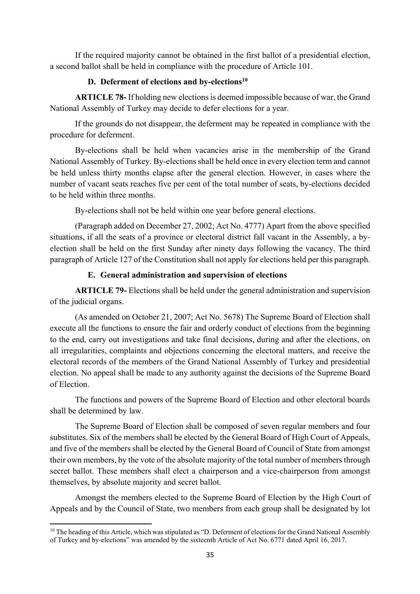If the required majority cannot be obtained in the first ballot of a presidential election, a second ballot shall be held in compliance with the procedure of Article 101.

#### **D.** Deferment of elections and by-elections<sup>10</sup>

**ARTICLE 78-** If holding new elections is deemed impossible because of war, the Grand National Assembly of Turkey may decide to defer elections for a year.

If the grounds do not disappear, the deferment may be repeated in compliance with the procedure for deferment.

By-elections shall be held when vacancies arise in the membership of the Grand National Assembly of Turkey. By-elections shall be held once in every election term and cannot be held unless thirty months elapse after the general election. However, in cases where the number of vacant seats reaches five per cent of the total number of seats, by-elections decided to be held within three months.

By-elections shall not be held within one year before general elections.

(Paragraph added on December 27, 2002; Act No. 4777) Apart from the above specified situations, if all the seats of a province or electoral district fall vacant in the Assembly, a byelection shall be held on the first Sunday after ninety days following the vacancy. The third paragraph of Article 127 of the Constitution shall not apply for elections held per this paragraph.

## **E. General administration and supervision of elections**

**ARTICLE 79-** Elections shall be held under the general administration and supervision of the judicial organs.

(As amended on October 21, 2007; Act No. 5678) The Supreme Board of Election shall execute all the functions to ensure the fair and orderly conduct of elections from the beginning to the end, carry out investigations and take final decisions, during and after the elections, on all irregularities, complaints and objections concerning the electoral matters, and receive the electoral records of the members of the Grand National Assembly of Turkey and presidential election. No appeal shall be made to any authority against the decisions of the Supreme Board of Election.

The functions and powers of the Supreme Board of Election and other electoral boards shall be determined by law.

The Supreme Board of Election shall be composed of seven regular members and four substitutes. Six of the members shall be elected by the General Board of High Court of Appeals, and five of the members shall be elected by the General Board of Council of State from amongst their own members, by the vote of the absolute majority of the total number of members through secret ballot. These members shall elect a chairperson and a vice-chairperson from amongst themselves, by absolute majority and secret ballot.

Amongst the members elected to the Supreme Board of Election by the High Court of Appeals and by the Council of State, two members from each group shall be designated by lot

 <sup>10</sup> The heading of this Article, which was stipulated as "D. Deferment of elections for the Grand National Assembly of Turkey and by-elections" was amended by the sixteenth Article of Act No. 6771 dated April 16, 2017.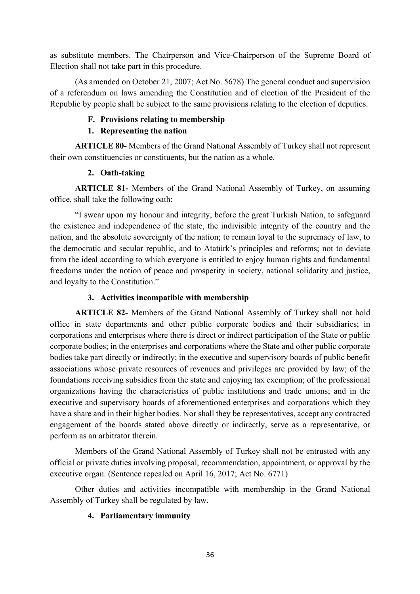as substitute members. The Chairperson and Vice-Chairperson of the Supreme Board of Election shall not take part in this procedure.

(As amended on October 21, 2007; Act No. 5678) The general conduct and supervision of a referendum on laws amending the Constitution and of election of the President of the Republic by people shall be subject to the same provisions relating to the election of deputies.

## **F. Provisions relating to membership**

## **1. Representing the nation**

**ARTICLE 80-** Members of the Grand National Assembly of Turkey shall not represent their own constituencies or constituents, but the nation as a whole.

## **2. Oath-taking**

**ARTICLE 81-** Members of the Grand National Assembly of Turkey, on assuming office, shall take the following oath:

"I swear upon my honour and integrity, before the great Turkish Nation, to safeguard the existence and independence of the state, the indivisible integrity of the country and the nation, and the absolute sovereignty of the nation; to remain loyal to the supremacy of law, to the democratic and secular republic, and to Atatürk's principles and reforms; not to deviate from the ideal according to which everyone is entitled to enjoy human rights and fundamental freedoms under the notion of peace and prosperity in society, national solidarity and justice, and loyalty to the Constitution."

## **3. Activities incompatible with membership**

**ARTICLE 82-** Members of the Grand National Assembly of Turkey shall not hold office in state departments and other public corporate bodies and their subsidiaries; in corporations and enterprises where there is direct or indirect participation of the State or public corporate bodies; in the enterprises and corporations where the State and other public corporate bodies take part directly or indirectly; in the executive and supervisory boards of public benefit associations whose private resources of revenues and privileges are provided by law; of the foundations receiving subsidies from the state and enjoying tax exemption; of the professional organizations having the characteristics of public institutions and trade unions; and in the executive and supervisory boards of aforementioned enterprises and corporations which they have a share and in their higher bodies. Nor shall they be representatives, accept any contracted engagement of the boards stated above directly or indirectly, serve as a representative, or perform as an arbitrator therein.

Members of the Grand National Assembly of Turkey shall not be entrusted with any official or private duties involving proposal, recommendation, appointment, or approval by the executive organ. (Sentence repealed on April 16, 2017; Act No. 6771)

Other duties and activities incompatible with membership in the Grand National Assembly of Turkey shall be regulated by law.

## **4. Parliamentary immunity**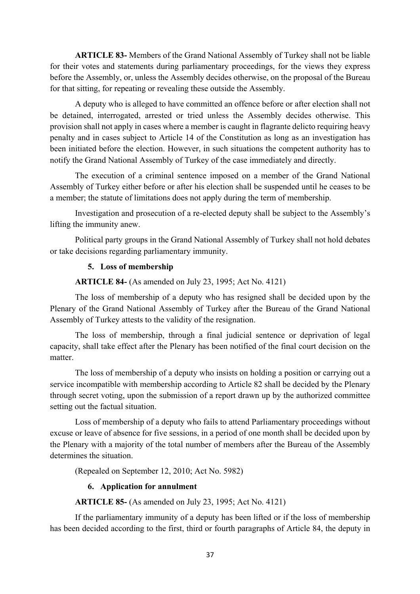**ARTICLE 83-** Members of the Grand National Assembly of Turkey shall not be liable for their votes and statements during parliamentary proceedings, for the views they express before the Assembly, or, unless the Assembly decides otherwise, on the proposal of the Bureau for that sitting, for repeating or revealing these outside the Assembly.

A deputy who is alleged to have committed an offence before or after election shall not be detained, interrogated, arrested or tried unless the Assembly decides otherwise. This provision shall not apply in cases where a member is caught in flagrante delicto requiring heavy penalty and in cases subject to Article 14 of the Constitution as long as an investigation has been initiated before the election. However, in such situations the competent authority has to notify the Grand National Assembly of Turkey of the case immediately and directly.

The execution of a criminal sentence imposed on a member of the Grand National Assembly of Turkey either before or after his election shall be suspended until he ceases to be a member; the statute of limitations does not apply during the term of membership.

Investigation and prosecution of a re-elected deputy shall be subject to the Assembly's lifting the immunity anew.

Political party groups in the Grand National Assembly of Turkey shall not hold debates or take decisions regarding parliamentary immunity.

#### **5. Loss of membership**

**ARTICLE 84-** (As amended on July 23, 1995; Act No. 4121)

The loss of membership of a deputy who has resigned shall be decided upon by the Plenary of the Grand National Assembly of Turkey after the Bureau of the Grand National Assembly of Turkey attests to the validity of the resignation.

The loss of membership, through a final judicial sentence or deprivation of legal capacity, shall take effect after the Plenary has been notified of the final court decision on the matter.

The loss of membership of a deputy who insists on holding a position or carrying out a service incompatible with membership according to Article 82 shall be decided by the Plenary through secret voting, upon the submission of a report drawn up by the authorized committee setting out the factual situation.

Loss of membership of a deputy who fails to attend Parliamentary proceedings without excuse or leave of absence for five sessions, in a period of one month shall be decided upon by the Plenary with a majority of the total number of members after the Bureau of the Assembly determines the situation.

(Repealed on September 12, 2010; Act No. 5982)

## **6. Application for annulment**

**ARTICLE 85-** (As amended on July 23, 1995; Act No. 4121)

If the parliamentary immunity of a deputy has been lifted or if the loss of membership has been decided according to the first, third or fourth paragraphs of Article 84, the deputy in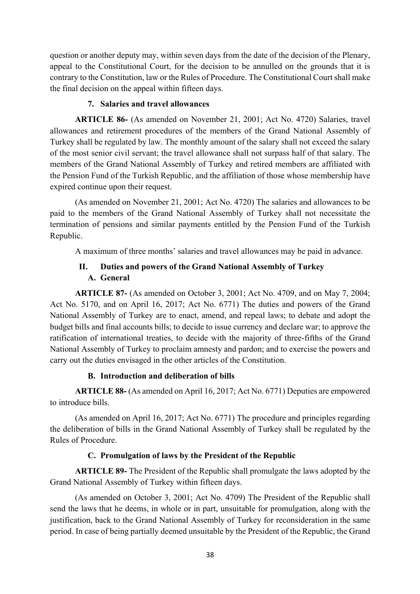question or another deputy may, within seven days from the date of the decision of the Plenary, appeal to the Constitutional Court, for the decision to be annulled on the grounds that it is contrary to the Constitution, law or the Rules of Procedure. The Constitutional Court shall make the final decision on the appeal within fifteen days.

## **7. Salaries and travel allowances**

**ARTICLE 86-** (As amended on November 21, 2001; Act No. 4720) Salaries, travel allowances and retirement procedures of the members of the Grand National Assembly of Turkey shall be regulated by law. The monthly amount of the salary shall not exceed the salary of the most senior civil servant; the travel allowance shall not surpass half of that salary. The members of the Grand National Assembly of Turkey and retired members are affiliated with the Pension Fund of the Turkish Republic, and the affiliation of those whose membership have expired continue upon their request.

(As amended on November 21, 2001; Act No. 4720) The salaries and allowances to be paid to the members of the Grand National Assembly of Turkey shall not necessitate the termination of pensions and similar payments entitled by the Pension Fund of the Turkish Republic.

A maximum of three months' salaries and travel allowances may be paid in advance.

# **II. Duties and powers of the Grand National Assembly of Turkey A. General**

**ARTICLE 87-** (As amended on October 3, 2001; Act No. 4709, and on May 7, 2004; Act No. 5170, and on April 16, 2017; Act No. 6771) The duties and powers of the Grand National Assembly of Turkey are to enact, amend, and repeal laws; to debate and adopt the budget bills and final accounts bills; to decide to issue currency and declare war; to approve the ratification of international treaties, to decide with the majority of three-fifths of the Grand National Assembly of Turkey to proclaim amnesty and pardon; and to exercise the powers and carry out the duties envisaged in the other articles of the Constitution.

## **B. Introduction and deliberation of bills**

**ARTICLE 88-** (As amended on April 16, 2017; Act No. 6771) Deputies are empowered to introduce bills.

(As amended on April 16, 2017; Act No. 6771) The procedure and principles regarding the deliberation of bills in the Grand National Assembly of Turkey shall be regulated by the Rules of Procedure.

## **C. Promulgation of laws by the President of the Republic**

**ARTICLE 89-** The President of the Republic shall promulgate the laws adopted by the Grand National Assembly of Turkey within fifteen days.

(As amended on October 3, 2001; Act No. 4709) The President of the Republic shall send the laws that he deems, in whole or in part, unsuitable for promulgation, along with the justification, back to the Grand National Assembly of Turkey for reconsideration in the same period. In case of being partially deemed unsuitable by the President of the Republic, the Grand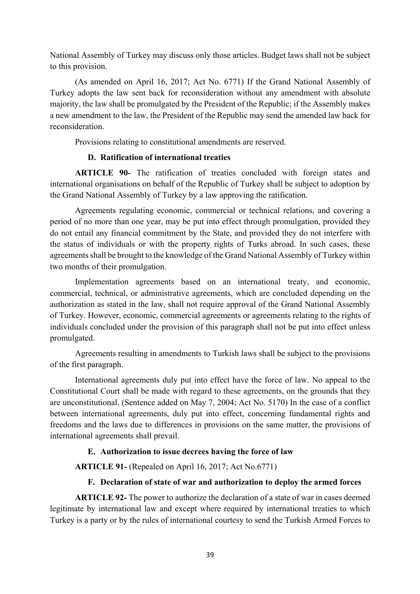National Assembly of Turkey may discuss only those articles. Budget laws shall not be subject to this provision.

(As amended on April 16, 2017; Act No. 6771) If the Grand National Assembly of Turkey adopts the law sent back for reconsideration without any amendment with absolute majority, the law shall be promulgated by the President of the Republic; if the Assembly makes a new amendment to the law, the President of the Republic may send the amended law back for reconsideration.

Provisions relating to constitutional amendments are reserved.

# **D. Ratification of international treaties**

**ARTICLE 90-** The ratification of treaties concluded with foreign states and international organisations on behalf of the Republic of Turkey shall be subject to adoption by the Grand National Assembly of Turkey by a law approving the ratification.

Agreements regulating economic, commercial or technical relations, and covering a period of no more than one year, may be put into effect through promulgation, provided they do not entail any financial commitment by the State, and provided they do not interfere with the status of individuals or with the property rights of Turks abroad. In such cases, these agreements shall be brought to the knowledge of the Grand National Assembly of Turkey within two months of their promulgation.

Implementation agreements based on an international treaty, and economic, commercial, technical, or administrative agreements, which are concluded depending on the authorization as stated in the law, shall not require approval of the Grand National Assembly of Turkey. However, economic, commercial agreements or agreements relating to the rights of individuals concluded under the provision of this paragraph shall not be put into effect unless promulgated.

Agreements resulting in amendments to Turkish laws shall be subject to the provisions of the first paragraph.

International agreements duly put into effect have the force of law. No appeal to the Constitutional Court shall be made with regard to these agreements, on the grounds that they are unconstitutional. (Sentence added on May 7, 2004; Act No. 5170) In the case of a conflict between international agreements, duly put into effect, concerning fundamental rights and freedoms and the laws due to differences in provisions on the same matter, the provisions of international agreements shall prevail.

# **E. Authorization to issue decrees having the force of law**

**ARTICLE 91-** (Repealed on April 16, 2017; Act No.6771)

# **F. Declaration of state of war and authorization to deploy the armed forces**

**ARTICLE 92-** The power to authorize the declaration of a state of war in cases deemed legitimate by international law and except where required by international treaties to which Turkey is a party or by the rules of international courtesy to send the Turkish Armed Forces to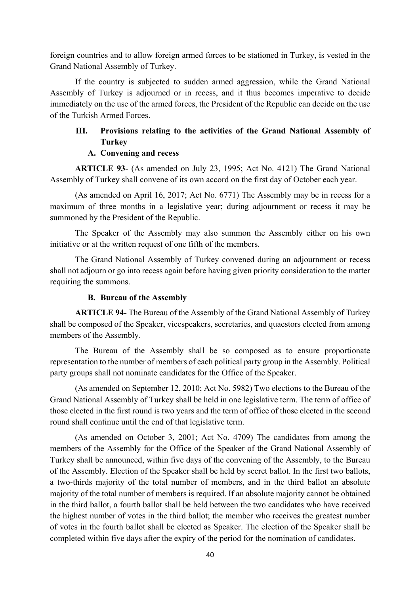foreign countries and to allow foreign armed forces to be stationed in Turkey, is vested in the Grand National Assembly of Turkey.

If the country is subjected to sudden armed aggression, while the Grand National Assembly of Turkey is adjourned or in recess, and it thus becomes imperative to decide immediately on the use of the armed forces, the President of the Republic can decide on the use of the Turkish Armed Forces.

# **III. Provisions relating to the activities of the Grand National Assembly of Turkey**

## **A. Convening and recess**

**ARTICLE 93-** (As amended on July 23, 1995; Act No. 4121) The Grand National Assembly of Turkey shall convene of its own accord on the first day of October each year.

(As amended on April 16, 2017; Act No. 6771) The Assembly may be in recess for a maximum of three months in a legislative year; during adjournment or recess it may be summoned by the President of the Republic.

The Speaker of the Assembly may also summon the Assembly either on his own initiative or at the written request of one fifth of the members.

The Grand National Assembly of Turkey convened during an adjournment or recess shall not adjourn or go into recess again before having given priority consideration to the matter requiring the summons.

## **B. Bureau of the Assembly**

**ARTICLE 94-** The Bureau of the Assembly of the Grand National Assembly of Turkey shall be composed of the Speaker, vicespeakers, secretaries, and quaestors elected from among members of the Assembly.

The Bureau of the Assembly shall be so composed as to ensure proportionate representation to the number of members of each political party group in the Assembly. Political party groups shall not nominate candidates for the Office of the Speaker.

(As amended on September 12, 2010; Act No. 5982) Two elections to the Bureau of the Grand National Assembly of Turkey shall be held in one legislative term. The term of office of those elected in the first round is two years and the term of office of those elected in the second round shall continue until the end of that legislative term.

(As amended on October 3, 2001; Act No. 4709) The candidates from among the members of the Assembly for the Office of the Speaker of the Grand National Assembly of Turkey shall be announced, within five days of the convening of the Assembly, to the Bureau of the Assembly. Election of the Speaker shall be held by secret ballot. In the first two ballots, a two-thirds majority of the total number of members, and in the third ballot an absolute majority of the total number of members is required. If an absolute majority cannot be obtained in the third ballot, a fourth ballot shall be held between the two candidates who have received the highest number of votes in the third ballot; the member who receives the greatest number of votes in the fourth ballot shall be elected as Speaker. The election of the Speaker shall be completed within five days after the expiry of the period for the nomination of candidates.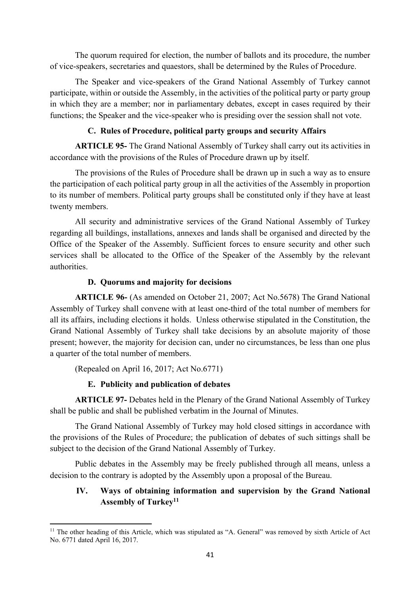The quorum required for election, the number of ballots and its procedure, the number of vice-speakers, secretaries and quaestors, shall be determined by the Rules of Procedure.

The Speaker and vice-speakers of the Grand National Assembly of Turkey cannot participate, within or outside the Assembly, in the activities of the political party or party group in which they are a member; nor in parliamentary debates, except in cases required by their functions; the Speaker and the vice-speaker who is presiding over the session shall not vote.

# **C. Rules of Procedure, political party groups and security Affairs**

**ARTICLE 95-** The Grand National Assembly of Turkey shall carry out its activities in accordance with the provisions of the Rules of Procedure drawn up by itself.

The provisions of the Rules of Procedure shall be drawn up in such a way as to ensure the participation of each political party group in all the activities of the Assembly in proportion to its number of members. Political party groups shall be constituted only if they have at least twenty members.

All security and administrative services of the Grand National Assembly of Turkey regarding all buildings, installations, annexes and lands shall be organised and directed by the Office of the Speaker of the Assembly. Sufficient forces to ensure security and other such services shall be allocated to the Office of the Speaker of the Assembly by the relevant authorities.

# **D. Quorums and majority for decisions**

**ARTICLE 96-** (As amended on October 21, 2007; Act No.5678) The Grand National Assembly of Turkey shall convene with at least one-third of the total number of members for all its affairs, including elections it holds. Unless otherwise stipulated in the Constitution, the Grand National Assembly of Turkey shall take decisions by an absolute majority of those present; however, the majority for decision can, under no circumstances, be less than one plus a quarter of the total number of members.

(Repealed on April 16, 2017; Act No.6771)

# **E. Publicity and publication of debates**

**ARTICLE 97-** Debates held in the Plenary of the Grand National Assembly of Turkey shall be public and shall be published verbatim in the Journal of Minutes.

The Grand National Assembly of Turkey may hold closed sittings in accordance with the provisions of the Rules of Procedure; the publication of debates of such sittings shall be subject to the decision of the Grand National Assembly of Turkey.

Public debates in the Assembly may be freely published through all means, unless a decision to the contrary is adopted by the Assembly upon a proposal of the Bureau.

# **IV. Ways of obtaining information and supervision by the Grand National Assembly of Turkey11**

 <sup>11</sup> The other heading of this Article, which was stipulated as "A. General" was removed by sixth Article of Act No. 6771 dated April 16, 2017.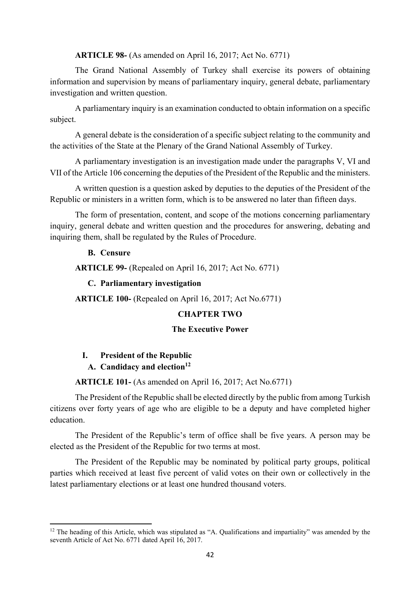**ARTICLE 98-** (As amended on April 16, 2017; Act No. 6771)

The Grand National Assembly of Turkey shall exercise its powers of obtaining information and supervision by means of parliamentary inquiry, general debate, parliamentary investigation and written question.

A parliamentary inquiry is an examination conducted to obtain information on a specific subject.

A general debate is the consideration of a specific subject relating to the community and the activities of the State at the Plenary of the Grand National Assembly of Turkey.

A parliamentary investigation is an investigation made under the paragraphs V, VI and VII of the Article 106 concerning the deputies of the President of the Republic and the ministers.

A written question is a question asked by deputies to the deputies of the President of the Republic or ministers in a written form, which is to be answered no later than fifteen days.

The form of presentation, content, and scope of the motions concerning parliamentary inquiry, general debate and written question and the procedures for answering, debating and inquiring them, shall be regulated by the Rules of Procedure.

#### **B. Censure**

**ARTICLE 99-** (Repealed on April 16, 2017; Act No. 6771)

#### **C. Parliamentary investigation**

**ARTICLE 100-** (Repealed on April 16, 2017; Act No.6771)

#### **CHAPTER TWO**

#### **The Executive Power**

#### **I. President of the Republic**

## A. **Candidacy and election**<sup>12</sup>

**ARTICLE 101-** (As amended on April 16, 2017; Act No.6771)

The President of the Republic shall be elected directly by the public from among Turkish citizens over forty years of age who are eligible to be a deputy and have completed higher education.

The President of the Republic's term of office shall be five years. A person may be elected as the President of the Republic for two terms at most.

The President of the Republic may be nominated by political party groups, political parties which received at least five percent of valid votes on their own or collectively in the latest parliamentary elections or at least one hundred thousand voters.

<sup>&</sup>lt;sup>12</sup> The heading of this Article, which was stipulated as "A. Qualifications and impartiality" was amended by the seventh Article of Act No. 6771 dated April 16, 2017.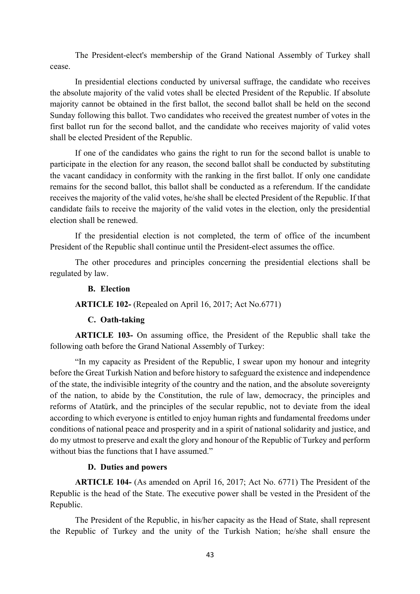The President-elect's membership of the Grand National Assembly of Turkey shall cease.

In presidential elections conducted by universal suffrage, the candidate who receives the absolute majority of the valid votes shall be elected President of the Republic. If absolute majority cannot be obtained in the first ballot, the second ballot shall be held on the second Sunday following this ballot. Two candidates who received the greatest number of votes in the first ballot run for the second ballot, and the candidate who receives majority of valid votes shall be elected President of the Republic.

If one of the candidates who gains the right to run for the second ballot is unable to participate in the election for any reason, the second ballot shall be conducted by substituting the vacant candidacy in conformity with the ranking in the first ballot. If only one candidate remains for the second ballot, this ballot shall be conducted as a referendum. If the candidate receives the majority of the valid votes, he/she shall be elected President of the Republic. If that candidate fails to receive the majority of the valid votes in the election, only the presidential election shall be renewed.

If the presidential election is not completed, the term of office of the incumbent President of the Republic shall continue until the President-elect assumes the office.

The other procedures and principles concerning the presidential elections shall be regulated by law.

## **B. Election**

**ARTICLE 102-** (Repealed on April 16, 2017; Act No.6771)

#### **C. Oath-taking**

**ARTICLE 103-** On assuming office, the President of the Republic shall take the following oath before the Grand National Assembly of Turkey:

"In my capacity as President of the Republic, I swear upon my honour and integrity before the Great Turkish Nation and before history to safeguard the existence and independence of the state, the indivisible integrity of the country and the nation, and the absolute sovereignty of the nation, to abide by the Constitution, the rule of law, democracy, the principles and reforms of Atatürk, and the principles of the secular republic, not to deviate from the ideal according to which everyone is entitled to enjoy human rights and fundamental freedoms under conditions of national peace and prosperity and in a spirit of national solidarity and justice, and do my utmost to preserve and exalt the glory and honour of the Republic of Turkey and perform without bias the functions that I have assumed."

## **D. Duties and powers**

**ARTICLE 104-** (As amended on April 16, 2017; Act No. 6771) The President of the Republic is the head of the State. The executive power shall be vested in the President of the Republic.

The President of the Republic, in his/her capacity as the Head of State, shall represent the Republic of Turkey and the unity of the Turkish Nation; he/she shall ensure the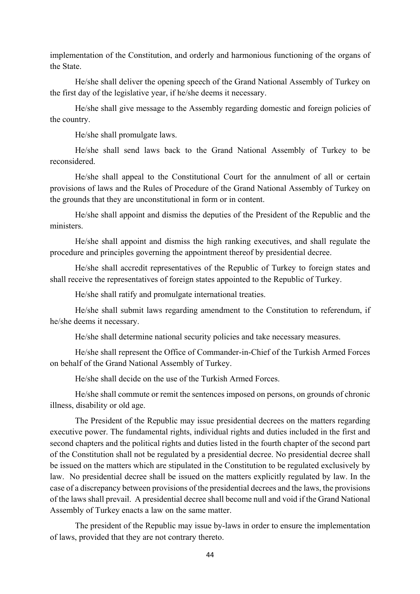implementation of the Constitution, and orderly and harmonious functioning of the organs of the State.

He/she shall deliver the opening speech of the Grand National Assembly of Turkey on the first day of the legislative year, if he/she deems it necessary.

He/she shall give message to the Assembly regarding domestic and foreign policies of the country.

He/she shall promulgate laws.

He/she shall send laws back to the Grand National Assembly of Turkey to be reconsidered.

He/she shall appeal to the Constitutional Court for the annulment of all or certain provisions of laws and the Rules of Procedure of the Grand National Assembly of Turkey on the grounds that they are unconstitutional in form or in content.

He/she shall appoint and dismiss the deputies of the President of the Republic and the ministers.

He/she shall appoint and dismiss the high ranking executives, and shall regulate the procedure and principles governing the appointment thereof by presidential decree.

He/she shall accredit representatives of the Republic of Turkey to foreign states and shall receive the representatives of foreign states appointed to the Republic of Turkey.

He/she shall ratify and promulgate international treaties.

He/she shall submit laws regarding amendment to the Constitution to referendum, if he/she deems it necessary.

He/she shall determine national security policies and take necessary measures.

He/she shall represent the Office of Commander-in-Chief of the Turkish Armed Forces on behalf of the Grand National Assembly of Turkey.

He/she shall decide on the use of the Turkish Armed Forces.

He/she shall commute or remit the sentences imposed on persons, on grounds of chronic illness, disability or old age.

The President of the Republic may issue presidential decrees on the matters regarding executive power. The fundamental rights, individual rights and duties included in the first and second chapters and the political rights and duties listed in the fourth chapter of the second part of the Constitution shall not be regulated by a presidential decree. No presidential decree shall be issued on the matters which are stipulated in the Constitution to be regulated exclusively by law. No presidential decree shall be issued on the matters explicitly regulated by law. In the case of a discrepancy between provisions of the presidential decrees and the laws, the provisions of the laws shall prevail. A presidential decree shall become null and void if the Grand National Assembly of Turkey enacts a law on the same matter.

The president of the Republic may issue by-laws in order to ensure the implementation of laws, provided that they are not contrary thereto.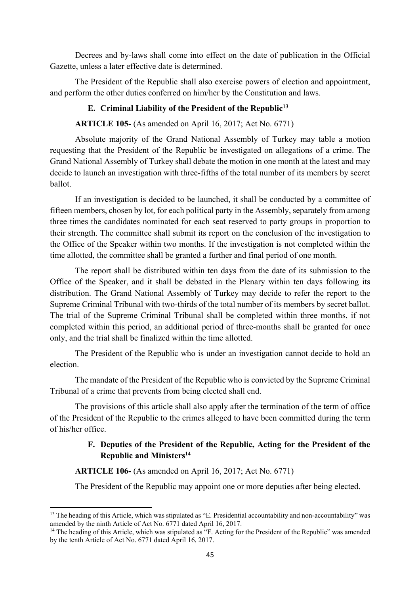Decrees and by-laws shall come into effect on the date of publication in the Official Gazette, unless a later effective date is determined.

The President of the Republic shall also exercise powers of election and appointment, and perform the other duties conferred on him/her by the Constitution and laws.

## **E. Criminal Liability of the President of the Republic13**

## **ARTICLE 105-** (As amended on April 16, 2017; Act No. 6771)

Absolute majority of the Grand National Assembly of Turkey may table a motion requesting that the President of the Republic be investigated on allegations of a crime. The Grand National Assembly of Turkey shall debate the motion in one month at the latest and may decide to launch an investigation with three-fifths of the total number of its members by secret ballot.

 If an investigation is decided to be launched, it shall be conducted by a committee of fifteen members, chosen by lot, for each political party in the Assembly, separately from among three times the candidates nominated for each seat reserved to party groups in proportion to their strength. The committee shall submit its report on the conclusion of the investigation to the Office of the Speaker within two months. If the investigation is not completed within the time allotted, the committee shall be granted a further and final period of one month.

The report shall be distributed within ten days from the date of its submission to the Office of the Speaker, and it shall be debated in the Plenary within ten days following its distribution. The Grand National Assembly of Turkey may decide to refer the report to the Supreme Criminal Tribunal with two-thirds of the total number of its members by secret ballot. The trial of the Supreme Criminal Tribunal shall be completed within three months, if not completed within this period, an additional period of three-months shall be granted for once only, and the trial shall be finalized within the time allotted.

The President of the Republic who is under an investigation cannot decide to hold an election.

The mandate of the President of the Republic who is convicted by the Supreme Criminal Tribunal of a crime that prevents from being elected shall end.

The provisions of this article shall also apply after the termination of the term of office of the President of the Republic to the crimes alleged to have been committed during the term of his/her office.

# **F. Deputies of the President of the Republic, Acting for the President of the Republic and Ministers14**

#### **ARTICLE 106-** (As amended on April 16, 2017; Act No. 6771)

The President of the Republic may appoint one or more deputies after being elected.

<sup>&</sup>lt;sup>13</sup> The heading of this Article, which was stipulated as "E. Presidential accountability and non-accountability" was amended by the ninth Article of Act No. 6771 dated April 16, 2017.<br><sup>14</sup> The heading of this Article, which was stipulated as "F. Acting for the President of the Republic" was amended

by the tenth Article of Act No. 6771 dated April 16, 2017.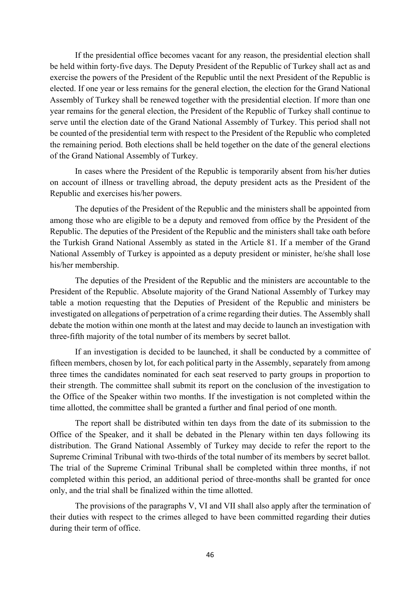If the presidential office becomes vacant for any reason, the presidential election shall be held within forty-five days. The Deputy President of the Republic of Turkey shall act as and exercise the powers of the President of the Republic until the next President of the Republic is elected. If one year or less remains for the general election, the election for the Grand National Assembly of Turkey shall be renewed together with the presidential election. If more than one year remains for the general election, the President of the Republic of Turkey shall continue to serve until the election date of the Grand National Assembly of Turkey. This period shall not be counted of the presidential term with respect to the President of the Republic who completed the remaining period. Both elections shall be held together on the date of the general elections of the Grand National Assembly of Turkey.

In cases where the President of the Republic is temporarily absent from his/her duties on account of illness or travelling abroad, the deputy president acts as the President of the Republic and exercises his/her powers.

The deputies of the President of the Republic and the ministers shall be appointed from among those who are eligible to be a deputy and removed from office by the President of the Republic. The deputies of the President of the Republic and the ministers shall take oath before the Turkish Grand National Assembly as stated in the Article 81. If a member of the Grand National Assembly of Turkey is appointed as a deputy president or minister, he/she shall lose his/her membership.

The deputies of the President of the Republic and the ministers are accountable to the President of the Republic. Absolute majority of the Grand National Assembly of Turkey may table a motion requesting that the Deputies of President of the Republic and ministers be investigated on allegations of perpetration of a crime regarding their duties. The Assembly shall debate the motion within one month at the latest and may decide to launch an investigation with three-fifth majority of the total number of its members by secret ballot.

If an investigation is decided to be launched, it shall be conducted by a committee of fifteen members, chosen by lot, for each political party in the Assembly, separately from among three times the candidates nominated for each seat reserved to party groups in proportion to their strength. The committee shall submit its report on the conclusion of the investigation to the Office of the Speaker within two months. If the investigation is not completed within the time allotted, the committee shall be granted a further and final period of one month.

The report shall be distributed within ten days from the date of its submission to the Office of the Speaker, and it shall be debated in the Plenary within ten days following its distribution. The Grand National Assembly of Turkey may decide to refer the report to the Supreme Criminal Tribunal with two-thirds of the total number of its members by secret ballot. The trial of the Supreme Criminal Tribunal shall be completed within three months, if not completed within this period, an additional period of three-months shall be granted for once only, and the trial shall be finalized within the time allotted.

The provisions of the paragraphs V, VI and VII shall also apply after the termination of their duties with respect to the crimes alleged to have been committed regarding their duties during their term of office.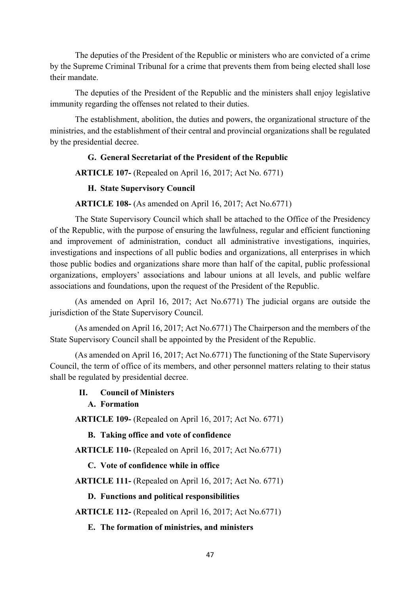The deputies of the President of the Republic or ministers who are convicted of a crime by the Supreme Criminal Tribunal for a crime that prevents them from being elected shall lose their mandate.

The deputies of the President of the Republic and the ministers shall enjoy legislative immunity regarding the offenses not related to their duties.

The establishment, abolition, the duties and powers, the organizational structure of the ministries, and the establishment of their central and provincial organizations shall be regulated by the presidential decree.

## **G. General Secretariat of the President of the Republic**

**ARTICLE 107-** (Repealed on April 16, 2017; Act No. 6771)

## **H. State Supervisory Council**

## **ARTICLE 108-** (As amended on April 16, 2017; Act No.6771)

The State Supervisory Council which shall be attached to the Office of the Presidency of the Republic, with the purpose of ensuring the lawfulness, regular and efficient functioning and improvement of administration, conduct all administrative investigations, inquiries, investigations and inspections of all public bodies and organizations, all enterprises in which those public bodies and organizations share more than half of the capital, public professional organizations, employers' associations and labour unions at all levels, and public welfare associations and foundations, upon the request of the President of the Republic.

(As amended on April 16, 2017; Act No.6771) The judicial organs are outside the jurisdiction of the State Supervisory Council.

(As amended on April 16, 2017; Act No.6771) The Chairperson and the members of the State Supervisory Council shall be appointed by the President of the Republic.

(As amended on April 16, 2017; Act No.6771) The functioning of the State Supervisory Council, the term of office of its members, and other personnel matters relating to their status shall be regulated by presidential decree.

## **II. Council of Ministers**

#### **A. Formation**

**ARTICLE 109-** (Repealed on April 16, 2017; Act No. 6771)

**B. Taking office and vote of confidence** 

**ARTICLE 110-** (Repealed on April 16, 2017; Act No.6771)

**C. Vote of confidence while in office** 

**ARTICLE 111-** (Repealed on April 16, 2017; Act No. 6771)

**D. Functions and political responsibilities** 

**ARTICLE 112-** (Repealed on April 16, 2017; Act No.6771)

**E. The formation of ministries, and ministers**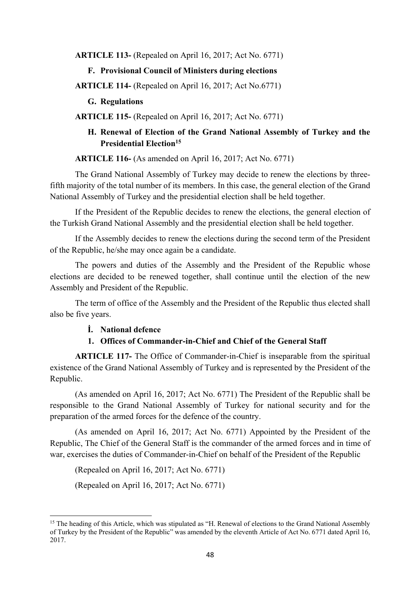**ARTICLE 113-** (Repealed on April 16, 2017; Act No. 6771)

#### **F. Provisional Council of Ministers during elections**

**ARTICLE 114-** (Repealed on April 16, 2017; Act No.6771)

**G. Regulations** 

**ARTICLE 115-** (Repealed on April 16, 2017; Act No. 6771)

## **H. Renewal of Election of the Grand National Assembly of Turkey and the Presidential Election15**

**ARTICLE 116-** (As amended on April 16, 2017; Act No. 6771)

The Grand National Assembly of Turkey may decide to renew the elections by threefifth majority of the total number of its members. In this case, the general election of the Grand National Assembly of Turkey and the presidential election shall be held together.

If the President of the Republic decides to renew the elections, the general election of the Turkish Grand National Assembly and the presidential election shall be held together.

If the Assembly decides to renew the elections during the second term of the President of the Republic, he/she may once again be a candidate.

The powers and duties of the Assembly and the President of the Republic whose elections are decided to be renewed together, shall continue until the election of the new Assembly and President of the Republic.

The term of office of the Assembly and the President of the Republic thus elected shall also be five years.

#### **İ. National defence**

#### **1. Offices of Commander-in-Chief and Chief of the General Staff**

**ARTICLE 117-** The Office of Commander-in-Chief is inseparable from the spiritual existence of the Grand National Assembly of Turkey and is represented by the President of the Republic.

(As amended on April 16, 2017; Act No. 6771) The President of the Republic shall be responsible to the Grand National Assembly of Turkey for national security and for the preparation of the armed forces for the defence of the country.

(As amended on April 16, 2017; Act No. 6771) Appointed by the President of the Republic, The Chief of the General Staff is the commander of the armed forces and in time of war, exercises the duties of Commander-in-Chief on behalf of the President of the Republic

(Repealed on April 16, 2017; Act No. 6771)

(Repealed on April 16, 2017; Act No. 6771)

<sup>&</sup>lt;sup>15</sup> The heading of this Article, which was stipulated as "H. Renewal of elections to the Grand National Assembly of Turkey by the President of the Republic" was amended by the eleventh Article of Act No. 6771 dated April 16, 2017.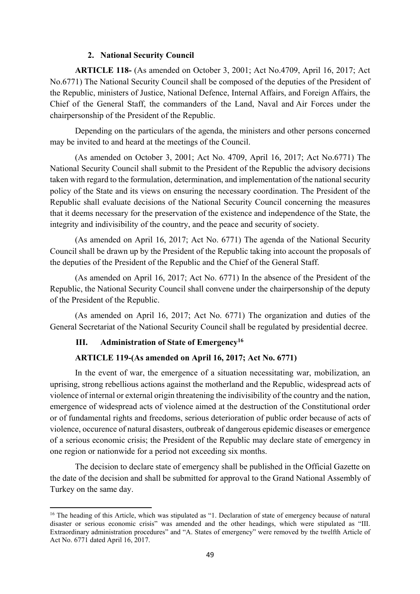## **2. National Security Council**

**ARTICLE 118-** (As amended on October 3, 2001; Act No.4709, April 16, 2017; Act No.6771) The National Security Council shall be composed of the deputies of the President of the Republic, ministers of Justice, National Defence, Internal Affairs, and Foreign Affairs, the Chief of the General Staff, the commanders of the Land, Naval and Air Forces under the chairpersonship of the President of the Republic.

Depending on the particulars of the agenda, the ministers and other persons concerned may be invited to and heard at the meetings of the Council.

(As amended on October 3, 2001; Act No. 4709, April 16, 2017; Act No.6771) The National Security Council shall submit to the President of the Republic the advisory decisions taken with regard to the formulation, determination, and implementation of the national security policy of the State and its views on ensuring the necessary coordination. The President of the Republic shall evaluate decisions of the National Security Council concerning the measures that it deems necessary for the preservation of the existence and independence of the State, the integrity and indivisibility of the country, and the peace and security of society.

(As amended on April 16, 2017; Act No. 6771) The agenda of the National Security Council shall be drawn up by the President of the Republic taking into account the proposals of the deputies of the President of the Republic and the Chief of the General Staff.

(As amended on April 16, 2017; Act No. 6771) In the absence of the President of the Republic, the National Security Council shall convene under the chairpersonship of the deputy of the President of the Republic.

(As amended on April 16, 2017; Act No. 6771) The organization and duties of the General Secretariat of the National Security Council shall be regulated by presidential decree.

## **III. Administration of State of Emergency16**

## **ARTICLE 119-(As amended on April 16, 2017; Act No. 6771)**

In the event of war, the emergence of a situation necessitating war, mobilization, an uprising, strong rebellious actions against the motherland and the Republic, widespread acts of violence of internal or external origin threatening the indivisibility of the country and the nation, emergence of widespread acts of violence aimed at the destruction of the Constitutional order or of fundamental rights and freedoms, serious deterioration of public order because of acts of violence, occurence of natural disasters, outbreak of dangerous epidemic diseases or emergence of a serious economic crisis; the President of the Republic may declare state of emergency in one region or nationwide for a period not exceeding six months.

The decision to declare state of emergency shall be published in the Official Gazette on the date of the decision and shall be submitted for approval to the Grand National Assembly of Turkey on the same day.

<sup>&</sup>lt;sup>16</sup> The heading of this Article, which was stipulated as "1. Declaration of state of emergency because of natural disaster or serious economic crisis" was amended and the other headings, which were stipulated as "III. Extraordinary administration procedures" and "A. States of emergency" were removed by the twelfth Article of Act No. 6771 dated April 16, 2017.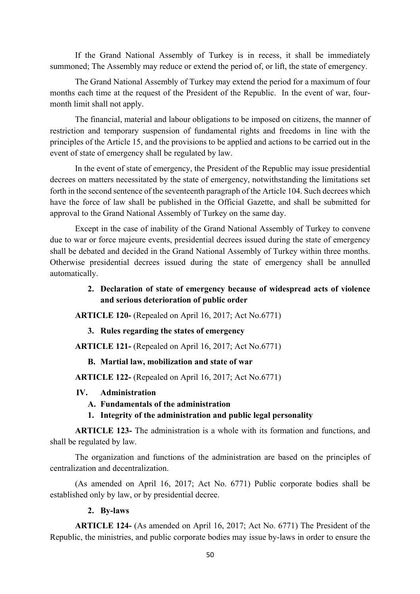If the Grand National Assembly of Turkey is in recess, it shall be immediately summoned; The Assembly may reduce or extend the period of, or lift, the state of emergency.

The Grand National Assembly of Turkey may extend the period for a maximum of four months each time at the request of the President of the Republic. In the event of war, fourmonth limit shall not apply.

The financial, material and labour obligations to be imposed on citizens, the manner of restriction and temporary suspension of fundamental rights and freedoms in line with the principles of the Article 15, and the provisions to be applied and actions to be carried out in the event of state of emergency shall be regulated by law.

In the event of state of emergency, the President of the Republic may issue presidential decrees on matters necessitated by the state of emergency, notwithstanding the limitations set forth in the second sentence of the seventeenth paragraph of the Article 104. Such decrees which have the force of law shall be published in the Official Gazette, and shall be submitted for approval to the Grand National Assembly of Turkey on the same day.

Except in the case of inability of the Grand National Assembly of Turkey to convene due to war or force majeure events, presidential decrees issued during the state of emergency shall be debated and decided in the Grand National Assembly of Turkey within three months. Otherwise presidential decrees issued during the state of emergency shall be annulled automatically.

# **2. Declaration of state of emergency because of widespread acts of violence and serious deterioration of public order**

**ARTICLE 120-** (Repealed on April 16, 2017; Act No.6771)

**3. Rules regarding the states of emergency** 

**ARTICLE 121-** (Repealed on April 16, 2017; Act No.6771)

**B. Martial law, mobilization and state of war** 

**ARTICLE 122-** (Repealed on April 16, 2017; Act No.6771)

#### **IV. Administration**

**A. Fundamentals of the administration** 

## **1. Integrity of the administration and public legal personality**

**ARTICLE 123-** The administration is a whole with its formation and functions, and shall be regulated by law.

The organization and functions of the administration are based on the principles of centralization and decentralization.

(As amended on April 16, 2017; Act No. 6771) Public corporate bodies shall be established only by law, or by presidential decree.

## **2. By-laws**

**ARTICLE 124-** (As amended on April 16, 2017; Act No. 6771) The President of the Republic, the ministries, and public corporate bodies may issue by-laws in order to ensure the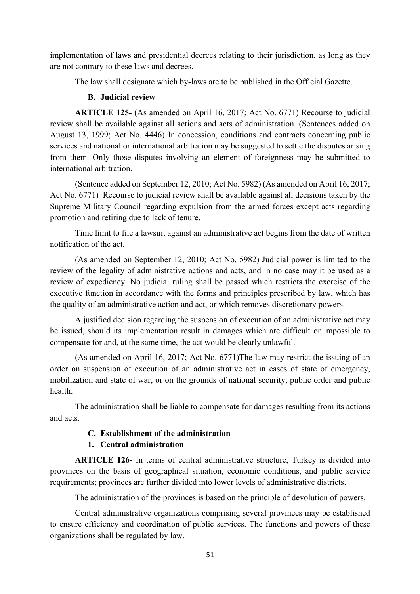implementation of laws and presidential decrees relating to their jurisdiction, as long as they are not contrary to these laws and decrees.

The law shall designate which by-laws are to be published in the Official Gazette.

## **B. Judicial review**

**ARTICLE 125-** (As amended on April 16, 2017; Act No. 6771) Recourse to judicial review shall be available against all actions and acts of administration. (Sentences added on August 13, 1999; Act No. 4446) In concession, conditions and contracts concerning public services and national or international arbitration may be suggested to settle the disputes arising from them. Only those disputes involving an element of foreignness may be submitted to international arbitration.

(Sentence added on September 12, 2010; Act No. 5982) (As amended on April 16, 2017; Act No. 6771) Recourse to judicial review shall be available against all decisions taken by the Supreme Military Council regarding expulsion from the armed forces except acts regarding promotion and retiring due to lack of tenure.

Time limit to file a lawsuit against an administrative act begins from the date of written notification of the act.

(As amended on September 12, 2010; Act No. 5982) Judicial power is limited to the review of the legality of administrative actions and acts, and in no case may it be used as a review of expediency. No judicial ruling shall be passed which restricts the exercise of the executive function in accordance with the forms and principles prescribed by law, which has the quality of an administrative action and act, or which removes discretionary powers.

A justified decision regarding the suspension of execution of an administrative act may be issued, should its implementation result in damages which are difficult or impossible to compensate for and, at the same time, the act would be clearly unlawful.

(As amended on April 16, 2017; Act No. 6771)The law may restrict the issuing of an order on suspension of execution of an administrative act in cases of state of emergency, mobilization and state of war, or on the grounds of national security, public order and public health.

The administration shall be liable to compensate for damages resulting from its actions and acts.

## **C. Establishment of the administration**

## **1. Central administration**

**ARTICLE 126-** In terms of central administrative structure, Turkey is divided into provinces on the basis of geographical situation, economic conditions, and public service requirements; provinces are further divided into lower levels of administrative districts.

The administration of the provinces is based on the principle of devolution of powers.

Central administrative organizations comprising several provinces may be established to ensure efficiency and coordination of public services. The functions and powers of these organizations shall be regulated by law.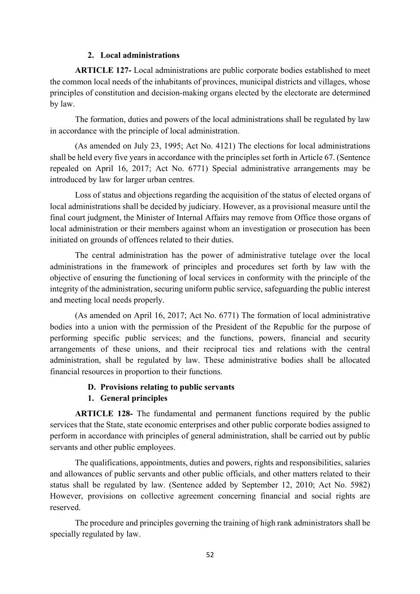#### **2. Local administrations**

**ARTICLE 127-** Local administrations are public corporate bodies established to meet the common local needs of the inhabitants of provinces, municipal districts and villages, whose principles of constitution and decision-making organs elected by the electorate are determined by law.

The formation, duties and powers of the local administrations shall be regulated by law in accordance with the principle of local administration.

(As amended on July 23, 1995; Act No. 4121) The elections for local administrations shall be held every five years in accordance with the principles set forth in Article 67. (Sentence repealed on April 16, 2017; Act No. 6771) Special administrative arrangements may be introduced by law for larger urban centres.

Loss of status and objections regarding the acquisition of the status of elected organs of local administrations shall be decided by judiciary. However, as a provisional measure until the final court judgment, the Minister of Internal Affairs may remove from Office those organs of local administration or their members against whom an investigation or prosecution has been initiated on grounds of offences related to their duties.

The central administration has the power of administrative tutelage over the local administrations in the framework of principles and procedures set forth by law with the objective of ensuring the functioning of local services in conformity with the principle of the integrity of the administration, securing uniform public service, safeguarding the public interest and meeting local needs properly.

(As amended on April 16, 2017; Act No. 6771) The formation of local administrative bodies into a union with the permission of the President of the Republic for the purpose of performing specific public services; and the functions, powers, financial and security arrangements of these unions, and their reciprocal ties and relations with the central administration, shall be regulated by law. These administrative bodies shall be allocated financial resources in proportion to their functions.

## **D. Provisions relating to public servants**

## **1. General principles**

**ARTICLE 128-** The fundamental and permanent functions required by the public services that the State, state economic enterprises and other public corporate bodies assigned to perform in accordance with principles of general administration, shall be carried out by public servants and other public employees.

The qualifications, appointments, duties and powers, rights and responsibilities, salaries and allowances of public servants and other public officials, and other matters related to their status shall be regulated by law. (Sentence added by September 12, 2010; Act No. 5982) However, provisions on collective agreement concerning financial and social rights are reserved.

The procedure and principles governing the training of high rank administrators shall be specially regulated by law.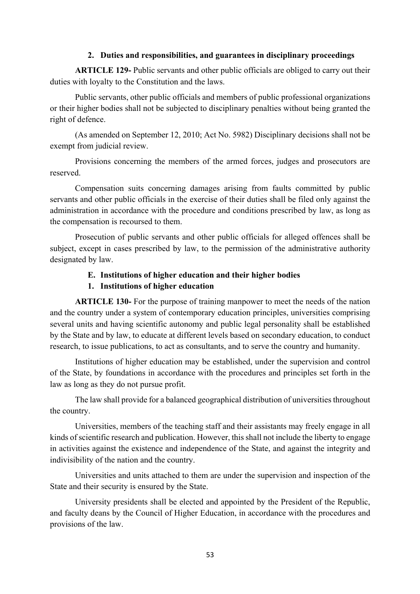#### **2. Duties and responsibilities, and guarantees in disciplinary proceedings**

**ARTICLE 129-** Public servants and other public officials are obliged to carry out their duties with loyalty to the Constitution and the laws.

Public servants, other public officials and members of public professional organizations or their higher bodies shall not be subjected to disciplinary penalties without being granted the right of defence.

(As amended on September 12, 2010; Act No. 5982) Disciplinary decisions shall not be exempt from judicial review.

Provisions concerning the members of the armed forces, judges and prosecutors are reserved.

Compensation suits concerning damages arising from faults committed by public servants and other public officials in the exercise of their duties shall be filed only against the administration in accordance with the procedure and conditions prescribed by law, as long as the compensation is recoursed to them.

Prosecution of public servants and other public officials for alleged offences shall be subject, except in cases prescribed by law, to the permission of the administrative authority designated by law.

## **E. Institutions of higher education and their higher bodies**

# **1. Institutions of higher education**

**ARTICLE 130-** For the purpose of training manpower to meet the needs of the nation and the country under a system of contemporary education principles, universities comprising several units and having scientific autonomy and public legal personality shall be established by the State and by law, to educate at different levels based on secondary education, to conduct research, to issue publications, to act as consultants, and to serve the country and humanity.

Institutions of higher education may be established, under the supervision and control of the State, by foundations in accordance with the procedures and principles set forth in the law as long as they do not pursue profit.

The law shall provide for a balanced geographical distribution of universities throughout the country.

Universities, members of the teaching staff and their assistants may freely engage in all kinds of scientific research and publication. However, this shall not include the liberty to engage in activities against the existence and independence of the State, and against the integrity and indivisibility of the nation and the country.

Universities and units attached to them are under the supervision and inspection of the State and their security is ensured by the State.

University presidents shall be elected and appointed by the President of the Republic, and faculty deans by the Council of Higher Education, in accordance with the procedures and provisions of the law.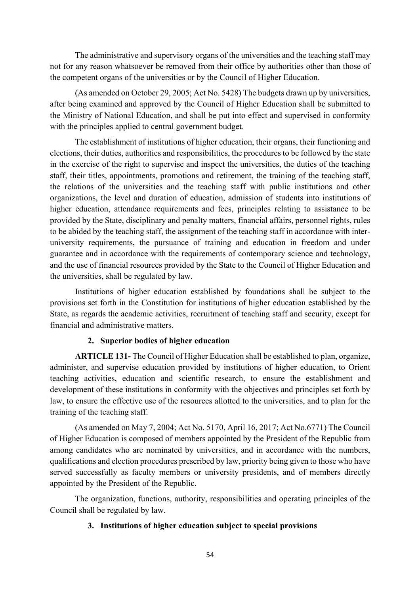The administrative and supervisory organs of the universities and the teaching staff may not for any reason whatsoever be removed from their office by authorities other than those of the competent organs of the universities or by the Council of Higher Education.

(As amended on October 29, 2005; Act No. 5428) The budgets drawn up by universities, after being examined and approved by the Council of Higher Education shall be submitted to the Ministry of National Education, and shall be put into effect and supervised in conformity with the principles applied to central government budget.

The establishment of institutions of higher education, their organs, their functioning and elections, their duties, authorities and responsibilities, the procedures to be followed by the state in the exercise of the right to supervise and inspect the universities, the duties of the teaching staff, their titles, appointments, promotions and retirement, the training of the teaching staff, the relations of the universities and the teaching staff with public institutions and other organizations, the level and duration of education, admission of students into institutions of higher education, attendance requirements and fees, principles relating to assistance to be provided by the State, disciplinary and penalty matters, financial affairs, personnel rights, rules to be abided by the teaching staff, the assignment of the teaching staff in accordance with interuniversity requirements, the pursuance of training and education in freedom and under guarantee and in accordance with the requirements of contemporary science and technology, and the use of financial resources provided by the State to the Council of Higher Education and the universities, shall be regulated by law.

Institutions of higher education established by foundations shall be subject to the provisions set forth in the Constitution for institutions of higher education established by the State, as regards the academic activities, recruitment of teaching staff and security, except for financial and administrative matters.

## **2. Superior bodies of higher education**

**ARTICLE 131-** The Council of Higher Education shall be established to plan, organize, administer, and supervise education provided by institutions of higher education, to Orient teaching activities, education and scientific research, to ensure the establishment and development of these institutions in conformity with the objectives and principles set forth by law, to ensure the effective use of the resources allotted to the universities, and to plan for the training of the teaching staff.

(As amended on May 7, 2004; Act No. 5170, April 16, 2017; Act No.6771) The Council of Higher Education is composed of members appointed by the President of the Republic from among candidates who are nominated by universities, and in accordance with the numbers, qualifications and election procedures prescribed by law, priority being given to those who have served successfully as faculty members or university presidents, and of members directly appointed by the President of the Republic.

The organization, functions, authority, responsibilities and operating principles of the Council shall be regulated by law.

## **3. Institutions of higher education subject to special provisions**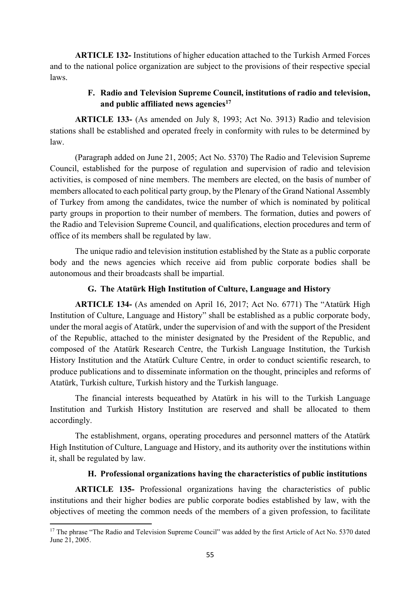**ARTICLE 132-** Institutions of higher education attached to the Turkish Armed Forces and to the national police organization are subject to the provisions of their respective special laws.

# **F. Radio and Television Supreme Council, institutions of radio and television, and public affiliated news agencies17**

**ARTICLE 133-** (As amended on July 8, 1993; Act No. 3913) Radio and television stations shall be established and operated freely in conformity with rules to be determined by law.

(Paragraph added on June 21, 2005; Act No. 5370) The Radio and Television Supreme Council, established for the purpose of regulation and supervision of radio and television activities, is composed of nine members. The members are elected, on the basis of number of members allocated to each political party group, by the Plenary of the Grand National Assembly of Turkey from among the candidates, twice the number of which is nominated by political party groups in proportion to their number of members. The formation, duties and powers of the Radio and Television Supreme Council, and qualifications, election procedures and term of office of its members shall be regulated by law.

The unique radio and television institution established by the State as a public corporate body and the news agencies which receive aid from public corporate bodies shall be autonomous and their broadcasts shall be impartial.

## **G. The Atatürk High Institution of Culture, Language and History**

**ARTICLE 134-** (As amended on April 16, 2017; Act No. 6771) The "Atatürk High Institution of Culture, Language and History" shall be established as a public corporate body, under the moral aegis of Atatürk, under the supervision of and with the support of the President of the Republic, attached to the minister designated by the President of the Republic, and composed of the Atatürk Research Centre, the Turkish Language Institution, the Turkish History Institution and the Atatürk Culture Centre, in order to conduct scientific research, to produce publications and to disseminate information on the thought, principles and reforms of Atatürk, Turkish culture, Turkish history and the Turkish language.

The financial interests bequeathed by Atatürk in his will to the Turkish Language Institution and Turkish History Institution are reserved and shall be allocated to them accordingly.

The establishment, organs, operating procedures and personnel matters of the Atatürk High Institution of Culture, Language and History, and its authority over the institutions within it, shall be regulated by law.

## **H. Professional organizations having the characteristics of public institutions**

**ARTICLE 135-** Professional organizations having the characteristics of public institutions and their higher bodies are public corporate bodies established by law, with the objectives of meeting the common needs of the members of a given profession, to facilitate

 <sup>17</sup> The phrase "The Radio and Television Supreme Council" was added by the first Article of Act No. 5370 dated June 21, 2005.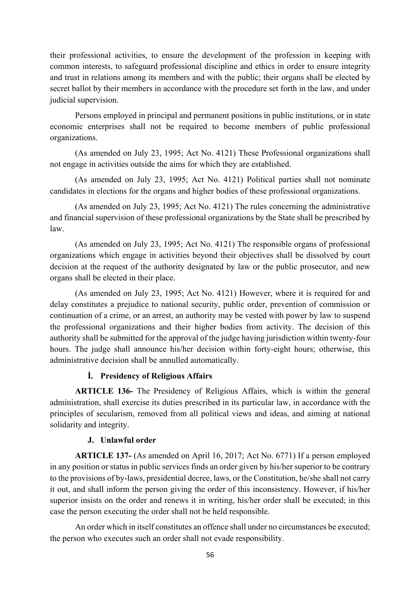their professional activities, to ensure the development of the profession in keeping with common interests, to safeguard professional discipline and ethics in order to ensure integrity and trust in relations among its members and with the public; their organs shall be elected by secret ballot by their members in accordance with the procedure set forth in the law, and under judicial supervision.

Persons employed in principal and permanent positions in public institutions, or in state economic enterprises shall not be required to become members of public professional organizations.

(As amended on July 23, 1995; Act No. 4121) These Professional organizations shall not engage in activities outside the aims for which they are established.

(As amended on July 23, 1995; Act No. 4121) Political parties shall not nominate candidates in elections for the organs and higher bodies of these professional organizations.

(As amended on July 23, 1995; Act No. 4121) The rules concerning the administrative and financial supervision of these professional organizations by the State shall be prescribed by law.

(As amended on July 23, 1995; Act No. 4121) The responsible organs of professional organizations which engage in activities beyond their objectives shall be dissolved by court decision at the request of the authority designated by law or the public prosecutor, and new organs shall be elected in their place.

(As amended on July 23, 1995; Act No. 4121) However, where it is required for and delay constitutes a prejudice to national security, public order, prevention of commission or continuation of a crime, or an arrest, an authority may be vested with power by law to suspend the professional organizations and their higher bodies from activity. The decision of this authority shall be submitted for the approval of the judge having jurisdiction within twenty-four hours. The judge shall announce his/her decision within forty-eight hours; otherwise, this administrative decision shall be annulled automatically.

# **İ. Presidency of Religious Affairs**

**ARTICLE 136-** The Presidency of Religious Affairs, which is within the general administration, shall exercise its duties prescribed in its particular law, in accordance with the principles of secularism, removed from all political views and ideas, and aiming at national solidarity and integrity.

## **J. Unlawful order**

**ARTICLE 137-** (As amended on April 16, 2017; Act No. 6771) If a person employed in any position or status in public services finds an order given by his/her superior to be contrary to the provisions of by-laws, presidential decree, laws, or the Constitution, he/she shall not carry it out, and shall inform the person giving the order of this inconsistency. However, if his/her superior insists on the order and renews it in writing, his/her order shall be executed; in this case the person executing the order shall not be held responsible.

An order which in itself constitutes an offence shall under no circumstances be executed; the person who executes such an order shall not evade responsibility.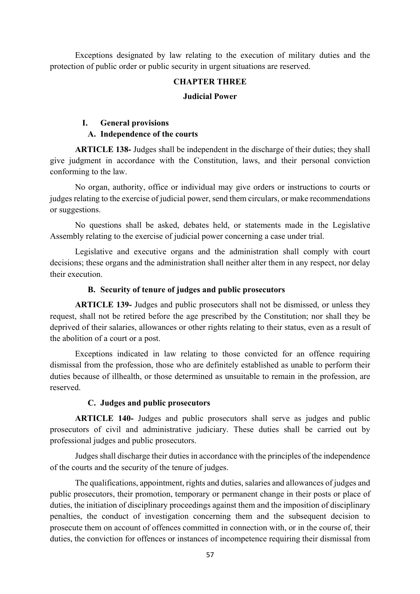Exceptions designated by law relating to the execution of military duties and the protection of public order or public security in urgent situations are reserved.

#### **CHAPTER THREE**

#### **Judicial Power**

# **I. General provisions A. Independence of the courts**

**ARTICLE 138-** Judges shall be independent in the discharge of their duties; they shall give judgment in accordance with the Constitution, laws, and their personal conviction conforming to the law.

No organ, authority, office or individual may give orders or instructions to courts or judges relating to the exercise of judicial power, send them circulars, or make recommendations or suggestions.

No questions shall be asked, debates held, or statements made in the Legislative Assembly relating to the exercise of judicial power concerning a case under trial.

Legislative and executive organs and the administration shall comply with court decisions; these organs and the administration shall neither alter them in any respect, nor delay their execution.

## **B. Security of tenure of judges and public prosecutors**

**ARTICLE 139-** Judges and public prosecutors shall not be dismissed, or unless they request, shall not be retired before the age prescribed by the Constitution; nor shall they be deprived of their salaries, allowances or other rights relating to their status, even as a result of the abolition of a court or a post.

Exceptions indicated in law relating to those convicted for an offence requiring dismissal from the profession, those who are definitely established as unable to perform their duties because of illhealth, or those determined as unsuitable to remain in the profession, are reserved.

## **C. Judges and public prosecutors**

**ARTICLE 140-** Judges and public prosecutors shall serve as judges and public prosecutors of civil and administrative judiciary. These duties shall be carried out by professional judges and public prosecutors.

Judges shall discharge their duties in accordance with the principles of the independence of the courts and the security of the tenure of judges.

The qualifications, appointment, rights and duties, salaries and allowances of judges and public prosecutors, their promotion, temporary or permanent change in their posts or place of duties, the initiation of disciplinary proceedings against them and the imposition of disciplinary penalties, the conduct of investigation concerning them and the subsequent decision to prosecute them on account of offences committed in connection with, or in the course of, their duties, the conviction for offences or instances of incompetence requiring their dismissal from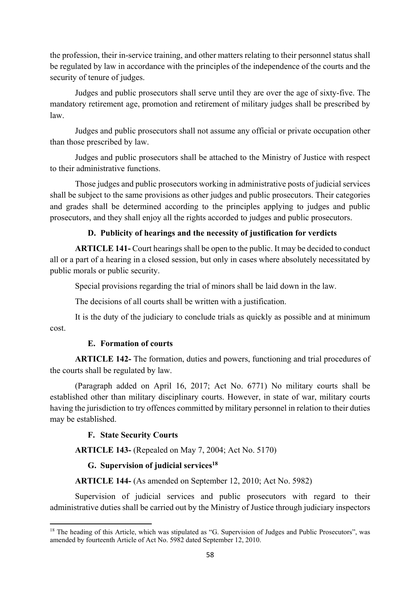the profession, their in-service training, and other matters relating to their personnel status shall be regulated by law in accordance with the principles of the independence of the courts and the security of tenure of judges.

Judges and public prosecutors shall serve until they are over the age of sixty-five. The mandatory retirement age, promotion and retirement of military judges shall be prescribed by law.

Judges and public prosecutors shall not assume any official or private occupation other than those prescribed by law.

Judges and public prosecutors shall be attached to the Ministry of Justice with respect to their administrative functions.

Those judges and public prosecutors working in administrative posts of judicial services shall be subject to the same provisions as other judges and public prosecutors. Their categories and grades shall be determined according to the principles applying to judges and public prosecutors, and they shall enjoy all the rights accorded to judges and public prosecutors.

# **D. Publicity of hearings and the necessity of justification for verdicts**

**ARTICLE 141-** Court hearings shall be open to the public. It may be decided to conduct all or a part of a hearing in a closed session, but only in cases where absolutely necessitated by public morals or public security.

Special provisions regarding the trial of minors shall be laid down in the law.

The decisions of all courts shall be written with a justification.

It is the duty of the judiciary to conclude trials as quickly as possible and at minimum cost.

## **E. Formation of courts**

**ARTICLE 142-** The formation, duties and powers, functioning and trial procedures of the courts shall be regulated by law.

(Paragraph added on April 16, 2017; Act No. 6771) No military courts shall be established other than military disciplinary courts. However, in state of war, military courts having the jurisdiction to try offences committed by military personnel in relation to their duties may be established.

## **F. State Security Courts**

**ARTICLE 143-** (Repealed on May 7, 2004; Act No. 5170)

## **G. Supervision of judicial services18**

## **ARTICLE 144-** (As amended on September 12, 2010; Act No. 5982)

Supervision of judicial services and public prosecutors with regard to their administrative duties shall be carried out by the Ministry of Justice through judiciary inspectors

<sup>&</sup>lt;sup>18</sup> The heading of this Article, which was stipulated as "G. Supervision of Judges and Public Prosecutors", was amended by fourteenth Article of Act No. 5982 dated September 12, 2010.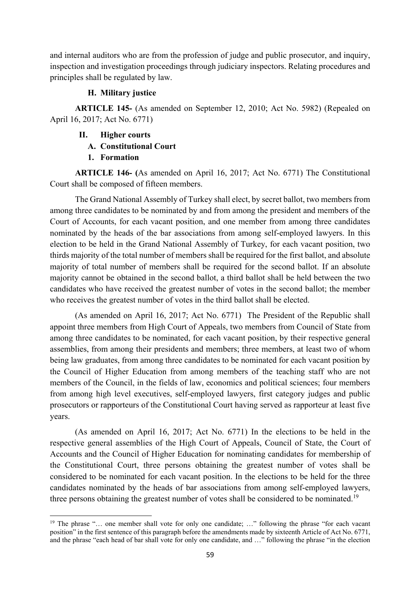and internal auditors who are from the profession of judge and public prosecutor, and inquiry, inspection and investigation proceedings through judiciary inspectors. Relating procedures and principles shall be regulated by law.

## **H. Military justice**

**ARTICLE 145-** (As amended on September 12, 2010; Act No. 5982) (Repealed on April 16, 2017; Act No. 6771)

- **II. Higher courts** 
	- **A. Constitutional Court**
	- **1. Formation**

**ARTICLE 146- (**As amended on April 16, 2017; Act No. 6771) The Constitutional Court shall be composed of fifteen members.

The Grand National Assembly of Turkey shall elect, by secret ballot, two members from among three candidates to be nominated by and from among the president and members of the Court of Accounts, for each vacant position, and one member from among three candidates nominated by the heads of the bar associations from among self-employed lawyers. In this election to be held in the Grand National Assembly of Turkey, for each vacant position, two thirds majority of the total number of members shall be required for the first ballot, and absolute majority of total number of members shall be required for the second ballot. If an absolute majority cannot be obtained in the second ballot, a third ballot shall be held between the two candidates who have received the greatest number of votes in the second ballot; the member who receives the greatest number of votes in the third ballot shall be elected.

(As amended on April 16, 2017; Act No. 6771) The President of the Republic shall appoint three members from High Court of Appeals, two members from Council of State from among three candidates to be nominated, for each vacant position, by their respective general assemblies, from among their presidents and members; three members, at least two of whom being law graduates, from among three candidates to be nominated for each vacant position by the Council of Higher Education from among members of the teaching staff who are not members of the Council, in the fields of law, economics and political sciences; four members from among high level executives, self-employed lawyers, first category judges and public prosecutors or rapporteurs of the Constitutional Court having served as rapporteur at least five years.

(As amended on April 16, 2017; Act No. 6771) In the elections to be held in the respective general assemblies of the High Court of Appeals, Council of State, the Court of Accounts and the Council of Higher Education for nominating candidates for membership of the Constitutional Court, three persons obtaining the greatest number of votes shall be considered to be nominated for each vacant position. In the elections to be held for the three candidates nominated by the heads of bar associations from among self-employed lawyers, three persons obtaining the greatest number of votes shall be considered to be nominated.<sup>19</sup>

<sup>&</sup>lt;sup>19</sup> The phrase "... one member shall vote for only one candidate; ..." following the phrase "for each vacant position" in the first sentence of this paragraph before the amendments made by sixteenth Article of Act No. 6771, and the phrase "each head of bar shall vote for only one candidate, and ..." following the phrase "in the election"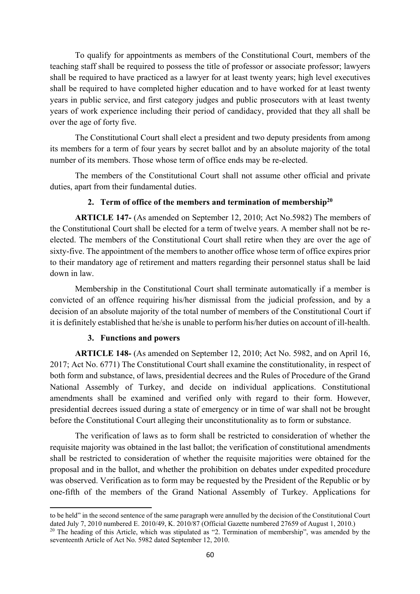To qualify for appointments as members of the Constitutional Court, members of the teaching staff shall be required to possess the title of professor or associate professor; lawyers shall be required to have practiced as a lawyer for at least twenty years; high level executives shall be required to have completed higher education and to have worked for at least twenty years in public service, and first category judges and public prosecutors with at least twenty years of work experience including their period of candidacy, provided that they all shall be over the age of forty five.

The Constitutional Court shall elect a president and two deputy presidents from among its members for a term of four years by secret ballot and by an absolute majority of the total number of its members. Those whose term of office ends may be re-elected.

The members of the Constitutional Court shall not assume other official and private duties, apart from their fundamental duties.

## **2. Term of office of the members and termination of membership20**

**ARTICLE 147-** (As amended on September 12, 2010; Act No.5982) The members of the Constitutional Court shall be elected for a term of twelve years. A member shall not be reelected. The members of the Constitutional Court shall retire when they are over the age of sixty-five. The appointment of the members to another office whose term of office expires prior to their mandatory age of retirement and matters regarding their personnel status shall be laid down in law.

Membership in the Constitutional Court shall terminate automatically if a member is convicted of an offence requiring his/her dismissal from the judicial profession, and by a decision of an absolute majority of the total number of members of the Constitutional Court if it is definitely established that he/she is unable to perform his/her duties on account of ill-health.

## **3. Functions and powers**

**ARTICLE 148-** (As amended on September 12, 2010; Act No. 5982, and on April 16, 2017; Act No. 6771) The Constitutional Court shall examine the constitutionality, in respect of both form and substance, of laws, presidential decrees and the Rules of Procedure of the Grand National Assembly of Turkey, and decide on individual applications. Constitutional amendments shall be examined and verified only with regard to their form. However, presidential decrees issued during a state of emergency or in time of war shall not be brought before the Constitutional Court alleging their unconstitutionality as to form or substance.

The verification of laws as to form shall be restricted to consideration of whether the requisite majority was obtained in the last ballot; the verification of constitutional amendments shall be restricted to consideration of whether the requisite majorities were obtained for the proposal and in the ballot, and whether the prohibition on debates under expedited procedure was observed. Verification as to form may be requested by the President of the Republic or by one-fifth of the members of the Grand National Assembly of Turkey. Applications for

 to be held" in the second sentence of the same paragraph were annulled by the decision of the Constitutional Court dated July 7, 2010 numbered E. 2010/49, K. 2010/87 (Official Gazette numbered 27659 of August 1, 2010.)

<sup>&</sup>lt;sup>20</sup> The heading of this Article, which was stipulated as "2. Termination of membership", was amended by the seventeenth Article of Act No. 5982 dated September 12, 2010.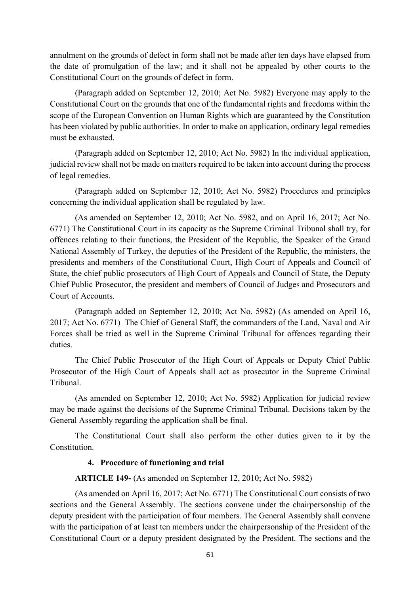annulment on the grounds of defect in form shall not be made after ten days have elapsed from the date of promulgation of the law; and it shall not be appealed by other courts to the Constitutional Court on the grounds of defect in form.

(Paragraph added on September 12, 2010; Act No. 5982) Everyone may apply to the Constitutional Court on the grounds that one of the fundamental rights and freedoms within the scope of the European Convention on Human Rights which are guaranteed by the Constitution has been violated by public authorities. In order to make an application, ordinary legal remedies must be exhausted.

(Paragraph added on September 12, 2010; Act No. 5982) In the individual application, judicial review shall not be made on matters required to be taken into account during the process of legal remedies.

(Paragraph added on September 12, 2010; Act No. 5982) Procedures and principles concerning the individual application shall be regulated by law.

(As amended on September 12, 2010; Act No. 5982, and on April 16, 2017; Act No. 6771) The Constitutional Court in its capacity as the Supreme Criminal Tribunal shall try, for offences relating to their functions, the President of the Republic, the Speaker of the Grand National Assembly of Turkey, the deputies of the President of the Republic, the ministers, the presidents and members of the Constitutional Court, High Court of Appeals and Council of State, the chief public prosecutors of High Court of Appeals and Council of State, the Deputy Chief Public Prosecutor, the president and members of Council of Judges and Prosecutors and Court of Accounts.

(Paragraph added on September 12, 2010; Act No. 5982) (As amended on April 16, 2017; Act No. 6771) The Chief of General Staff, the commanders of the Land, Naval and Air Forces shall be tried as well in the Supreme Criminal Tribunal for offences regarding their duties.

The Chief Public Prosecutor of the High Court of Appeals or Deputy Chief Public Prosecutor of the High Court of Appeals shall act as prosecutor in the Supreme Criminal Tribunal.

(As amended on September 12, 2010; Act No. 5982) Application for judicial review may be made against the decisions of the Supreme Criminal Tribunal. Decisions taken by the General Assembly regarding the application shall be final.

The Constitutional Court shall also perform the other duties given to it by the Constitution.

## **4. Procedure of functioning and trial**

**ARTICLE 149-** (As amended on September 12, 2010; Act No. 5982)

(As amended on April 16, 2017; Act No. 6771) The Constitutional Court consists of two sections and the General Assembly. The sections convene under the chairpersonship of the deputy president with the participation of four members. The General Assembly shall convene with the participation of at least ten members under the chairpersonship of the President of the Constitutional Court or a deputy president designated by the President. The sections and the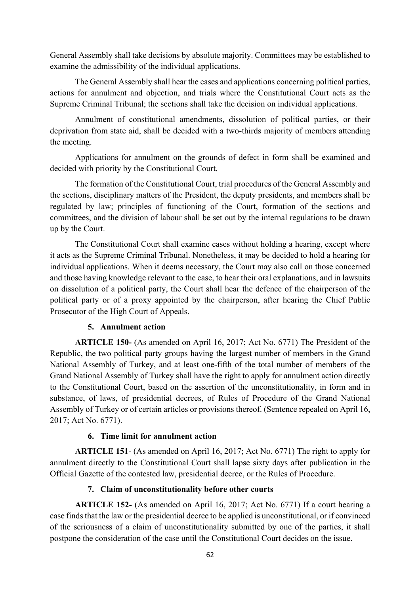General Assembly shall take decisions by absolute majority. Committees may be established to examine the admissibility of the individual applications.

The General Assembly shall hear the cases and applications concerning political parties, actions for annulment and objection, and trials where the Constitutional Court acts as the Supreme Criminal Tribunal; the sections shall take the decision on individual applications.

Annulment of constitutional amendments, dissolution of political parties, or their deprivation from state aid, shall be decided with a two-thirds majority of members attending the meeting.

Applications for annulment on the grounds of defect in form shall be examined and decided with priority by the Constitutional Court.

The formation of the Constitutional Court, trial procedures of the General Assembly and the sections, disciplinary matters of the President, the deputy presidents, and members shall be regulated by law; principles of functioning of the Court, formation of the sections and committees, and the division of labour shall be set out by the internal regulations to be drawn up by the Court.

The Constitutional Court shall examine cases without holding a hearing, except where it acts as the Supreme Criminal Tribunal. Nonetheless, it may be decided to hold a hearing for individual applications. When it deems necessary, the Court may also call on those concerned and those having knowledge relevant to the case, to hear their oral explanations, and in lawsuits on dissolution of a political party, the Court shall hear the defence of the chairperson of the political party or of a proxy appointed by the chairperson, after hearing the Chief Public Prosecutor of the High Court of Appeals.

## **5. Annulment action**

**ARTICLE 150-** (As amended on April 16, 2017; Act No. 6771) The President of the Republic, the two political party groups having the largest number of members in the Grand National Assembly of Turkey, and at least one-fifth of the total number of members of the Grand National Assembly of Turkey shall have the right to apply for annulment action directly to the Constitutional Court, based on the assertion of the unconstitutionality, in form and in substance, of laws, of presidential decrees, of Rules of Procedure of the Grand National Assembly of Turkey or of certain articles or provisions thereof. (Sentence repealed on April 16, 2017; Act No. 6771).

## **6. Time limit for annulment action**

**ARTICLE 151**- (As amended on April 16, 2017; Act No. 6771) The right to apply for annulment directly to the Constitutional Court shall lapse sixty days after publication in the Official Gazette of the contested law, presidential decree, or the Rules of Procedure.

# **7. Claim of unconstitutionality before other courts**

**ARTICLE 152-** (As amended on April 16, 2017; Act No. 6771) If a court hearing a case finds that the law or the presidential decree to be applied is unconstitutional, or if convinced of the seriousness of a claim of unconstitutionality submitted by one of the parties, it shall postpone the consideration of the case until the Constitutional Court decides on the issue.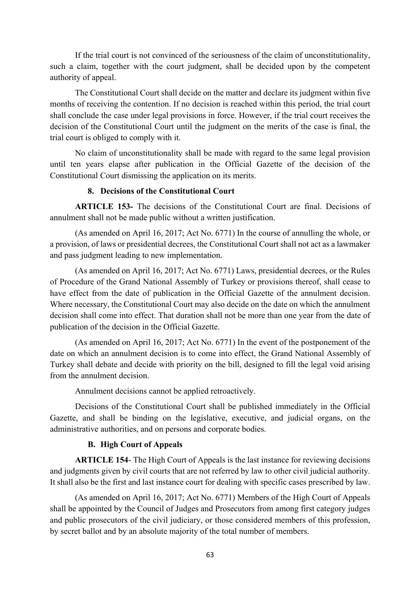If the trial court is not convinced of the seriousness of the claim of unconstitutionality, such a claim, together with the court judgment, shall be decided upon by the competent authority of appeal.

The Constitutional Court shall decide on the matter and declare its judgment within five months of receiving the contention. If no decision is reached within this period, the trial court shall conclude the case under legal provisions in force. However, if the trial court receives the decision of the Constitutional Court until the judgment on the merits of the case is final, the trial court is obliged to comply with it.

No claim of unconstitutionality shall be made with regard to the same legal provision until ten years elapse after publication in the Official Gazette of the decision of the Constitutional Court dismissing the application on its merits.

## **8. Decisions of the Constitutional Court**

**ARTICLE 153-** The decisions of the Constitutional Court are final. Decisions of annulment shall not be made public without a written justification.

(As amended on April 16, 2017; Act No. 6771) In the course of annulling the whole, or a provision, of laws or presidential decrees, the Constitutional Court shall not act as a lawmaker and pass judgment leading to new implementation.

(As amended on April 16, 2017; Act No. 6771) Laws, presidential decrees, or the Rules of Procedure of the Grand National Assembly of Turkey or provisions thereof, shall cease to have effect from the date of publication in the Official Gazette of the annulment decision. Where necessary, the Constitutional Court may also decide on the date on which the annulment decision shall come into effect. That duration shall not be more than one year from the date of publication of the decision in the Official Gazette.

(As amended on April 16, 2017; Act No. 6771) In the event of the postponement of the date on which an annulment decision is to come into effect, the Grand National Assembly of Turkey shall debate and decide with priority on the bill, designed to fill the legal void arising from the annulment decision.

Annulment decisions cannot be applied retroactively.

Decisions of the Constitutional Court shall be published immediately in the Official Gazette, and shall be binding on the legislative, executive, and judicial organs, on the administrative authorities, and on persons and corporate bodies.

## **B. High Court of Appeals**

**ARTICLE 154**- The High Court of Appeals is the last instance for reviewing decisions and judgments given by civil courts that are not referred by law to other civil judicial authority. It shall also be the first and last instance court for dealing with specific cases prescribed by law.

(As amended on April 16, 2017; Act No. 6771) Members of the High Court of Appeals shall be appointed by the Council of Judges and Prosecutors from among first category judges and public prosecutors of the civil judiciary, or those considered members of this profession, by secret ballot and by an absolute majority of the total number of members.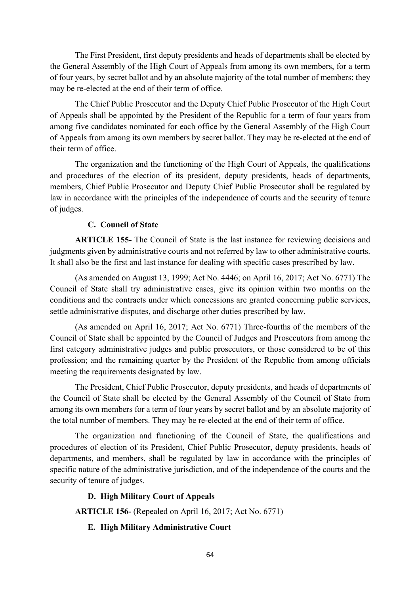The First President, first deputy presidents and heads of departments shall be elected by the General Assembly of the High Court of Appeals from among its own members, for a term of four years, by secret ballot and by an absolute majority of the total number of members; they may be re-elected at the end of their term of office.

The Chief Public Prosecutor and the Deputy Chief Public Prosecutor of the High Court of Appeals shall be appointed by the President of the Republic for a term of four years from among five candidates nominated for each office by the General Assembly of the High Court of Appeals from among its own members by secret ballot. They may be re-elected at the end of their term of office.

The organization and the functioning of the High Court of Appeals, the qualifications and procedures of the election of its president, deputy presidents, heads of departments, members, Chief Public Prosecutor and Deputy Chief Public Prosecutor shall be regulated by law in accordance with the principles of the independence of courts and the security of tenure of judges.

## **C. Council of State**

**ARTICLE 155-** The Council of State is the last instance for reviewing decisions and judgments given by administrative courts and not referred by law to other administrative courts. It shall also be the first and last instance for dealing with specific cases prescribed by law.

(As amended on August 13, 1999; Act No. 4446; on April 16, 2017; Act No. 6771) The Council of State shall try administrative cases, give its opinion within two months on the conditions and the contracts under which concessions are granted concerning public services, settle administrative disputes, and discharge other duties prescribed by law.

(As amended on April 16, 2017; Act No. 6771) Three-fourths of the members of the Council of State shall be appointed by the Council of Judges and Prosecutors from among the first category administrative judges and public prosecutors, or those considered to be of this profession; and the remaining quarter by the President of the Republic from among officials meeting the requirements designated by law.

The President, Chief Public Prosecutor, deputy presidents, and heads of departments of the Council of State shall be elected by the General Assembly of the Council of State from among its own members for a term of four years by secret ballot and by an absolute majority of the total number of members. They may be re-elected at the end of their term of office.

The organization and functioning of the Council of State, the qualifications and procedures of election of its President, Chief Public Prosecutor, deputy presidents, heads of departments, and members, shall be regulated by law in accordance with the principles of specific nature of the administrative jurisdiction, and of the independence of the courts and the security of tenure of judges.

#### **D. High Military Court of Appeals**

**ARTICLE 156-** (Repealed on April 16, 2017; Act No. 6771)

## **E. High Military Administrative Court**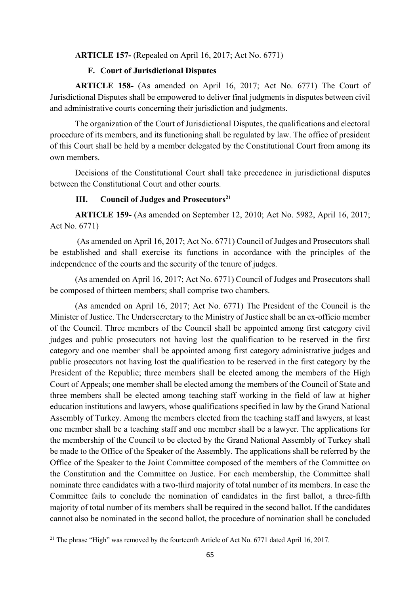#### **ARTICLE 157-** (Repealed on April 16, 2017; Act No. 6771)

#### **F. Court of Jurisdictional Disputes**

**ARTICLE 158-** (As amended on April 16, 2017; Act No. 6771) The Court of Jurisdictional Disputes shall be empowered to deliver final judgments in disputes between civil and administrative courts concerning their jurisdiction and judgments.

The organization of the Court of Jurisdictional Disputes, the qualifications and electoral procedure of its members, and its functioning shall be regulated by law. The office of president of this Court shall be held by a member delegated by the Constitutional Court from among its own members.

Decisions of the Constitutional Court shall take precedence in jurisdictional disputes between the Constitutional Court and other courts.

#### **III.** Council of Judges and Prosecutors<sup>21</sup>

**ARTICLE 159-** (As amended on September 12, 2010; Act No. 5982, April 16, 2017; Act No. 6771)

 (As amended on April 16, 2017; Act No. 6771) Council of Judges and Prosecutors shall be established and shall exercise its functions in accordance with the principles of the independence of the courts and the security of the tenure of judges.

(As amended on April 16, 2017; Act No. 6771) Council of Judges and Prosecutors shall be composed of thirteen members; shall comprise two chambers.

(As amended on April 16, 2017; Act No. 6771) The President of the Council is the Minister of Justice. The Undersecretary to the Ministry of Justice shall be an ex-officio member of the Council. Three members of the Council shall be appointed among first category civil judges and public prosecutors not having lost the qualification to be reserved in the first category and one member shall be appointed among first category administrative judges and public prosecutors not having lost the qualification to be reserved in the first category by the President of the Republic; three members shall be elected among the members of the High Court of Appeals; one member shall be elected among the members of the Council of State and three members shall be elected among teaching staff working in the field of law at higher education institutions and lawyers, whose qualifications specified in law by the Grand National Assembly of Turkey. Among the members elected from the teaching staff and lawyers, at least one member shall be a teaching staff and one member shall be a lawyer. The applications for the membership of the Council to be elected by the Grand National Assembly of Turkey shall be made to the Office of the Speaker of the Assembly. The applications shall be referred by the Office of the Speaker to the Joint Committee composed of the members of the Committee on the Constitution and the Committee on Justice. For each membership, the Committee shall nominate three candidates with a two-third majority of total number of its members. In case the Committee fails to conclude the nomination of candidates in the first ballot, a three-fifth majority of total number of its members shall be required in the second ballot. If the candidates cannot also be nominated in the second ballot, the procedure of nomination shall be concluded

<sup>&</sup>lt;sup>21</sup> The phrase "High" was removed by the fourteenth Article of Act No. 6771 dated April 16, 2017.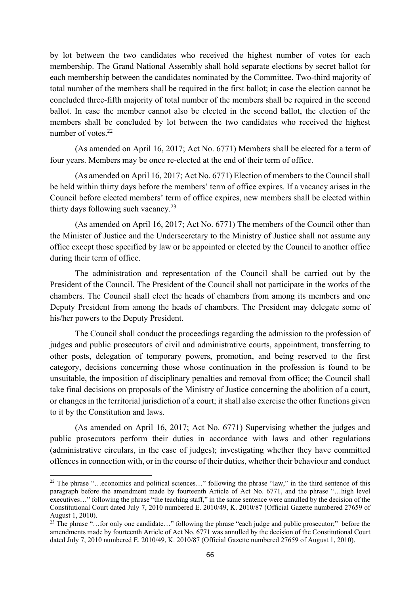by lot between the two candidates who received the highest number of votes for each membership. The Grand National Assembly shall hold separate elections by secret ballot for each membership between the candidates nominated by the Committee. Two-third majority of total number of the members shall be required in the first ballot; in case the election cannot be concluded three-fifth majority of total number of the members shall be required in the second ballot. In case the member cannot also be elected in the second ballot, the election of the members shall be concluded by lot between the two candidates who received the highest number of votes.<sup>22</sup>

(As amended on April 16, 2017; Act No. 6771) Members shall be elected for a term of four years. Members may be once re-elected at the end of their term of office.

(As amended on April 16, 2017; Act No. 6771) Election of members to the Council shall be held within thirty days before the members' term of office expires. If a vacancy arises in the Council before elected members' term of office expires, new members shall be elected within thirty days following such vacancy.<sup>23</sup>

(As amended on April 16, 2017; Act No. 6771) The members of the Council other than the Minister of Justice and the Undersecretary to the Ministry of Justice shall not assume any office except those specified by law or be appointed or elected by the Council to another office during their term of office.

The administration and representation of the Council shall be carried out by the President of the Council. The President of the Council shall not participate in the works of the chambers. The Council shall elect the heads of chambers from among its members and one Deputy President from among the heads of chambers. The President may delegate some of his/her powers to the Deputy President.

The Council shall conduct the proceedings regarding the admission to the profession of judges and public prosecutors of civil and administrative courts, appointment, transferring to other posts, delegation of temporary powers, promotion, and being reserved to the first category, decisions concerning those whose continuation in the profession is found to be unsuitable, the imposition of disciplinary penalties and removal from office; the Council shall take final decisions on proposals of the Ministry of Justice concerning the abolition of a court, or changes in the territorial jurisdiction of a court; it shall also exercise the other functions given to it by the Constitution and laws.

(As amended on April 16, 2017; Act No. 6771) Supervising whether the judges and public prosecutors perform their duties in accordance with laws and other regulations (administrative circulars, in the case of judges); investigating whether they have committed offences in connection with, or in the course of their duties, whether their behaviour and conduct

<sup>&</sup>lt;sup>22</sup> The phrase "...economics and political sciences..." following the phrase "law," in the third sentence of this paragraph before the amendment made by fourteenth Article of Act No. 6771, and the phrase "…high level executives…" following the phrase "the teaching staff," in the same sentence were annulled by the decision of the Constitutional Court dated July 7, 2010 numbered E. 2010/49, K. 2010/87 (Official Gazette numbered 27659 of August 1, 2010).

<sup>&</sup>lt;sup>23</sup> The phrase "...for only one candidate..." following the phrase "each judge and public prosecutor;" before the amendments made by fourteenth Article of Act No. 6771 was annulled by the decision of the Constitutional Court dated July 7, 2010 numbered E. 2010/49, K. 2010/87 (Official Gazette numbered 27659 of August 1, 2010).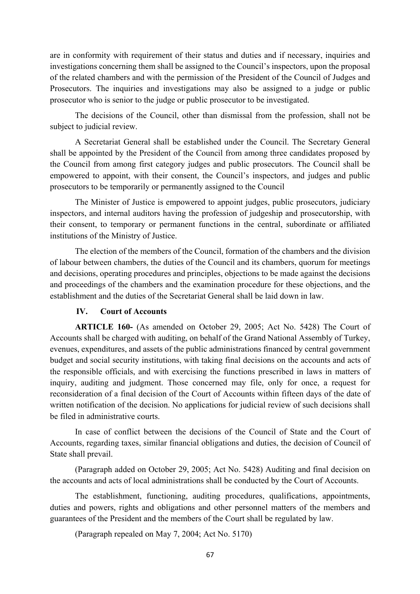are in conformity with requirement of their status and duties and if necessary, inquiries and investigations concerning them shall be assigned to the Council's inspectors, upon the proposal of the related chambers and with the permission of the President of the Council of Judges and Prosecutors. The inquiries and investigations may also be assigned to a judge or public prosecutor who is senior to the judge or public prosecutor to be investigated.

The decisions of the Council, other than dismissal from the profession, shall not be subject to judicial review.

A Secretariat General shall be established under the Council. The Secretary General shall be appointed by the President of the Council from among three candidates proposed by the Council from among first category judges and public prosecutors. The Council shall be empowered to appoint, with their consent, the Council's inspectors, and judges and public prosecutors to be temporarily or permanently assigned to the Council

The Minister of Justice is empowered to appoint judges, public prosecutors, judiciary inspectors, and internal auditors having the profession of judgeship and prosecutorship, with their consent, to temporary or permanent functions in the central, subordinate or affiliated institutions of the Ministry of Justice.

The election of the members of the Council, formation of the chambers and the division of labour between chambers, the duties of the Council and its chambers, quorum for meetings and decisions, operating procedures and principles, objections to be made against the decisions and proceedings of the chambers and the examination procedure for these objections, and the establishment and the duties of the Secretariat General shall be laid down in law.

#### **IV. Court of Accounts**

**ARTICLE 160-** (As amended on October 29, 2005; Act No. 5428) The Court of Accounts shall be charged with auditing, on behalf of the Grand National Assembly of Turkey, evenues, expenditures, and assets of the public administrations financed by central government budget and social security institutions, with taking final decisions on the accounts and acts of the responsible officials, and with exercising the functions prescribed in laws in matters of inquiry, auditing and judgment. Those concerned may file, only for once, a request for reconsideration of a final decision of the Court of Accounts within fifteen days of the date of written notification of the decision. No applications for judicial review of such decisions shall be filed in administrative courts.

In case of conflict between the decisions of the Council of State and the Court of Accounts, regarding taxes, similar financial obligations and duties, the decision of Council of State shall prevail.

(Paragraph added on October 29, 2005; Act No. 5428) Auditing and final decision on the accounts and acts of local administrations shall be conducted by the Court of Accounts.

The establishment, functioning, auditing procedures, qualifications, appointments, duties and powers, rights and obligations and other personnel matters of the members and guarantees of the President and the members of the Court shall be regulated by law.

(Paragraph repealed on May 7, 2004; Act No. 5170)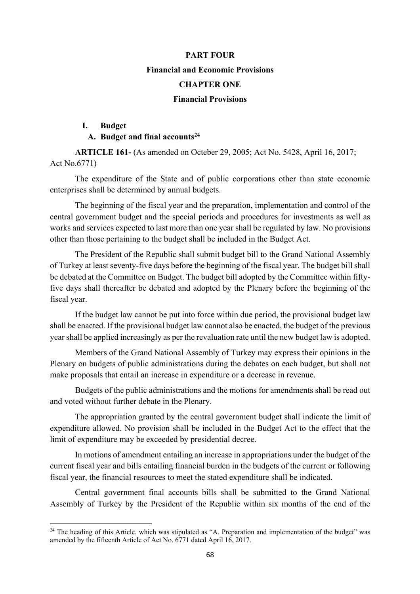# **PART FOUR Financial and Economic Provisions CHAPTER ONE Financial Provisions**

## **I. Budget**

## **A. Budget and final accounts24**

**ARTICLE 161-** (As amended on Octeber 29, 2005; Act No. 5428, April 16, 2017; Act No.6771)

The expenditure of the State and of public corporations other than state economic enterprises shall be determined by annual budgets.

The beginning of the fiscal year and the preparation, implementation and control of the central government budget and the special periods and procedures for investments as well as works and services expected to last more than one year shall be regulated by law. No provisions other than those pertaining to the budget shall be included in the Budget Act.

The President of the Republic shall submit budget bill to the Grand National Assembly of Turkey at least seventy-five days before the beginning of the fiscal year. The budget bill shall be debated at the Committee on Budget. The budget bill adopted by the Committee within fiftyfive days shall thereafter be debated and adopted by the Plenary before the beginning of the fiscal year.

 If the budget law cannot be put into force within due period, the provisional budget law shall be enacted. If the provisional budget law cannot also be enacted, the budget of the previous year shall be applied increasingly as per the revaluation rate until the new budget law is adopted.

Members of the Grand National Assembly of Turkey may express their opinions in the Plenary on budgets of public administrations during the debates on each budget, but shall not make proposals that entail an increase in expenditure or a decrease in revenue.

Budgets of the public administrations and the motions for amendments shall be read out and voted without further debate in the Plenary.

The appropriation granted by the central government budget shall indicate the limit of expenditure allowed. No provision shall be included in the Budget Act to the effect that the limit of expenditure may be exceeded by presidential decree.

In motions of amendment entailing an increase in appropriations under the budget of the current fiscal year and bills entailing financial burden in the budgets of the current or following fiscal year, the financial resources to meet the stated expenditure shall be indicated.

Central government final accounts bills shall be submitted to the Grand National Assembly of Turkey by the President of the Republic within six months of the end of the

<sup>&</sup>lt;sup>24</sup> The heading of this Article, which was stipulated as "A. Preparation and implementation of the budget" was amended by the fifteenth Article of Act No. 6771 dated April 16, 2017.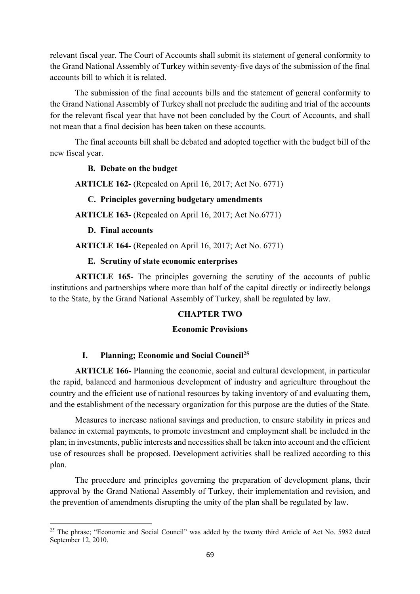relevant fiscal year. The Court of Accounts shall submit its statement of general conformity to the Grand National Assembly of Turkey within seventy-five days of the submission of the final accounts bill to which it is related.

The submission of the final accounts bills and the statement of general conformity to the Grand National Assembly of Turkey shall not preclude the auditing and trial of the accounts for the relevant fiscal year that have not been concluded by the Court of Accounts, and shall not mean that a final decision has been taken on these accounts.

The final accounts bill shall be debated and adopted together with the budget bill of the new fiscal year.

#### **B. Debate on the budget**

**ARTICLE 162-** (Repealed on April 16, 2017; Act No. 6771)

#### **C. Principles governing budgetary amendments**

**ARTICLE 163-** (Repealed on April 16, 2017; Act No.6771)

#### **D. Final accounts**

**ARTICLE 164-** (Repealed on April 16, 2017; Act No. 6771)

#### **E. Scrutiny of state economic enterprises**

**ARTICLE 165-** The principles governing the scrutiny of the accounts of public institutions and partnerships where more than half of the capital directly or indirectly belongs to the State, by the Grand National Assembly of Turkey, shall be regulated by law.

#### **CHAPTER TWO**

#### **Economic Provisions**

#### **I. Planning; Economic and Social Council25**

**ARTICLE 166-** Planning the economic, social and cultural development, in particular the rapid, balanced and harmonious development of industry and agriculture throughout the country and the efficient use of national resources by taking inventory of and evaluating them, and the establishment of the necessary organization for this purpose are the duties of the State.

Measures to increase national savings and production, to ensure stability in prices and balance in external payments, to promote investment and employment shall be included in the plan; in investments, public interests and necessities shall be taken into account and the efficient use of resources shall be proposed. Development activities shall be realized according to this plan.

The procedure and principles governing the preparation of development plans, their approval by the Grand National Assembly of Turkey, their implementation and revision, and the prevention of amendments disrupting the unity of the plan shall be regulated by law.

<sup>&</sup>lt;sup>25</sup> The phrase; "Economic and Social Council" was added by the twenty third Article of Act No. 5982 dated September 12, 2010.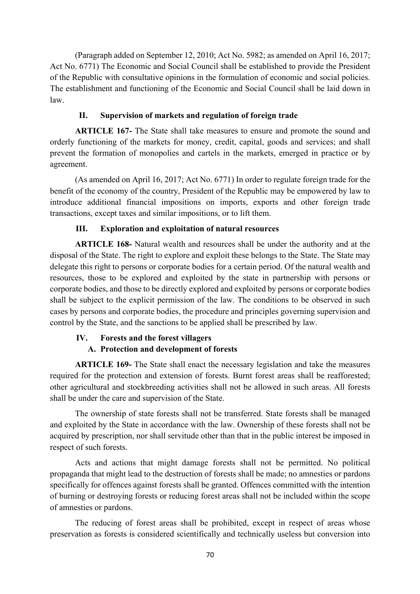(Paragraph added on September 12, 2010; Act No. 5982; as amended on April 16, 2017; Act No. 6771) The Economic and Social Council shall be established to provide the President of the Republic with consultative opinions in the formulation of economic and social policies. The establishment and functioning of the Economic and Social Council shall be laid down in law.

## **II. Supervision of markets and regulation of foreign trade**

**ARTICLE 167-** The State shall take measures to ensure and promote the sound and orderly functioning of the markets for money, credit, capital, goods and services; and shall prevent the formation of monopolies and cartels in the markets, emerged in practice or by agreement.

(As amended on April 16, 2017; Act No. 6771) In order to regulate foreign trade for the benefit of the economy of the country, President of the Republic may be empowered by law to introduce additional financial impositions on imports, exports and other foreign trade transactions, except taxes and similar impositions, or to lift them.

# **III. Exploration and exploitation of natural resources**

**ARTICLE 168-** Natural wealth and resources shall be under the authority and at the disposal of the State. The right to explore and exploit these belongs to the State. The State may delegate this right to persons or corporate bodies for a certain period. Of the natural wealth and resources, those to be explored and exploited by the state in partnership with persons or corporate bodies, and those to be directly explored and exploited by persons or corporate bodies shall be subject to the explicit permission of the law. The conditions to be observed in such cases by persons and corporate bodies, the procedure and principles governing supervision and control by the State, and the sanctions to be applied shall be prescribed by law.

# **IV. Forests and the forest villagers**

# **A. Protection and development of forests**

**ARTICLE 169-** The State shall enact the necessary legislation and take the measures required for the protection and extension of forests. Burnt forest areas shall be reafforested; other agricultural and stockbreeding activities shall not be allowed in such areas. All forests shall be under the care and supervision of the State.

The ownership of state forests shall not be transferred. State forests shall be managed and exploited by the State in accordance with the law. Ownership of these forests shall not be acquired by prescription, nor shall servitude other than that in the public interest be imposed in respect of such forests.

Acts and actions that might damage forests shall not be permitted. No political propaganda that might lead to the destruction of forests shall be made; no amnesties or pardons specifically for offences against forests shall be granted. Offences committed with the intention of burning or destroying forests or reducing forest areas shall not be included within the scope of amnesties or pardons.

The reducing of forest areas shall be prohibited, except in respect of areas whose preservation as forests is considered scientifically and technically useless but conversion into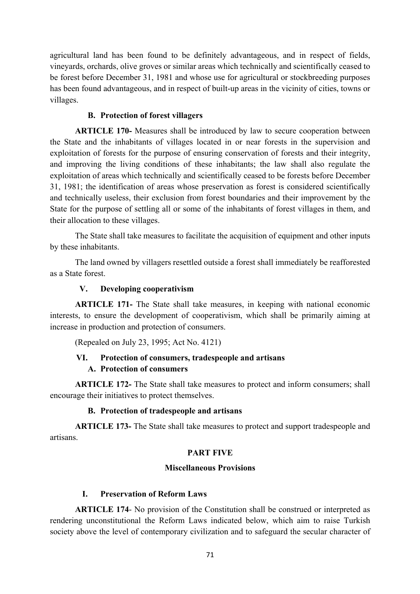agricultural land has been found to be definitely advantageous, and in respect of fields, vineyards, orchards, olive groves or similar areas which technically and scientifically ceased to be forest before December 31, 1981 and whose use for agricultural or stockbreeding purposes has been found advantageous, and in respect of built-up areas in the vicinity of cities, towns or villages.

## **B. Protection of forest villagers**

**ARTICLE 170-** Measures shall be introduced by law to secure cooperation between the State and the inhabitants of villages located in or near forests in the supervision and exploitation of forests for the purpose of ensuring conservation of forests and their integrity, and improving the living conditions of these inhabitants; the law shall also regulate the exploitation of areas which technically and scientifically ceased to be forests before December 31, 1981; the identification of areas whose preservation as forest is considered scientifically and technically useless, their exclusion from forest boundaries and their improvement by the State for the purpose of settling all or some of the inhabitants of forest villages in them, and their allocation to these villages.

The State shall take measures to facilitate the acquisition of equipment and other inputs by these inhabitants.

The land owned by villagers resettled outside a forest shall immediately be reafforested as a State forest.

## **V. Developing cooperativism**

**ARTICLE 171-** The State shall take measures, in keeping with national economic interests, to ensure the development of cooperativism, which shall be primarily aiming at increase in production and protection of consumers.

(Repealed on July 23, 1995; Act No. 4121)

# **VI. Protection of consumers, tradespeople and artisans**

## **A. Protection of consumers**

**ARTICLE 172-** The State shall take measures to protect and inform consumers; shall encourage their initiatives to protect themselves.

## **B. Protection of tradespeople and artisans**

**ARTICLE 173-** The State shall take measures to protect and support tradespeople and artisans.

#### **PART FIVE**

#### **Miscellaneous Provisions**

#### **I. Preservation of Reform Laws**

**ARTICLE 174**- No provision of the Constitution shall be construed or interpreted as rendering unconstitutional the Reform Laws indicated below, which aim to raise Turkish society above the level of contemporary civilization and to safeguard the secular character of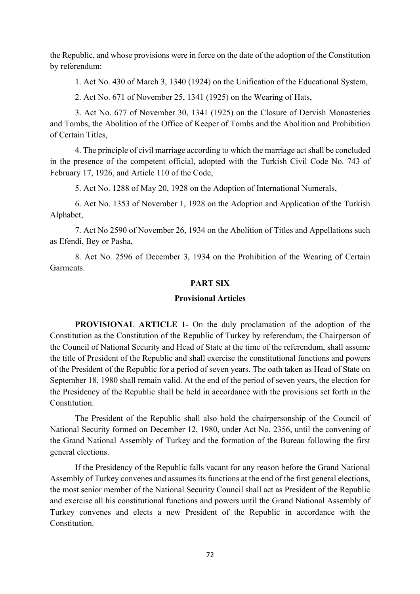the Republic, and whose provisions were in force on the date of the adoption of the Constitution by referendum:

1. Act No. 430 of March 3, 1340 (1924) on the Unification of the Educational System,

2. Act No. 671 of November 25, 1341 (1925) on the Wearing of Hats,

3. Act No. 677 of November 30, 1341 (1925) on the Closure of Dervish Monasteries and Tombs, the Abolition of the Office of Keeper of Tombs and the Abolition and Prohibition of Certain Titles,

4. The principle of civil marriage according to which the marriage act shall be concluded in the presence of the competent official, adopted with the Turkish Civil Code No. 743 of February 17, 1926, and Article 110 of the Code,

5. Act No. 1288 of May 20, 1928 on the Adoption of International Numerals,

6. Act No. 1353 of November 1, 1928 on the Adoption and Application of the Turkish Alphabet,

7. Act No 2590 of November 26, 1934 on the Abolition of Titles and Appellations such as Efendi, Bey or Pasha,

8. Act No. 2596 of December 3, 1934 on the Prohibition of the Wearing of Certain Garments.

#### **PART SIX**

#### **Provisional Articles**

**PROVISIONAL ARTICLE 1-** On the duly proclamation of the adoption of the Constitution as the Constitution of the Republic of Turkey by referendum, the Chairperson of the Council of National Security and Head of State at the time of the referendum, shall assume the title of President of the Republic and shall exercise the constitutional functions and powers of the President of the Republic for a period of seven years. The oath taken as Head of State on September 18, 1980 shall remain valid. At the end of the period of seven years, the election for the Presidency of the Republic shall be held in accordance with the provisions set forth in the Constitution.

The President of the Republic shall also hold the chairpersonship of the Council of National Security formed on December 12, 1980, under Act No. 2356, until the convening of the Grand National Assembly of Turkey and the formation of the Bureau following the first general elections.

If the Presidency of the Republic falls vacant for any reason before the Grand National Assembly of Turkey convenes and assumes its functions at the end of the first general elections, the most senior member of the National Security Council shall act as President of the Republic and exercise all his constitutional functions and powers until the Grand National Assembly of Turkey convenes and elects a new President of the Republic in accordance with the Constitution.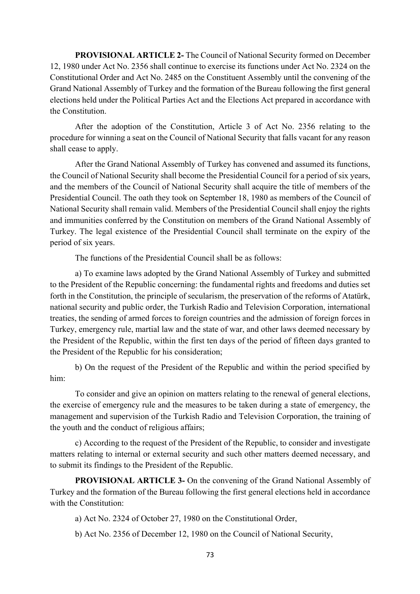**PROVISIONAL ARTICLE 2-** The Council of National Security formed on December 12, 1980 under Act No. 2356 shall continue to exercise its functions under Act No. 2324 on the Constitutional Order and Act No. 2485 on the Constituent Assembly until the convening of the Grand National Assembly of Turkey and the formation of the Bureau following the first general elections held under the Political Parties Act and the Elections Act prepared in accordance with the Constitution.

After the adoption of the Constitution, Article 3 of Act No. 2356 relating to the procedure for winning a seat on the Council of National Security that falls vacant for any reason shall cease to apply.

After the Grand National Assembly of Turkey has convened and assumed its functions, the Council of National Security shall become the Presidential Council for a period of six years, and the members of the Council of National Security shall acquire the title of members of the Presidential Council. The oath they took on September 18, 1980 as members of the Council of National Security shall remain valid. Members of the Presidential Council shall enjoy the rights and immunities conferred by the Constitution on members of the Grand National Assembly of Turkey. The legal existence of the Presidential Council shall terminate on the expiry of the period of six years.

The functions of the Presidential Council shall be as follows:

a) To examine laws adopted by the Grand National Assembly of Turkey and submitted to the President of the Republic concerning: the fundamental rights and freedoms and duties set forth in the Constitution, the principle of secularism, the preservation of the reforms of Atatürk, national security and public order, the Turkish Radio and Television Corporation, international treaties, the sending of armed forces to foreign countries and the admission of foreign forces in Turkey, emergency rule, martial law and the state of war, and other laws deemed necessary by the President of the Republic, within the first ten days of the period of fifteen days granted to the President of the Republic for his consideration;

b) On the request of the President of the Republic and within the period specified by him:

To consider and give an opinion on matters relating to the renewal of general elections, the exercise of emergency rule and the measures to be taken during a state of emergency, the management and supervision of the Turkish Radio and Television Corporation, the training of the youth and the conduct of religious affairs;

c) According to the request of the President of the Republic, to consider and investigate matters relating to internal or external security and such other matters deemed necessary, and to submit its findings to the President of the Republic.

**PROVISIONAL ARTICLE 3-** On the convening of the Grand National Assembly of Turkey and the formation of the Bureau following the first general elections held in accordance with the Constitution:

a) Act No. 2324 of October 27, 1980 on the Constitutional Order,

b) Act No. 2356 of December 12, 1980 on the Council of National Security,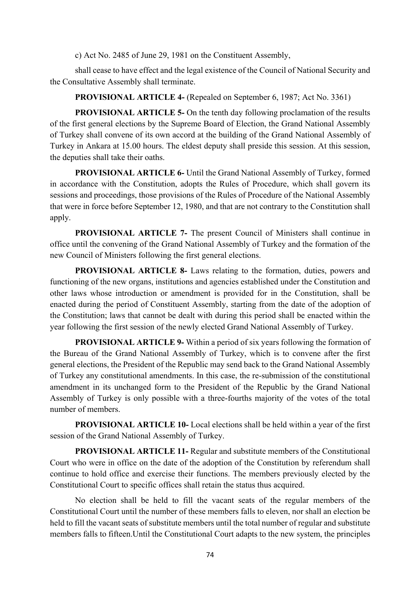c) Act No. 2485 of June 29, 1981 on the Constituent Assembly,

shall cease to have effect and the legal existence of the Council of National Security and the Consultative Assembly shall terminate.

**PROVISIONAL ARTICLE 4-** (Repealed on September 6, 1987; Act No. 3361)

**PROVISIONAL ARTICLE 5-** On the tenth day following proclamation of the results of the first general elections by the Supreme Board of Election, the Grand National Assembly of Turkey shall convene of its own accord at the building of the Grand National Assembly of Turkey in Ankara at 15.00 hours. The eldest deputy shall preside this session. At this session, the deputies shall take their oaths.

**PROVISIONAL ARTICLE 6-** Until the Grand National Assembly of Turkey, formed in accordance with the Constitution, adopts the Rules of Procedure, which shall govern its sessions and proceedings, those provisions of the Rules of Procedure of the National Assembly that were in force before September 12, 1980, and that are not contrary to the Constitution shall apply.

**PROVISIONAL ARTICLE 7-** The present Council of Ministers shall continue in office until the convening of the Grand National Assembly of Turkey and the formation of the new Council of Ministers following the first general elections.

**PROVISIONAL ARTICLE 8-** Laws relating to the formation, duties, powers and functioning of the new organs, institutions and agencies established under the Constitution and other laws whose introduction or amendment is provided for in the Constitution, shall be enacted during the period of Constituent Assembly, starting from the date of the adoption of the Constitution; laws that cannot be dealt with during this period shall be enacted within the year following the first session of the newly elected Grand National Assembly of Turkey.

**PROVISIONAL ARTICLE 9-** Within a period of six years following the formation of the Bureau of the Grand National Assembly of Turkey, which is to convene after the first general elections, the President of the Republic may send back to the Grand National Assembly of Turkey any constitutional amendments. In this case, the re-submission of the constitutional amendment in its unchanged form to the President of the Republic by the Grand National Assembly of Turkey is only possible with a three-fourths majority of the votes of the total number of members.

**PROVISIONAL ARTICLE 10-** Local elections shall be held within a year of the first session of the Grand National Assembly of Turkey.

**PROVISIONAL ARTICLE 11-** Regular and substitute members of the Constitutional Court who were in office on the date of the adoption of the Constitution by referendum shall continue to hold office and exercise their functions. The members previously elected by the Constitutional Court to specific offices shall retain the status thus acquired.

No election shall be held to fill the vacant seats of the regular members of the Constitutional Court until the number of these members falls to eleven, nor shall an election be held to fill the vacant seats of substitute members until the total number of regular and substitute members falls to fifteen.Until the Constitutional Court adapts to the new system, the principles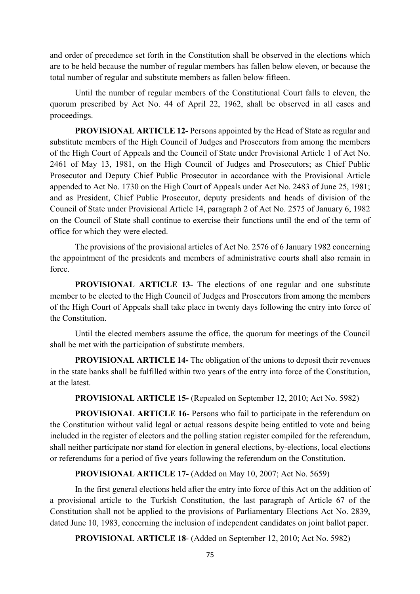and order of precedence set forth in the Constitution shall be observed in the elections which are to be held because the number of regular members has fallen below eleven, or because the total number of regular and substitute members as fallen below fifteen.

Until the number of regular members of the Constitutional Court falls to eleven, the quorum prescribed by Act No. 44 of April 22, 1962, shall be observed in all cases and proceedings.

**PROVISIONAL ARTICLE 12-** Persons appointed by the Head of State as regular and substitute members of the High Council of Judges and Prosecutors from among the members of the High Court of Appeals and the Council of State under Provisional Article 1 of Act No. 2461 of May 13, 1981, on the High Council of Judges and Prosecutors; as Chief Public Prosecutor and Deputy Chief Public Prosecutor in accordance with the Provisional Article appended to Act No. 1730 on the High Court of Appeals under Act No. 2483 of June 25, 1981; and as President, Chief Public Prosecutor, deputy presidents and heads of division of the Council of State under Provisional Article 14, paragraph 2 of Act No. 2575 of January 6, 1982 on the Council of State shall continue to exercise their functions until the end of the term of office for which they were elected.

The provisions of the provisional articles of Act No. 2576 of 6 January 1982 concerning the appointment of the presidents and members of administrative courts shall also remain in force.

**PROVISIONAL ARTICLE 13-** The elections of one regular and one substitute member to be elected to the High Council of Judges and Prosecutors from among the members of the High Court of Appeals shall take place in twenty days following the entry into force of the Constitution.

Until the elected members assume the office, the quorum for meetings of the Council shall be met with the participation of substitute members.

**PROVISIONAL ARTICLE 14-** The obligation of the unions to deposit their revenues in the state banks shall be fulfilled within two years of the entry into force of the Constitution, at the latest.

### **PROVISIONAL ARTICLE 15-** (Repealed on September 12, 2010; Act No. 5982)

**PROVISIONAL ARTICLE 16-** Persons who fail to participate in the referendum on the Constitution without valid legal or actual reasons despite being entitled to vote and being included in the register of electors and the polling station register compiled for the referendum, shall neither participate nor stand for election in general elections, by-elections, local elections or referendums for a period of five years following the referendum on the Constitution.

### **PROVISIONAL ARTICLE 17-** (Added on May 10, 2007; Act No. 5659)

In the first general elections held after the entry into force of this Act on the addition of a provisional article to the Turkish Constitution, the last paragraph of Article 67 of the Constitution shall not be applied to the provisions of Parliamentary Elections Act No. 2839, dated June 10, 1983, concerning the inclusion of independent candidates on joint ballot paper.

**PROVISIONAL ARTICLE 18**- (Added on September 12, 2010; Act No. 5982)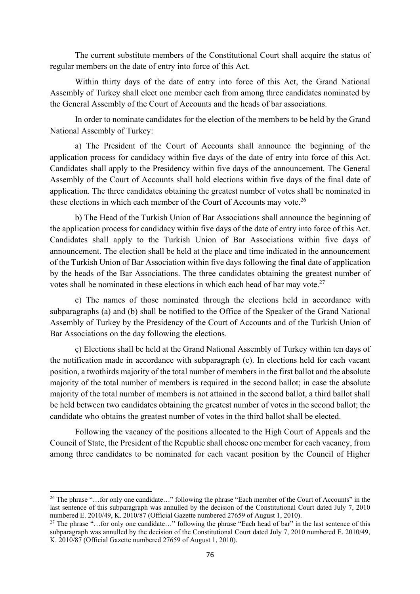The current substitute members of the Constitutional Court shall acquire the status of regular members on the date of entry into force of this Act.

Within thirty days of the date of entry into force of this Act, the Grand National Assembly of Turkey shall elect one member each from among three candidates nominated by the General Assembly of the Court of Accounts and the heads of bar associations.

In order to nominate candidates for the election of the members to be held by the Grand National Assembly of Turkey:

a) The President of the Court of Accounts shall announce the beginning of the application process for candidacy within five days of the date of entry into force of this Act. Candidates shall apply to the Presidency within five days of the announcement. The General Assembly of the Court of Accounts shall hold elections within five days of the final date of application. The three candidates obtaining the greatest number of votes shall be nominated in these elections in which each member of the Court of Accounts may vote. $^{26}$ 

b) The Head of the Turkish Union of Bar Associations shall announce the beginning of the application process for candidacy within five days of the date of entry into force of this Act. Candidates shall apply to the Turkish Union of Bar Associations within five days of announcement. The election shall be held at the place and time indicated in the announcement of the Turkish Union of Bar Association within five days following the final date of application by the heads of the Bar Associations. The three candidates obtaining the greatest number of votes shall be nominated in these elections in which each head of bar may vote.<sup>27</sup>

c) The names of those nominated through the elections held in accordance with subparagraphs (a) and (b) shall be notified to the Office of the Speaker of the Grand National Assembly of Turkey by the Presidency of the Court of Accounts and of the Turkish Union of Bar Associations on the day following the elections.

ç) Elections shall be held at the Grand National Assembly of Turkey within ten days of the notification made in accordance with subparagraph (c). In elections held for each vacant position, a twothirds majority of the total number of members in the first ballot and the absolute majority of the total number of members is required in the second ballot; in case the absolute majority of the total number of members is not attained in the second ballot, a third ballot shall be held between two candidates obtaining the greatest number of votes in the second ballot; the candidate who obtains the greatest number of votes in the third ballot shall be elected.

Following the vacancy of the positions allocated to the High Court of Appeals and the Council of State, the President of the Republic shall choose one member for each vacancy, from among three candidates to be nominated for each vacant position by the Council of Higher

<sup>&</sup>lt;sup>26</sup> The phrase "...for only one candidate..." following the phrase "Each member of the Court of Accounts" in the last sentence of this subparagraph was annulled by the decision of the Constitutional Court dated July 7, 2010 numbered E. 2010/49, K. 2010/87 (Official Gazette numbered 27659 of August 1, 2010).

<sup>&</sup>lt;sup>27</sup> The phrase "...for only one candidate..." following the phrase "Each head of bar" in the last sentence of this subparagraph was annulled by the decision of the Constitutional Court dated July 7, 2010 numbered E. 2010/49, K. 2010/87 (Official Gazette numbered 27659 of August 1, 2010).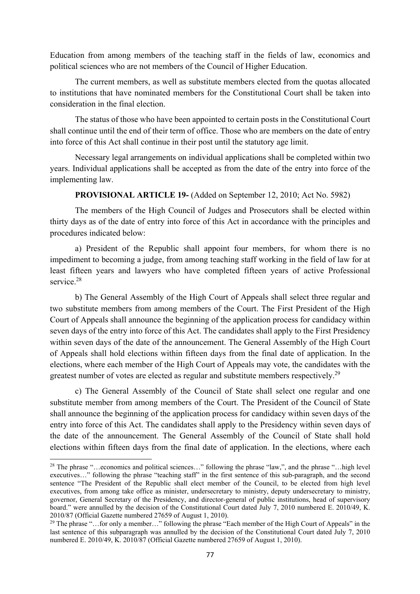Education from among members of the teaching staff in the fields of law, economics and political sciences who are not members of the Council of Higher Education.

The current members, as well as substitute members elected from the quotas allocated to institutions that have nominated members for the Constitutional Court shall be taken into consideration in the final election.

The status of those who have been appointed to certain posts in the Constitutional Court shall continue until the end of their term of office. Those who are members on the date of entry into force of this Act shall continue in their post until the statutory age limit.

Necessary legal arrangements on individual applications shall be completed within two years. Individual applications shall be accepted as from the date of the entry into force of the implementing law.

## **PROVISIONAL ARTICLE 19-** (Added on September 12, 2010; Act No. 5982)

The members of the High Council of Judges and Prosecutors shall be elected within thirty days as of the date of entry into force of this Act in accordance with the principles and procedures indicated below:

a) President of the Republic shall appoint four members, for whom there is no impediment to becoming a judge, from among teaching staff working in the field of law for at least fifteen years and lawyers who have completed fifteen years of active Professional service.<sup>28</sup>

b) The General Assembly of the High Court of Appeals shall select three regular and two substitute members from among members of the Court. The First President of the High Court of Appeals shall announce the beginning of the application process for candidacy within seven days of the entry into force of this Act. The candidates shall apply to the First Presidency within seven days of the date of the announcement. The General Assembly of the High Court of Appeals shall hold elections within fifteen days from the final date of application. In the elections, where each member of the High Court of Appeals may vote, the candidates with the greatest number of votes are elected as regular and substitute members respectively.<sup>29</sup>

c) The General Assembly of the Council of State shall select one regular and one substitute member from among members of the Court. The President of the Council of State shall announce the beginning of the application process for candidacy within seven days of the entry into force of this Act. The candidates shall apply to the Presidency within seven days of the date of the announcement. The General Assembly of the Council of State shall hold elections within fifteen days from the final date of application. In the elections, where each

<sup>&</sup>lt;sup>28</sup> The phrase "…economics and political sciences…" following the phrase "law,", and the phrase "…high level executives…" following the phrase "teaching staff" in the first sentence of this sub-paragraph, and the second sentence "The President of the Republic shall elect member of the Council, to be elected from high level executives, from among take office as minister, undersecretary to ministry, deputy undersecretary to ministry, governor, General Secretary of the Presidency, and director-general of public institutions, head of supervisory board." were annulled by the decision of the Constitutional Court dated July 7, 2010 numbered E. 2010/49, K. 2010/87 (Official Gazette numbered 27659 of August 1, 2010).

<sup>&</sup>lt;sup>29</sup> The phrase "...for only a member..." following the phrase "Each member of the High Court of Appeals" in the last sentence of this subparagraph was annulled by the decision of the Constitutional Court dated July 7, 2010 numbered E. 2010/49, K. 2010/87 (Official Gazette numbered 27659 of August 1, 2010).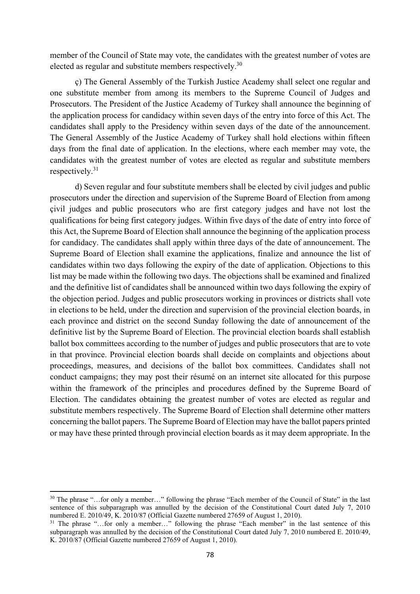member of the Council of State may vote, the candidates with the greatest number of votes are elected as regular and substitute members respectively.<sup>30</sup>

ç) The General Assembly of the Turkish Justice Academy shall select one regular and one substitute member from among its members to the Supreme Council of Judges and Prosecutors. The President of the Justice Academy of Turkey shall announce the beginning of the application process for candidacy within seven days of the entry into force of this Act. The candidates shall apply to the Presidency within seven days of the date of the announcement. The General Assembly of the Justice Academy of Turkey shall hold elections within fifteen days from the final date of application. In the elections, where each member may vote, the candidates with the greatest number of votes are elected as regular and substitute members respectively.31

d) Seven regular and four substitute members shall be elected by civil judges and public prosecutors under the direction and supervision of the Supreme Board of Election from among çivil judges and public prosecutors who are first category judges and have not lost the qualifications for being first category judges. Within five days of the date of entry into force of this Act, the Supreme Board of Election shall announce the beginning of the application process for candidacy. The candidates shall apply within three days of the date of announcement. The Supreme Board of Election shall examine the applications, finalize and announce the list of candidates within two days following the expiry of the date of application. Objections to this list may be made within the following two days. The objections shall be examined and finalized and the definitive list of candidates shall be announced within two days following the expiry of the objection period. Judges and public prosecutors working in provinces or districts shall vote in elections to be held, under the direction and supervision of the provincial election boards, in each province and district on the second Sunday following the date of announcement of the definitive list by the Supreme Board of Election. The provincial election boards shall establish ballot box committees according to the number of judges and public prosecutors that are to vote in that province. Provincial election boards shall decide on complaints and objections about proceedings, measures, and decisions of the ballot box committees. Candidates shall not conduct campaigns; they may post their résumé on an internet site allocated for this purpose within the framework of the principles and procedures defined by the Supreme Board of Election. The candidates obtaining the greatest number of votes are elected as regular and substitute members respectively. The Supreme Board of Election shall determine other matters concerning the ballot papers. The Supreme Board of Election may have the ballot papers printed or may have these printed through provincial election boards as it may deem appropriate. In the

<sup>&</sup>lt;sup>30</sup> The phrase "...for only a member..." following the phrase "Each member of the Council of State" in the last sentence of this subparagraph was annulled by the decision of the Constitutional Court dated July 7, 2010 numbered E. 2010/49, K. 2010/87 (Official Gazette numbered 27659 of August 1, 2010).

<sup>&</sup>lt;sup>31</sup> The phrase "...for only a member..." following the phrase "Each member" in the last sentence of this subparagraph was annulled by the decision of the Constitutional Court dated July 7, 2010 numbered E. 2010/49, K. 2010/87 (Official Gazette numbered 27659 of August 1, 2010).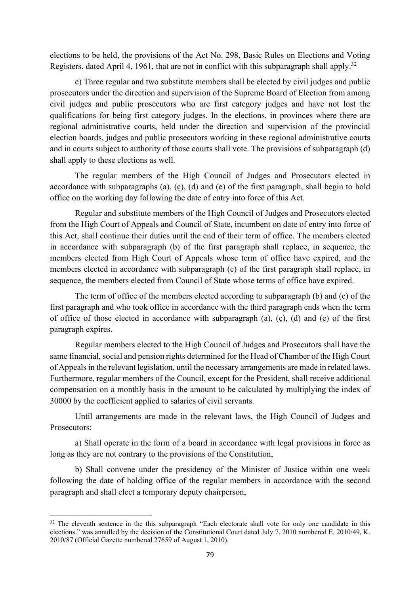elections to be held, the provisions of the Act No. 298, Basic Rules on Elections and Voting Registers, dated April 4, 1961, that are not in conflict with this subparagraph shall apply.<sup>32</sup>

e) Three regular and two substitute members shall be elected by civil judges and public prosecutors under the direction and supervision of the Supreme Board of Election from among civil judges and public prosecutors who are first category judges and have not lost the qualifications for being first category judges. In the elections, in provinces where there are regional administrative courts, held under the direction and supervision of the provincial election boards, judges and public prosecutors working in these regional administrative courts and in courts subject to authority of those courts shall vote. The provisions of subparagraph (d) shall apply to these elections as well.

The regular members of the High Council of Judges and Prosecutors elected in accordance with subparagraphs (a), (ç), (d) and (e) of the first paragraph, shall begin to hold office on the working day following the date of entry into force of this Act.

Regular and substitute members of the High Council of Judges and Prosecutors elected from the High Court of Appeals and Council of State, incumbent on date of entry into force of this Act, shall continue their duties until the end of their term of office. The members elected in accordance with subparagraph (b) of the first paragraph shall replace, in sequence, the members elected from High Court of Appeals whose term of office have expired, and the members elected in accordance with subparagraph (c) of the first paragraph shall replace, in sequence, the members elected from Council of State whose terms of office have expired.

The term of office of the members elected according to subparagraph (b) and (c) of the first paragraph and who took office in accordance with the third paragraph ends when the term of office of those elected in accordance with subparagraph (a), (ç), (d) and (e) of the first paragraph expires.

Regular members elected to the High Council of Judges and Prosecutors shall have the same financial, social and pension rights determined for the Head of Chamber of the High Court of Appeals in the relevant legislation, until the necessary arrangements are made in related laws. Furthermore, regular members of the Council, except for the President, shall receive additional compensation on a monthly basis in the amount to be calculated by multiplying the index of 30000 by the coefficient applied to salaries of civil servants.

Until arrangements are made in the relevant laws, the High Council of Judges and Prosecutors:

a) Shall operate in the form of a board in accordance with legal provisions in force as long as they are not contrary to the provisions of the Constitution,

b) Shall convene under the presidency of the Minister of Justice within one week following the date of holding office of the regular members in accordance with the second paragraph and shall elect a temporary deputy chairperson,

<sup>&</sup>lt;sup>32</sup> The eleventh sentence in the this subparagraph "Each electorate shall vote for only one candidate in this elections." was annulled by the decision of the Constitutional Court dated July 7, 2010 numbered E. 2010/49, K. 2010/87 (Official Gazette numbered 27659 of August 1, 2010).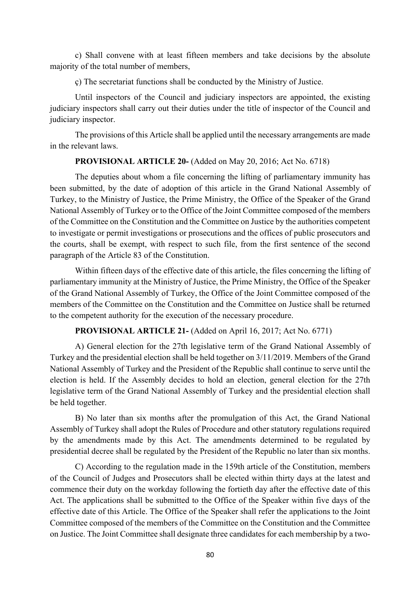c) Shall convene with at least fifteen members and take decisions by the absolute majority of the total number of members,

ç) The secretariat functions shall be conducted by the Ministry of Justice.

Until inspectors of the Council and judiciary inspectors are appointed, the existing judiciary inspectors shall carry out their duties under the title of inspector of the Council and judiciary inspector.

The provisions of this Article shall be applied until the necessary arrangements are made in the relevant laws.

## **PROVISIONAL ARTICLE 20-** (Added on May 20, 2016; Act No. 6718)

The deputies about whom a file concerning the lifting of parliamentary immunity has been submitted, by the date of adoption of this article in the Grand National Assembly of Turkey, to the Ministry of Justice, the Prime Ministry, the Office of the Speaker of the Grand National Assembly of Turkey or to the Office of the Joint Committee composed of the members of the Committee on the Constitution and the Committee on Justice by the authorities competent to investigate or permit investigations or prosecutions and the offices of public prosecutors and the courts, shall be exempt, with respect to such file, from the first sentence of the second paragraph of the Article 83 of the Constitution.

Within fifteen days of the effective date of this article, the files concerning the lifting of parliamentary immunity at the Ministry of Justice, the Prime Ministry, the Office of the Speaker of the Grand National Assembly of Turkey, the Office of the Joint Committee composed of the members of the Committee on the Constitution and the Committee on Justice shall be returned to the competent authority for the execution of the necessary procedure.

# **PROVISIONAL ARTICLE 21-** (Added on April 16, 2017; Act No. 6771)

A) General election for the 27th legislative term of the Grand National Assembly of Turkey and the presidential election shall be held together on 3/11/2019. Members of the Grand National Assembly of Turkey and the President of the Republic shall continue to serve until the election is held. If the Assembly decides to hold an election, general election for the 27th legislative term of the Grand National Assembly of Turkey and the presidential election shall be held together.

B) No later than six months after the promulgation of this Act, the Grand National Assembly of Turkey shall adopt the Rules of Procedure and other statutory regulations required by the amendments made by this Act. The amendments determined to be regulated by presidential decree shall be regulated by the President of the Republic no later than six months.

 C) According to the regulation made in the 159th article of the Constitution, members of the Council of Judges and Prosecutors shall be elected within thirty days at the latest and commence their duty on the workday following the fortieth day after the effective date of this Act. The applications shall be submitted to the Office of the Speaker within five days of the effective date of this Article. The Office of the Speaker shall refer the applications to the Joint Committee composed of the members of the Committee on the Constitution and the Committee on Justice. The Joint Committee shall designate three candidates for each membership by a two-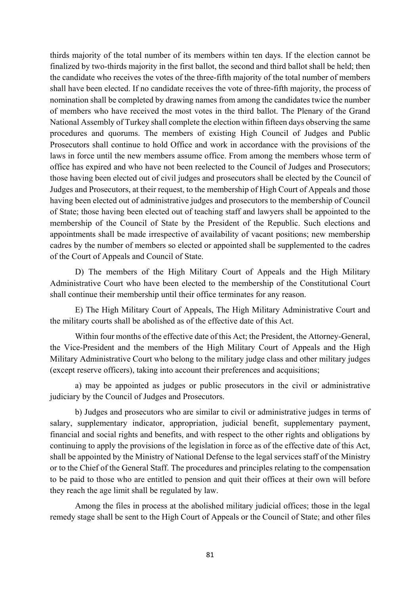thirds majority of the total number of its members within ten days. If the election cannot be finalized by two-thirds majority in the first ballot, the second and third ballot shall be held; then the candidate who receives the votes of the three-fifth majority of the total number of members shall have been elected. If no candidate receives the vote of three-fifth majority, the process of nomination shall be completed by drawing names from among the candidates twice the number of members who have received the most votes in the third ballot. The Plenary of the Grand National Assembly of Turkey shall complete the election within fifteen days observing the same procedures and quorums. The members of existing High Council of Judges and Public Prosecutors shall continue to hold Office and work in accordance with the provisions of the laws in force until the new members assume office. From among the members whose term of office has expired and who have not been reelected to the Council of Judges and Prosecutors; those having been elected out of civil judges and prosecutors shall be elected by the Council of Judges and Prosecutors, at their request, to the membership of High Court of Appeals and those having been elected out of administrative judges and prosecutors to the membership of Council of State; those having been elected out of teaching staff and lawyers shall be appointed to the membership of the Council of State by the President of the Republic. Such elections and appointments shall be made irrespective of availability of vacant positions; new membership cadres by the number of members so elected or appointed shall be supplemented to the cadres of the Court of Appeals and Council of State.

D) The members of the High Military Court of Appeals and the High Military Administrative Court who have been elected to the membership of the Constitutional Court shall continue their membership until their office terminates for any reason.

E) The High Military Court of Appeals, The High Military Administrative Court and the military courts shall be abolished as of the effective date of this Act.

Within four months of the effective date of this Act; the President, the Attorney-General, the Vice-President and the members of the High Military Court of Appeals and the High Military Administrative Court who belong to the military judge class and other military judges (except reserve officers), taking into account their preferences and acquisitions;

a) may be appointed as judges or public prosecutors in the civil or administrative judiciary by the Council of Judges and Prosecutors.

b) Judges and prosecutors who are similar to civil or administrative judges in terms of salary, supplementary indicator, appropriation, judicial benefit, supplementary payment, financial and social rights and benefits, and with respect to the other rights and obligations by continuing to apply the provisions of the legislation in force as of the effective date of this Act, shall be appointed by the Ministry of National Defense to the legal services staff of the Ministry or to the Chief of the General Staff. The procedures and principles relating to the compensation to be paid to those who are entitled to pension and quit their offices at their own will before they reach the age limit shall be regulated by law.

Among the files in process at the abolished military judicial offices; those in the legal remedy stage shall be sent to the High Court of Appeals or the Council of State; and other files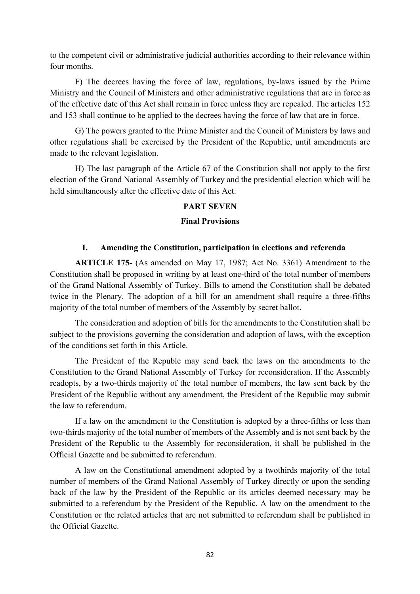to the competent civil or administrative judicial authorities according to their relevance within four months.

F) The decrees having the force of law, regulations, by-laws issued by the Prime Ministry and the Council of Ministers and other administrative regulations that are in force as of the effective date of this Act shall remain in force unless they are repealed. The articles 152 and 153 shall continue to be applied to the decrees having the force of law that are in force.

G) The powers granted to the Prime Minister and the Council of Ministers by laws and other regulations shall be exercised by the President of the Republic, until amendments are made to the relevant legislation.

H) The last paragraph of the Article 67 of the Constitution shall not apply to the first election of the Grand National Assembly of Turkey and the presidential election which will be held simultaneously after the effective date of this Act.

### **PART SEVEN**

### **Final Provisions**

## **I. Amending the Constitution, participation in elections and referenda**

**ARTICLE 175-** (As amended on May 17, 1987; Act No. 3361) Amendment to the Constitution shall be proposed in writing by at least one-third of the total number of members of the Grand National Assembly of Turkey. Bills to amend the Constitution shall be debated twice in the Plenary. The adoption of a bill for an amendment shall require a three-fifths majority of the total number of members of the Assembly by secret ballot.

The consideration and adoption of bills for the amendments to the Constitution shall be subject to the provisions governing the consideration and adoption of laws, with the exception of the conditions set forth in this Article.

The President of the Republc may send back the laws on the amendments to the Constitution to the Grand National Assembly of Turkey for reconsideration. If the Assembly readopts, by a two-thirds majority of the total number of members, the law sent back by the President of the Republic without any amendment, the President of the Republic may submit the law to referendum.

If a law on the amendment to the Constitution is adopted by a three-fifths or less than two-thirds majority of the total number of members of the Assembly and is not sent back by the President of the Republic to the Assembly for reconsideration, it shall be published in the Official Gazette and be submitted to referendum.

A law on the Constitutional amendment adopted by a twothirds majority of the total number of members of the Grand National Assembly of Turkey directly or upon the sending back of the law by the President of the Republic or its articles deemed necessary may be submitted to a referendum by the President of the Republic. A law on the amendment to the Constitution or the related articles that are not submitted to referendum shall be published in the Official Gazette.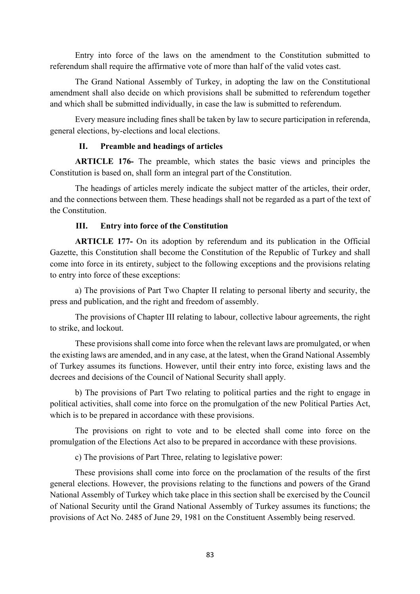Entry into force of the laws on the amendment to the Constitution submitted to referendum shall require the affirmative vote of more than half of the valid votes cast.

The Grand National Assembly of Turkey, in adopting the law on the Constitutional amendment shall also decide on which provisions shall be submitted to referendum together and which shall be submitted individually, in case the law is submitted to referendum.

Every measure including fines shall be taken by law to secure participation in referenda, general elections, by-elections and local elections.

## **II. Preamble and headings of articles**

**ARTICLE 176-** The preamble, which states the basic views and principles the Constitution is based on, shall form an integral part of the Constitution.

The headings of articles merely indicate the subject matter of the articles, their order, and the connections between them. These headings shall not be regarded as a part of the text of the Constitution.

## **III. Entry into force of the Constitution**

**ARTICLE 177-** On its adoption by referendum and its publication in the Official Gazette, this Constitution shall become the Constitution of the Republic of Turkey and shall come into force in its entirety, subject to the following exceptions and the provisions relating to entry into force of these exceptions:

a) The provisions of Part Two Chapter II relating to personal liberty and security, the press and publication, and the right and freedom of assembly.

The provisions of Chapter III relating to labour, collective labour agreements, the right to strike, and lockout.

These provisions shall come into force when the relevant laws are promulgated, or when the existing laws are amended, and in any case, at the latest, when the Grand National Assembly of Turkey assumes its functions. However, until their entry into force, existing laws and the decrees and decisions of the Council of National Security shall apply.

b) The provisions of Part Two relating to political parties and the right to engage in political activities, shall come into force on the promulgation of the new Political Parties Act, which is to be prepared in accordance with these provisions.

The provisions on right to vote and to be elected shall come into force on the promulgation of the Elections Act also to be prepared in accordance with these provisions.

c) The provisions of Part Three, relating to legislative power:

These provisions shall come into force on the proclamation of the results of the first general elections. However, the provisions relating to the functions and powers of the Grand National Assembly of Turkey which take place in this section shall be exercised by the Council of National Security until the Grand National Assembly of Turkey assumes its functions; the provisions of Act No. 2485 of June 29, 1981 on the Constituent Assembly being reserved.